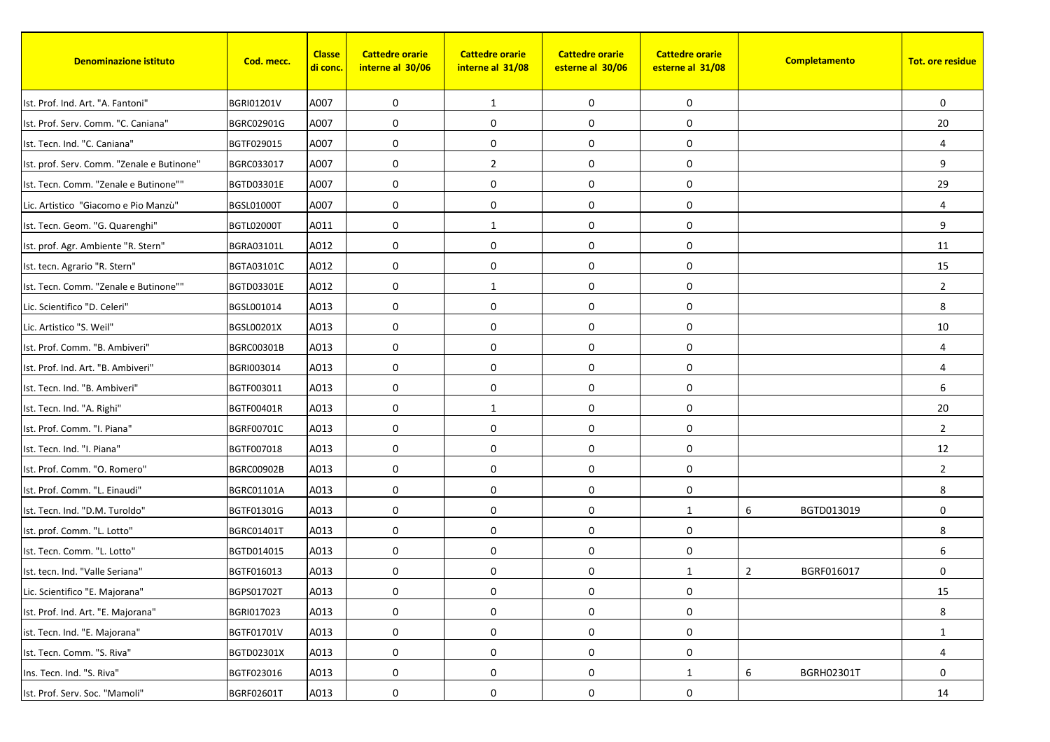| <b>Denominazione istituto</b>              | Cod. mecc.        | <b>Classe</b><br><mark>di conc.</mark> | <b>Cattedre orarie</b><br>interne al 30/06 | <b>Cattedre orarie</b><br>interne al 31/08 | <b>Cattedre orarie</b><br>esterne al 30/06 | <b>Cattedre orarie</b><br>esterne al 31/08 |                | Completamento     | <b>Tot. ore residue</b> |
|--------------------------------------------|-------------------|----------------------------------------|--------------------------------------------|--------------------------------------------|--------------------------------------------|--------------------------------------------|----------------|-------------------|-------------------------|
| Ist. Prof. Ind. Art. "A. Fantoni"          | BGRI01201V        | A007                                   | 0                                          | 1                                          | 0                                          | 0                                          |                |                   | $\mathbf 0$             |
| Ist. Prof. Serv. Comm. "C. Caniana"        | BGRC02901G        | A007                                   | 0                                          | 0                                          | 0                                          | 0                                          |                |                   | 20                      |
| Ist. Tecn. Ind. "C. Caniana"               | BGTF029015        | A007                                   | 0                                          | $\mathbf 0$                                | 0                                          | 0                                          |                |                   | $\overline{4}$          |
| Ist. prof. Serv. Comm. "Zenale e Butinone" | BGRC033017        | A007                                   | $\mathbf 0$                                | $\overline{2}$                             | 0                                          | 0                                          |                |                   | 9                       |
| Ist. Tecn. Comm. "Zenale e Butinone""      | BGTD03301E        | A007                                   | 0                                          | $\mathbf 0$                                | 0                                          | 0                                          |                |                   | 29                      |
| Lic. Artistico "Giacomo e Pio Manzù"       | <b>BGSL01000T</b> | A007                                   | 0                                          | $\mathbf 0$                                | $\pmb{0}$                                  | 0                                          |                |                   | 4                       |
| Ist. Tecn. Geom. "G. Quarenghi"            | BGTL02000T        | A011                                   | 0                                          | 1                                          | $\mathbf 0$                                | 0                                          |                |                   | 9                       |
| Ist. prof. Agr. Ambiente "R. Stern"        | <b>BGRA03101L</b> | A012                                   | $\mathbf 0$                                | $\mathbf 0$                                | 0                                          | 0                                          |                |                   | 11                      |
| Ist. tecn. Agrario "R. Stern"              | BGTA03101C        | A012                                   | 0                                          | $\mathbf 0$                                | 0                                          | 0                                          |                |                   | 15                      |
| Ist. Tecn. Comm. "Zenale e Butinone""      | BGTD03301E        | A012                                   | 0                                          | 1                                          | $\pmb{0}$                                  | 0                                          |                |                   | $\overline{2}$          |
| Lic. Scientifico "D. Celeri"               | BGSL001014        | A013                                   | 0                                          | $\mathbf 0$                                | 0                                          | 0                                          |                |                   | 8                       |
| Lic. Artistico "S. Weil"                   | <b>BGSL00201X</b> | A013                                   | 0                                          | $\mathbf 0$                                | 0                                          | 0                                          |                |                   | 10                      |
| Ist. Prof. Comm. "B. Ambiveri"             | BGRC00301B        | A013                                   | 0                                          | 0                                          | $\pmb{0}$                                  | 0                                          |                |                   | $\overline{4}$          |
| Ist. Prof. Ind. Art. "B. Ambiveri"         | BGRI003014        | A013                                   | $\mathbf 0$                                | $\mathbf 0$                                | $\mathbf 0$                                | 0                                          |                |                   | 4                       |
| Ist. Tecn. Ind. "B. Ambiveri"              | BGTF003011        | A013                                   | $\mathbf 0$                                | 0                                          | $\mathbf 0$                                | 0                                          |                |                   | 6                       |
| Ist. Tecn. Ind. "A. Righi"                 | BGTF00401R        | A013                                   | 0                                          | 1                                          | $\pmb{0}$                                  | 0                                          |                |                   | 20                      |
| Ist. Prof. Comm. "I. Piana"                | BGRF00701C        | A013                                   | 0                                          | $\mathbf 0$                                | 0                                          | 0                                          |                |                   | $\overline{2}$          |
| Ist. Tecn. Ind. "I. Piana"                 | BGTF007018        | A013                                   | $\mathbf 0$                                | $\mathbf 0$                                | $\mathbf 0$                                | 0                                          |                |                   | 12                      |
| Ist. Prof. Comm. "O. Romero"               | <b>BGRC00902B</b> | A013                                   | 0                                          | $\mathbf 0$                                | 0                                          | 0                                          |                |                   | $\overline{2}$          |
| Ist. Prof. Comm. "L. Einaudi"              | <b>BGRC01101A</b> | A013                                   | 0                                          | 0                                          | 0                                          | 0                                          |                |                   | 8                       |
| Ist. Tecn. Ind. "D.M. Turoldo"             | BGTF01301G        | A013                                   | 0                                          | $\mathbf 0$                                | $\pmb{0}$                                  | $\mathbf{1}$                               | 6              | BGTD013019        | 0                       |
| Ist. prof. Comm. "L. Lotto"                | <b>BGRC01401T</b> | A013                                   | 0                                          | $\mathbf 0$                                | 0                                          | 0                                          |                |                   | 8                       |
| Ist. Tecn. Comm. "L. Lotto"                | BGTD014015        | A013                                   | 0                                          | $\mathbf 0$                                | 0                                          | 0                                          |                |                   | 6                       |
| Ist. tecn. Ind. "Valle Seriana"            | BGTF016013        | A013                                   | 0                                          | $\mathbf 0$                                | $\pmb{0}$                                  | $\mathbf{1}$                               | $\overline{2}$ | BGRF016017        | $\mathbf 0$             |
| Lic. Scientifico "E. Majorana"             | BGPS01702T        | A013                                   | 0                                          | 0                                          | 0                                          | $\boldsymbol{0}$                           |                |                   | 15                      |
| Ist. Prof. Ind. Art. "E. Majorana"         | BGRI017023        | A013                                   | 0                                          | 0                                          | 0                                          | 0                                          |                |                   | 8                       |
| ist. Tecn. Ind. "E. Majorana"              | BGTF01701V        | A013                                   | 0                                          | 0                                          | 0                                          | 0                                          |                |                   | $\mathbf{1}$            |
| Ist. Tecn. Comm. "S. Riva"                 | BGTD02301X        | A013                                   | 0                                          | $\boldsymbol{0}$                           | $\pmb{0}$                                  | 0                                          |                |                   | 4                       |
| Ins. Tecn. Ind. "S. Riva"                  | BGTF023016        | A013                                   | $\pmb{0}$                                  | 0                                          | 0                                          | $\mathbf{1}$                               | 6              | <b>BGRH02301T</b> | 0                       |
| Ist. Prof. Serv. Soc. "Mamoli"             | BGRF02601T        | A013                                   | 0                                          | 0                                          | 0                                          | 0                                          |                |                   | 14                      |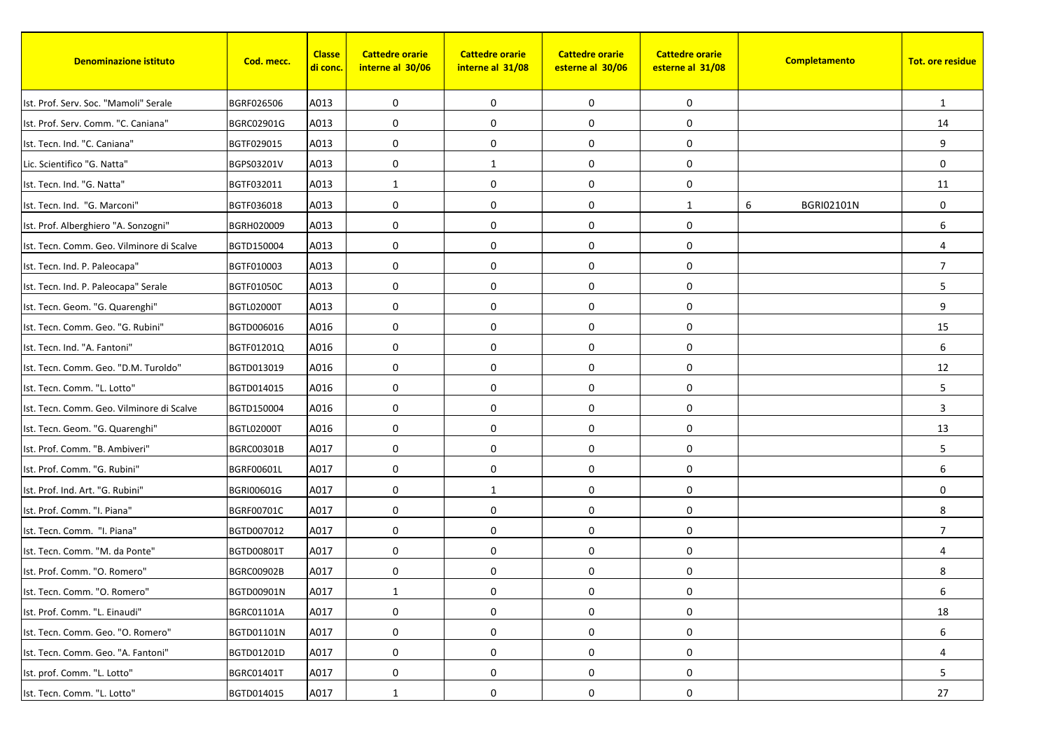| <b>Denominazione istituto</b>             | Cod. mecc.        | <b>Classe</b><br><mark>di conc.</mark> | <b>Cattedre orarie</b><br>interne al 30/06 | <b>Cattedre orarie</b><br>interne al 31/08 | <b>Cattedre orarie</b><br>esterne al 30/06 | <b>Cattedre orarie</b><br>esterne al 31/08 | Completamento          | <b>Tot. ore residue</b> |
|-------------------------------------------|-------------------|----------------------------------------|--------------------------------------------|--------------------------------------------|--------------------------------------------|--------------------------------------------|------------------------|-------------------------|
| Ist. Prof. Serv. Soc. "Mamoli" Serale     | BGRF026506        | A013                                   | 0                                          | $\mathbf 0$                                | 0                                          | 0                                          |                        | 1                       |
| Ist. Prof. Serv. Comm. "C. Caniana"       | BGRC02901G        | A013                                   | 0                                          | $\mathbf 0$                                | 0                                          | 0                                          |                        | 14                      |
| Ist. Tecn. Ind. "C. Caniana"              | BGTF029015        | A013                                   | 0                                          | 0                                          | 0                                          | 0                                          |                        | 9                       |
| Lic. Scientifico "G. Natta"               | BGPS03201V        | A013                                   | $\mathbf 0$                                | 1                                          | 0                                          | 0                                          |                        | $\mathbf 0$             |
| Ist. Tecn. Ind. "G. Natta"                | BGTF032011        | A013                                   | $\mathbf{1}$                               | $\mathbf 0$                                | 0                                          | 0                                          |                        | 11                      |
| Ist. Tecn. Ind. "G. Marconi"              | BGTF036018        | A013                                   | 0                                          | $\mathbf 0$                                | 0                                          | $\mathbf{1}$                               | 6<br><b>BGRI02101N</b> | $\mathbf 0$             |
| Ist. Prof. Alberghiero "A. Sonzogni"      | BGRH020009        | A013                                   | 0                                          | 0                                          | $\mathbf 0$                                | 0                                          |                        | 6                       |
| Ist. Tecn. Comm. Geo. Vilminore di Scalve | BGTD150004        | A013                                   | 0                                          | $\mathbf 0$                                | 0                                          | 0                                          |                        | $\overline{4}$          |
| Ist. Tecn. Ind. P. Paleocapa"             | BGTF010003        | A013                                   | 0                                          | 0                                          | 0                                          | 0                                          |                        | $\overline{7}$          |
| Ist. Tecn. Ind. P. Paleocapa" Serale      | <b>BGTF01050C</b> | A013                                   | 0                                          | $\mathbf 0$                                | $\pmb{0}$                                  | 0                                          |                        | 5                       |
| Ist. Tecn. Geom. "G. Quarenghi"           | BGTL02000T        | A013                                   | 0                                          | $\mathbf 0$                                | 0                                          | 0                                          |                        | 9                       |
| Ist. Tecn. Comm. Geo. "G. Rubini"         | BGTD006016        | A016                                   | 0                                          | $\mathbf 0$                                | 0                                          | 0                                          |                        | 15                      |
| Ist. Tecn. Ind. "A. Fantoni"              | BGTF01201Q        | A016                                   | 0                                          | $\mathbf 0$                                | 0                                          | 0                                          |                        | 6                       |
| Ist. Tecn. Comm. Geo. "D.M. Turoldo"      | BGTD013019        | A016                                   | 0                                          | $\mathbf 0$                                | $\mathbf 0$                                | 0                                          |                        | 12                      |
| Ist. Tecn. Comm. "L. Lotto"               | BGTD014015        | A016                                   | $\mathbf 0$                                | 0                                          | 0                                          | 0                                          |                        | 5                       |
| Ist. Tecn. Comm. Geo. Vilminore di Scalve | BGTD150004        | A016                                   | 0                                          | $\mathbf 0$                                | 0                                          | 0                                          |                        | 3                       |
| Ist. Tecn. Geom. "G. Quarenghi"           | BGTL02000T        | A016                                   | 0                                          | $\mathbf 0$                                | 0                                          | 0                                          |                        | 13                      |
| Ist. Prof. Comm. "B. Ambiveri"            | BGRC00301B        | A017                                   | 0                                          | $\mathbf 0$                                | 0                                          | 0                                          |                        | 5                       |
| Ist. Prof. Comm. "G. Rubini"              | BGRF00601L        | A017                                   | 0                                          | $\mathbf 0$                                | 0                                          | 0                                          |                        | 6                       |
| Ist. Prof. Ind. Art. "G. Rubini"          | BGRI00601G        | A017                                   | 0                                          | 1                                          | 0                                          | 0                                          |                        | 0                       |
| Ist. Prof. Comm. "I. Piana"               | BGRF00701C        | A017                                   | 0                                          | $\mathbf 0$                                | 0                                          | 0                                          |                        | 8                       |
| Ist. Tecn. Comm. "I. Piana"               | BGTD007012        | A017                                   | $\mathbf 0$                                | $\mathbf 0$                                | 0                                          | 0                                          |                        | $\overline{7}$          |
| Ist. Tecn. Comm. "M. da Ponte"            | BGTD00801T        | A017                                   | 0                                          | $\mathbf 0$                                | 0                                          | 0                                          |                        | $\Delta$                |
| Ist. Prof. Comm. "O. Romero"              | <b>BGRC00902B</b> | A017                                   | 0                                          | 0                                          | 0                                          | 0                                          |                        | 8                       |
| Ist. Tecn. Comm. "O. Romero"              | BGTD00901N        | A017                                   | 1                                          | 0                                          | 0                                          | $\boldsymbol{0}$                           |                        | 6                       |
| Ist. Prof. Comm. "L. Einaudi"             | BGRC01101A        | A017                                   | 0                                          | 0                                          | 0                                          | 0                                          |                        | 18                      |
| Ist. Tecn. Comm. Geo. "O. Romero"         | BGTD01101N        | A017                                   | 0                                          | 0                                          | 0                                          | 0                                          |                        | 6                       |
| Ist. Tecn. Comm. Geo. "A. Fantoni"        | BGTD01201D        | A017                                   | 0                                          | 0                                          | $\pmb{0}$                                  | 0                                          |                        | 4                       |
| Ist. prof. Comm. "L. Lotto"               | BGRC01401T        | A017                                   | $\pmb{0}$                                  | 0                                          | 0                                          | 0                                          |                        | 5                       |
| Ist. Tecn. Comm. "L. Lotto"               | BGTD014015        | A017                                   | 1                                          | 0                                          | 0                                          | 0                                          |                        | 27                      |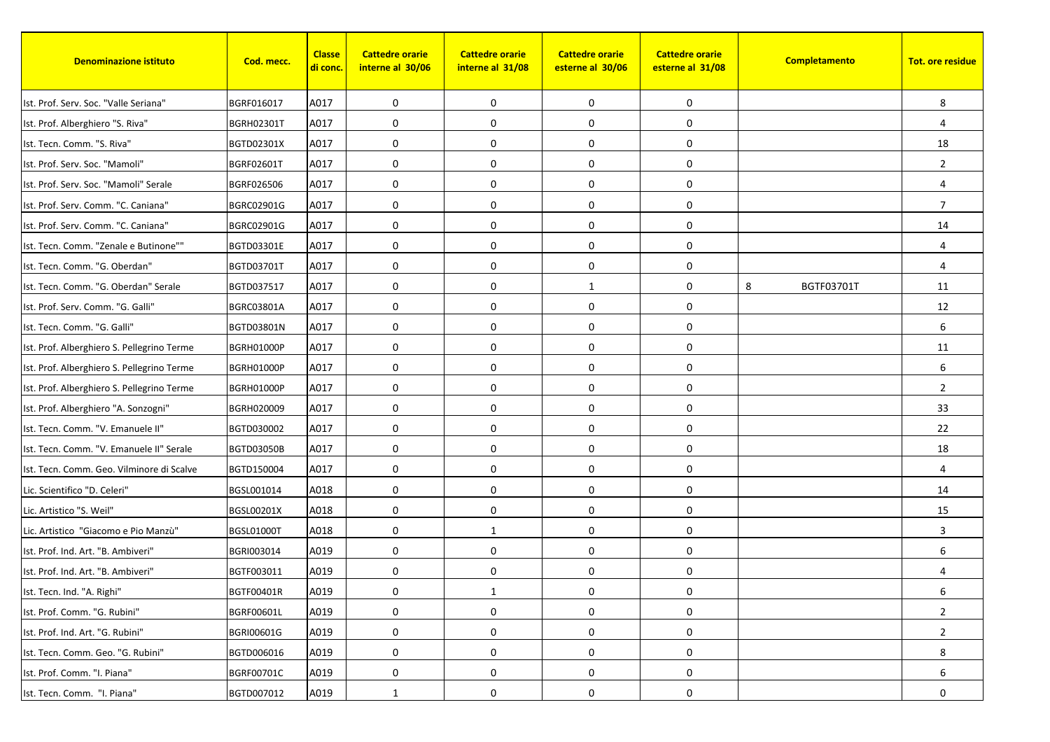| <b>Denominazione istituto</b>              | Cod. mecc.        | <b>Classe</b><br><u>di conc.</u> | <b>Cattedre orarie</b><br>interne al 30/06 | <b>Cattedre orarie</b><br>interne al 31/08 | <b>Cattedre orarie</b><br>esterne al 30/06 | <b>Cattedre orarie</b><br>esterne al 31/08 | Completamento   | <b>Tot. ore residue</b> |
|--------------------------------------------|-------------------|----------------------------------|--------------------------------------------|--------------------------------------------|--------------------------------------------|--------------------------------------------|-----------------|-------------------------|
| Ist. Prof. Serv. Soc. "Valle Seriana"      | BGRF016017        | A017                             | 0                                          | 0                                          | 0                                          | 0                                          |                 | 8                       |
| Ist. Prof. Alberghiero "S. Riva"           | <b>BGRH02301T</b> | A017                             | 0                                          | $\mathbf 0$                                | 0                                          | 0                                          |                 | 4                       |
| Ist. Tecn. Comm. "S. Riva"                 | BGTD02301X        | A017                             | 0                                          | 0                                          | 0                                          | 0                                          |                 | 18                      |
| Ist. Prof. Serv. Soc. "Mamoli"             | BGRF02601T        | A017                             | $\mathbf 0$                                | 0                                          | 0                                          | 0                                          |                 | $\overline{2}$          |
| Ist. Prof. Serv. Soc. "Mamoli" Serale      | BGRF026506        | A017                             | 0                                          | 0                                          | 0                                          | 0                                          |                 | 4                       |
| Ist. Prof. Serv. Comm. "C. Caniana"        | BGRC02901G        | A017                             | 0                                          | $\mathbf 0$                                | $\pmb{0}$                                  | 0                                          |                 | $\overline{7}$          |
| Ist. Prof. Serv. Comm. "C. Caniana"        | BGRC02901G        | A017                             | $\mathbf 0$                                | $\mathbf 0$                                | $\mathbf 0$                                | 0                                          |                 | 14                      |
| Ist. Tecn. Comm. "Zenale e Butinone""      | BGTD03301E        | A017                             | 0                                          | 0                                          | 0                                          | 0                                          |                 | $\overline{4}$          |
| Ist. Tecn. Comm. "G. Oberdan"              | BGTD03701T        | A017                             | 0                                          | 0                                          | 0                                          | 0                                          |                 | 4                       |
| Ist. Tecn. Comm. "G. Oberdan" Serale       | BGTD037517        | A017                             | 0                                          | $\mathbf 0$                                | $\mathbf{1}$                               | 0                                          | 8<br>BGTF03701T | 11                      |
| Ist. Prof. Serv. Comm. "G. Galli"          | BGRC03801A        | A017                             | 0                                          | 0                                          | 0                                          | 0                                          |                 | 12                      |
| Ist. Tecn. Comm. "G. Galli"                | BGTD03801N        | A017                             | 0                                          | 0                                          | 0                                          | 0                                          |                 | 6                       |
| Ist. Prof. Alberghiero S. Pellegrino Terme | <b>BGRH01000P</b> | A017                             | 0                                          | $\mathbf 0$                                | $\pmb{0}$                                  | 0                                          |                 | 11                      |
| Ist. Prof. Alberghiero S. Pellegrino Terme | BGRH01000P        | A017                             | $\mathbf 0$                                | $\mathbf 0$                                | $\mathbf 0$                                | 0                                          |                 | 6                       |
| Ist. Prof. Alberghiero S. Pellegrino Terme | <b>BGRH01000P</b> | A017                             | $\mathbf 0$                                | 0                                          | 0                                          | 0                                          |                 | $\overline{2}$          |
| Ist. Prof. Alberghiero "A. Sonzogni"       | BGRH020009        | A017                             | $\mathbf 0$                                | 0                                          | $\pmb{0}$                                  | 0                                          |                 | 33                      |
| Ist. Tecn. Comm. "V. Emanuele II"          | BGTD030002        | A017                             | 0                                          | 0                                          | 0                                          | 0                                          |                 | 22                      |
| Ist. Tecn. Comm. "V. Emanuele II" Serale   | <b>BGTD03050B</b> | A017                             | $\mathbf 0$                                | 0                                          | $\mathbf 0$                                | 0                                          |                 | 18                      |
| Ist. Tecn. Comm. Geo. Vilminore di Scalve  | BGTD150004        | A017                             | 0                                          | $\mathbf 0$                                | 0                                          | 0                                          |                 | $\overline{4}$          |
| Lic. Scientifico "D. Celeri"               | BGSL001014        | A018                             | 0                                          | 0                                          | 0                                          | 0                                          |                 | 14                      |
| Lic. Artistico "S. Weil"                   | BGSL00201X        | A018                             | 0                                          | 0                                          | $\pmb{0}$                                  | 0                                          |                 | 15                      |
| Lic. Artistico "Giacomo e Pio Manzù"       | <b>BGSL01000T</b> | A018                             | $\mathbf 0$                                | 1                                          | 0                                          | 0                                          |                 | 3                       |
| Ist. Prof. Ind. Art. "B. Ambiveri"         | BGRI003014        | A019                             | 0                                          | $\mathbf 0$                                | $\mathbf 0$                                | 0                                          |                 | 6                       |
| Ist. Prof. Ind. Art. "B. Ambiveri"         | BGTF003011        | A019                             | 0                                          | 0                                          | 0                                          | 0                                          |                 | $\overline{4}$          |
| Ist. Tecn. Ind. "A. Righi"                 | BGTF00401R        | A019                             | 0                                          | 1                                          | 0                                          | 0                                          |                 | 6                       |
| Ist. Prof. Comm. "G. Rubini"               | BGRF00601L        | A019                             | 0                                          | 0                                          | 0                                          | 0                                          |                 | $\overline{2}$          |
| Ist. Prof. Ind. Art. "G. Rubini"           | BGRI00601G        | A019                             | 0                                          | 0                                          | $\boldsymbol{0}$                           | 0                                          |                 | $\overline{2}$          |
| Ist. Tecn. Comm. Geo. "G. Rubini"          | BGTD006016        | A019                             | 0                                          | $\mathbf 0$                                | 0                                          | 0                                          |                 | 8                       |
| Ist. Prof. Comm. "I. Piana"                | BGRF00701C        | A019                             | $\boldsymbol{0}$                           | 0                                          | $\boldsymbol{0}$                           | 0                                          |                 | 6                       |
| Ist. Tecn. Comm. "I. Piana"                | BGTD007012        | A019                             | 1                                          | 0                                          | 0                                          | 0                                          |                 | 0                       |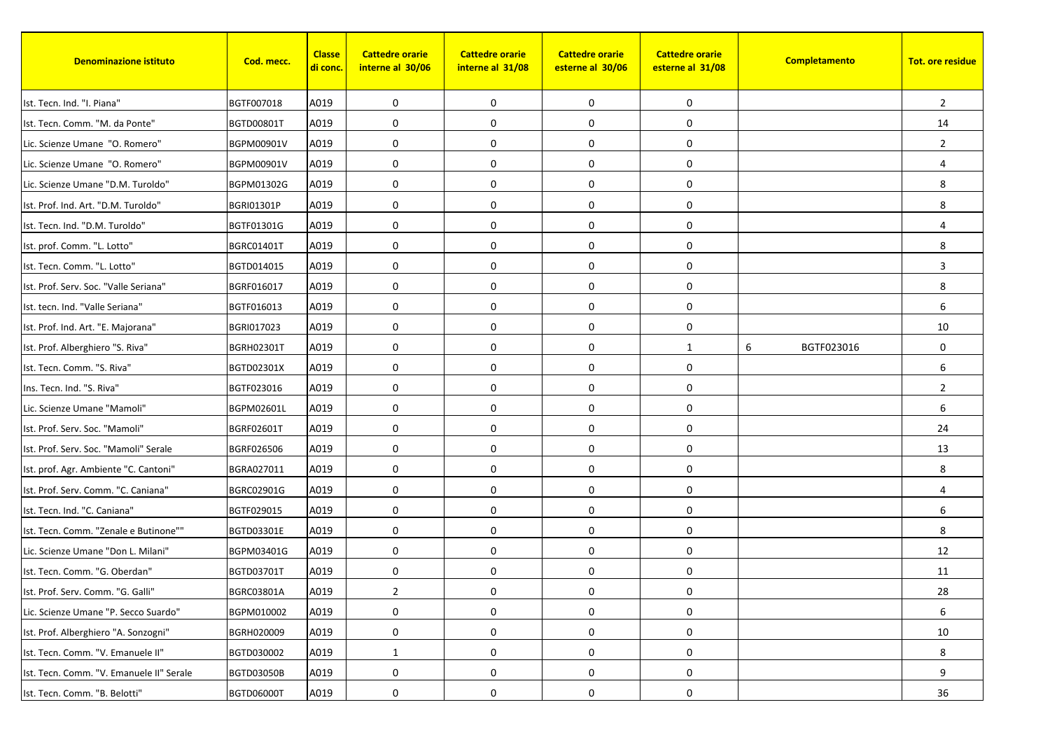| <b>Denominazione istituto</b>            | Cod. mecc.        | <b>Classe</b><br><mark>di conc.</mark> | <b>Cattedre orarie</b><br>interne al 30/06 | <b>Cattedre orarie</b><br>interne al 31/08 | <b>Cattedre orarie</b><br>esterne al 30/06 | <b>Cattedre orarie</b><br>esterne al 31/08 | Completamento   | <b>Tot. ore residue</b> |
|------------------------------------------|-------------------|----------------------------------------|--------------------------------------------|--------------------------------------------|--------------------------------------------|--------------------------------------------|-----------------|-------------------------|
| Ist. Tecn. Ind. "I. Piana"               | BGTF007018        | A019                                   | 0                                          | $\mathbf 0$                                | 0                                          | 0                                          |                 | $\overline{2}$          |
| Ist. Tecn. Comm. "M. da Ponte"           | BGTD00801T        | A019                                   | 0                                          | 0                                          | 0                                          | 0                                          |                 | 14                      |
| Lic. Scienze Umane "O. Romero"           | BGPM00901V        | A019                                   | 0                                          | 0                                          | 0                                          | 0                                          |                 | $\overline{2}$          |
| Lic. Scienze Umane "O. Romero"           | BGPM00901V        | A019                                   | $\mathbf 0$                                | 0                                          | 0                                          | 0                                          |                 | $\overline{4}$          |
| Lic. Scienze Umane "D.M. Turoldo"        | BGPM01302G        | A019                                   | 0                                          | $\mathbf 0$                                | 0                                          | 0                                          |                 | 8                       |
| Ist. Prof. Ind. Art. "D.M. Turoldo"      | <b>BGRI01301P</b> | A019                                   | 0                                          | $\mathbf 0$                                | 0                                          | 0                                          |                 | 8                       |
| Ist. Tecn. Ind. "D.M. Turoldo"           | BGTF01301G        | A019                                   | 0                                          | 0                                          | $\mathbf 0$                                | 0                                          |                 | $\overline{4}$          |
| Ist. prof. Comm. "L. Lotto"              | <b>BGRC01401T</b> | A019                                   | 0                                          | $\mathbf 0$                                | 0                                          | 0                                          |                 | 8                       |
| Ist. Tecn. Comm. "L. Lotto"              | BGTD014015        | A019                                   | 0                                          | 0                                          | 0                                          | 0                                          |                 | 3                       |
| Ist. Prof. Serv. Soc. "Valle Seriana"    | BGRF016017        | A019                                   | 0                                          | 0                                          | $\pmb{0}$                                  | 0                                          |                 | 8                       |
| Ist. tecn. Ind. "Valle Seriana"          | BGTF016013        | A019                                   | 0                                          | $\mathbf 0$                                | 0                                          | 0                                          |                 | 6                       |
| Ist. Prof. Ind. Art. "E. Majorana"       | BGRI017023        | A019                                   | 0                                          | $\mathbf 0$                                | 0                                          | 0                                          |                 | 10                      |
| Ist. Prof. Alberghiero "S. Riva"         | <b>BGRH02301T</b> | A019                                   | 0                                          | 0                                          | $\pmb{0}$                                  | $\mathbf{1}$                               | 6<br>BGTF023016 | $\mathbf 0$             |
| Ist. Tecn. Comm. "S. Riva"               | BGTD02301X        | A019                                   | 0                                          | $\mathbf 0$                                | $\mathbf 0$                                | 0                                          |                 | 6                       |
| Ins. Tecn. Ind. "S. Riva"                | BGTF023016        | A019                                   | 0                                          | 0                                          | 0                                          | 0                                          |                 | $\overline{2}$          |
| Lic. Scienze Umane "Mamoli"              | BGPM02601L        | A019                                   | 0                                          | $\mathbf 0$                                | 0                                          | 0                                          |                 | 6                       |
| Ist. Prof. Serv. Soc. "Mamoli"           | BGRF02601T        | A019                                   | 0                                          | $\mathbf 0$                                | 0                                          | 0                                          |                 | 24                      |
| Ist. Prof. Serv. Soc. "Mamoli" Serale    | BGRF026506        | A019                                   | $\mathbf 0$                                | $\mathbf 0$                                | 0                                          | 0                                          |                 | 13                      |
| Ist. prof. Agr. Ambiente "C. Cantoni"    | BGRA027011        | A019                                   | 0                                          | $\mathbf 0$                                | 0                                          | 0                                          |                 | 8                       |
| Ist. Prof. Serv. Comm. "C. Caniana"      | BGRC02901G        | A019                                   | 0                                          | 0                                          | 0                                          | 0                                          |                 | $\overline{4}$          |
| Ist. Tecn. Ind. "C. Caniana"             | BGTF029015        | A019                                   | 0                                          | 0                                          | $\pmb{0}$                                  | 0                                          |                 | 6                       |
| Ist. Tecn. Comm. "Zenale e Butinone""    | BGTD03301E        | A019                                   | 0                                          | $\mathbf 0$                                | 0                                          | 0                                          |                 | 8                       |
| Lic. Scienze Umane "Don L. Milani"       | BGPM03401G        | A019                                   | 0                                          | 0                                          | 0                                          | 0                                          |                 | 12                      |
| Ist. Tecn. Comm. "G. Oberdan"            | <b>BGTD03701T</b> | A019                                   | 0                                          | 0                                          | $\pmb{0}$                                  | 0                                          |                 | 11                      |
| Ist. Prof. Serv. Comm. "G. Galli"        | BGRC03801A        | A019                                   | $\overline{c}$                             | 0                                          | 0                                          | $\boldsymbol{0}$                           |                 | 28                      |
| Lic. Scienze Umane "P. Secco Suardo"     | BGPM010002        | A019                                   | 0                                          | $\mathbf 0$                                | 0                                          | $\boldsymbol{0}$                           |                 | 6                       |
| Ist. Prof. Alberghiero "A. Sonzogni"     | BGRH020009        | A019                                   | 0                                          | 0                                          | $\pmb{0}$                                  | $\boldsymbol{0}$                           |                 | 10                      |
| Ist. Tecn. Comm. "V. Emanuele II"        | BGTD030002        | A019                                   | $\mathbf{1}$                               | $\mathbf 0$                                | $\pmb{0}$                                  | 0                                          |                 | 8                       |
| Ist. Tecn. Comm. "V. Emanuele II" Serale | BGTD03050B        | A019                                   | $\pmb{0}$                                  | $\boldsymbol{0}$                           | $\pmb{0}$                                  | 0                                          |                 | 9                       |
| Ist. Tecn. Comm. "B. Belotti"            | BGTD06000T        | A019                                   | 0                                          | 0                                          | 0                                          | 0                                          |                 | 36                      |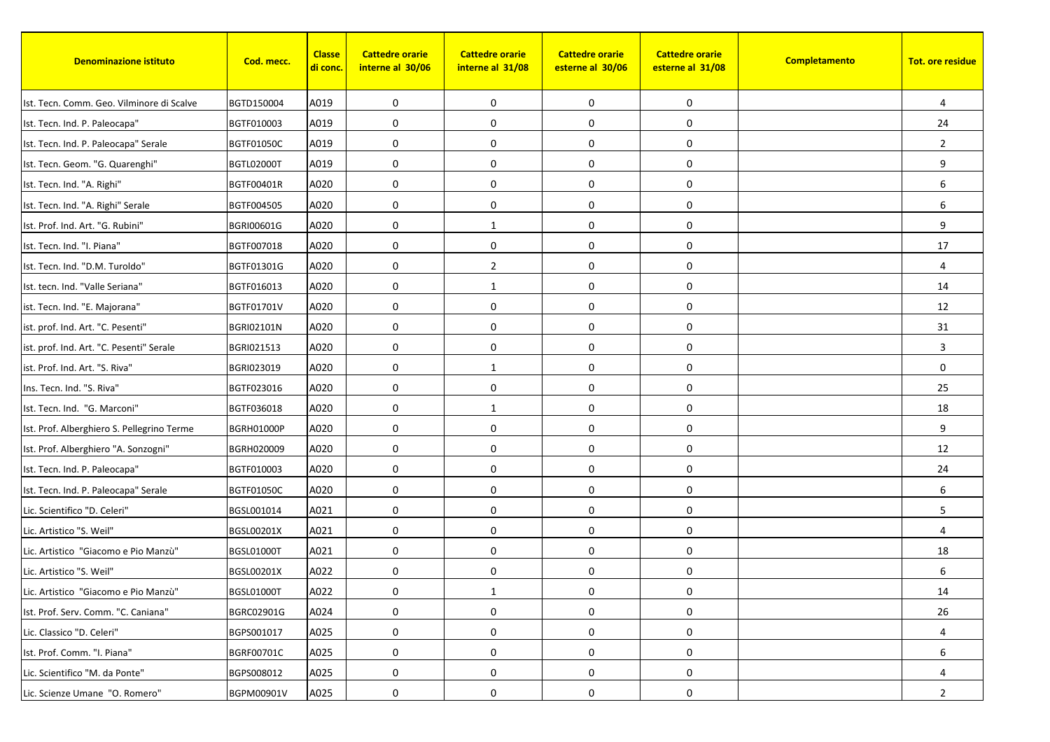| <b>Denominazione istituto</b>              | Cod. mecc.        | <b>Classe</b><br><u>di conc.</u> | <b>Cattedre orarie</b><br>interne al 30/06 | <b>Cattedre orarie</b><br>interne al 31/08 | <b>Cattedre orarie</b><br>esterne al 30/06 | <b>Cattedre orarie</b><br>esterne al 31/08 | Completamento | <b>Tot. ore residue</b> |
|--------------------------------------------|-------------------|----------------------------------|--------------------------------------------|--------------------------------------------|--------------------------------------------|--------------------------------------------|---------------|-------------------------|
| Ist. Tecn. Comm. Geo. Vilminore di Scalve  | BGTD150004        | A019                             | 0                                          | 0                                          | 0                                          | 0                                          |               | $\overline{4}$          |
| Ist. Tecn. Ind. P. Paleocapa"              | BGTF010003        | A019                             | 0                                          | $\mathbf 0$                                | 0                                          | 0                                          |               | 24                      |
| Ist. Tecn. Ind. P. Paleocapa" Serale       | <b>BGTF01050C</b> | A019                             | 0                                          | $\mathbf 0$                                | 0                                          | 0                                          |               | $\overline{2}$          |
| Ist. Tecn. Geom. "G. Quarenghi"            | <b>BGTL02000T</b> | A019                             | 0                                          | $\mathbf 0$                                | $\boldsymbol{0}$                           | 0                                          |               | 9                       |
| Ist. Tecn. Ind. "A. Righi"                 | BGTF00401R        | A020                             | 0                                          | $\mathbf 0$                                | 0                                          | 0                                          |               | 6                       |
| Ist. Tecn. Ind. "A. Righi" Serale          | BGTF004505        | A020                             | 0                                          | $\mathbf 0$                                | $\boldsymbol{0}$                           | 0                                          |               | 6                       |
| Ist. Prof. Ind. Art. "G. Rubini"           | BGRI00601G        | A020                             | 0                                          | 1                                          | $\mathbf 0$                                | 0                                          |               | 9                       |
| Ist. Tecn. Ind. "I. Piana"                 | BGTF007018        | A020                             | 0                                          | $\mathbf 0$                                | 0                                          | 0                                          |               | 17                      |
| Ist. Tecn. Ind. "D.M. Turoldo"             | BGTF01301G        | A020                             | 0                                          | $\overline{2}$                             | 0                                          | 0                                          |               | 4                       |
| Ist. tecn. Ind. "Valle Seriana"            | BGTF016013        | A020                             | 0                                          | $\mathbf{1}$                               | $\pmb{0}$                                  | 0                                          |               | 14                      |
| ist. Tecn. Ind. "E. Majorana"              | BGTF01701V        | A020                             | 0                                          | $\mathbf 0$                                | 0                                          | 0                                          |               | 12                      |
| ist. prof. Ind. Art. "C. Pesenti"          | <b>BGRI02101N</b> | A020                             | 0                                          | $\mathbf 0$                                | 0                                          | 0                                          |               | 31                      |
| ist. prof. Ind. Art. "C. Pesenti" Serale   | BGRI021513        | A020                             | 0                                          | $\mathbf 0$                                | $\boldsymbol{0}$                           | 0                                          |               | 3                       |
| ist. Prof. Ind. Art. "S. Riva"             | BGRI023019        | A020                             | 0                                          | 1                                          | $\mathbf 0$                                | 0                                          |               | $\mathbf 0$             |
| Ins. Tecn. Ind. "S. Riva"                  | BGTF023016        | A020                             | 0                                          | $\mathbf 0$                                | $\pmb{0}$                                  | 0                                          |               | 25                      |
| Ist. Tecn. Ind. "G. Marconi"               | BGTF036018        | A020                             | 0                                          | 1                                          | 0                                          | 0                                          |               | 18                      |
| Ist. Prof. Alberghiero S. Pellegrino Terme | <b>BGRH01000P</b> | A020                             | 0                                          | 0                                          | 0                                          | 0                                          |               | 9                       |
| Ist. Prof. Alberghiero "A. Sonzogni"       | BGRH020009        | A020                             | 0                                          | $\mathbf 0$                                | 0                                          | 0                                          |               | 12                      |
| Ist. Tecn. Ind. P. Paleocapa"              | BGTF010003        | A020                             | 0                                          | $\mathbf 0$                                | 0                                          | 0                                          |               | 24                      |
| Ist. Tecn. Ind. P. Paleocapa" Serale       | <b>BGTF01050C</b> | A020                             | 0                                          | $\mathbf 0$                                | 0                                          | 0                                          |               | 6                       |
| Lic. Scientifico "D. Celeri"               | BGSL001014        | A021                             | 0                                          | $\mathbf 0$                                | 0                                          | 0                                          |               | 5                       |
| Lic. Artistico "S. Weil"                   | BGSL00201X        | A021                             | 0                                          | $\mathbf 0$                                | 0                                          | 0                                          |               | $\overline{4}$          |
| Lic. Artistico "Giacomo e Pio Manzù"       | <b>BGSL01000T</b> | A021                             | 0                                          | $\mathbf 0$                                | 0                                          | 0                                          |               | 18                      |
| Lic. Artistico "S. Weil"                   | BGSL00201X        | A022                             | 0                                          | $\mathbf 0$                                | 0                                          | 0                                          |               | 6                       |
| Lic. Artistico "Giacomo e Pio Manzù"       | BGSL01000T        | A022                             | 0                                          | $\mathbf{1}$                               | 0                                          | 0                                          |               | 14                      |
| Ist. Prof. Serv. Comm. "C. Caniana"        | BGRC02901G        | A024                             | 0                                          | $\mathbf 0$                                | 0                                          | 0                                          |               | 26                      |
| Lic. Classico "D. Celeri"                  | BGPS001017        | A025                             | 0                                          | $\mathbf 0$                                | 0                                          | 0                                          |               | 4                       |
| Ist. Prof. Comm. "I. Piana"                | BGRF00701C        | A025                             | 0                                          | 0                                          | 0                                          | 0                                          |               | 6                       |
| Lic. Scientifico "M. da Ponte"             | BGPS008012        | A025                             | 0                                          | $\mathbf 0$                                | 0                                          | 0                                          |               | 4                       |
| Lic. Scienze Umane "O. Romero"             | BGPM00901V        | A025                             | 0                                          | 0                                          | 0                                          | 0                                          |               | $\overline{2}$          |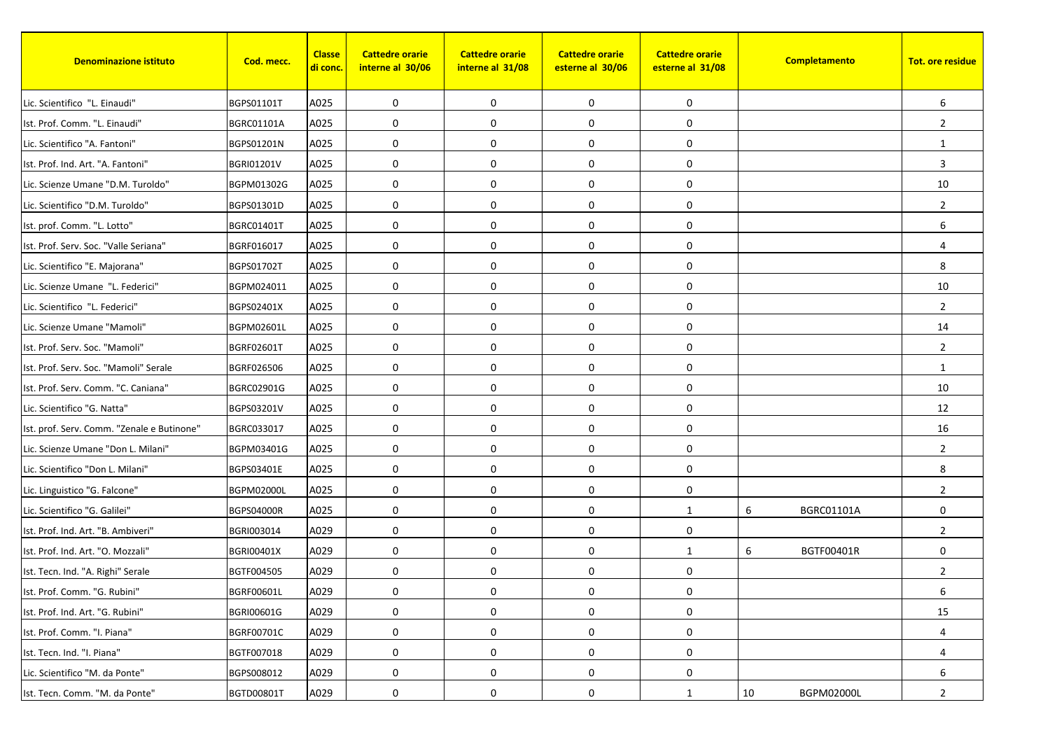| <b>Denominazione istituto</b>              | Cod. mecc.        | <b>Classe</b><br><mark>di conc.</mark> | <b>Cattedre orarie</b><br>interne al 30/06 | <b>Cattedre orarie</b><br>interne al 31/08 | <b>Cattedre orarie</b><br>esterne al 30/06 | <b>Cattedre orarie</b><br>esterne al 31/08 | Completamento          | <b>Tot. ore residue</b> |
|--------------------------------------------|-------------------|----------------------------------------|--------------------------------------------|--------------------------------------------|--------------------------------------------|--------------------------------------------|------------------------|-------------------------|
| Lic. Scientifico "L. Einaudi"              | BGPS01101T        | A025                                   | 0                                          | $\mathbf 0$                                | 0                                          | 0                                          |                        | 6                       |
| Ist. Prof. Comm. "L. Einaudi"              | <b>BGRC01101A</b> | A025                                   | 0                                          | 0                                          | 0                                          | 0                                          |                        | $\overline{2}$          |
| Lic. Scientifico "A. Fantoni"              | BGPS01201N        | A025                                   | 0                                          | 0                                          | 0                                          | 0                                          |                        | 1                       |
| Ist. Prof. Ind. Art. "A. Fantoni"          | <b>BGRI01201V</b> | A025                                   | $\mathbf 0$                                | 0                                          | 0                                          | 0                                          |                        | 3                       |
| Lic. Scienze Umane "D.M. Turoldo"          | BGPM01302G        | A025                                   | 0                                          | $\mathbf 0$                                | 0                                          | 0                                          |                        | 10                      |
| Lic. Scientifico "D.M. Turoldo"            | BGPS01301D        | A025                                   | 0                                          | $\mathbf 0$                                | 0                                          | 0                                          |                        | $\overline{2}$          |
| Ist. prof. Comm. "L. Lotto"                | <b>BGRC01401T</b> | A025                                   | 0                                          | 0                                          | $\mathbf 0$                                | 0                                          |                        | 6                       |
| Ist. Prof. Serv. Soc. "Valle Seriana"      | BGRF016017        | A025                                   | 0                                          | $\mathbf 0$                                | 0                                          | 0                                          |                        | $\overline{4}$          |
| Lic. Scientifico "E. Majorana"             | <b>BGPS01702T</b> | A025                                   | 0                                          | 0                                          | 0                                          | 0                                          |                        | 8                       |
| Lic. Scienze Umane "L. Federici"           | BGPM024011        | A025                                   | 0                                          | 0                                          | $\pmb{0}$                                  | 0                                          |                        | 10                      |
| Lic. Scientifico "L. Federici"             | BGPS02401X        | A025                                   | 0                                          | $\mathbf 0$                                | 0                                          | 0                                          |                        | $\overline{2}$          |
| Lic. Scienze Umane "Mamoli"                | BGPM02601L        | A025                                   | 0                                          | $\mathbf 0$                                | 0                                          | 0                                          |                        | 14                      |
| Ist. Prof. Serv. Soc. "Mamoli"             | <b>BGRF02601T</b> | A025                                   | 0                                          | 0                                          | $\pmb{0}$                                  | 0                                          |                        | $\overline{2}$          |
| Ist. Prof. Serv. Soc. "Mamoli" Serale      | BGRF026506        | A025                                   | 0                                          | $\mathbf 0$                                | $\mathbf 0$                                | 0                                          |                        | 1                       |
| Ist. Prof. Serv. Comm. "C. Caniana"        | BGRC02901G        | A025                                   | 0                                          | 0                                          | 0                                          | 0                                          |                        | 10                      |
| Lic. Scientifico "G. Natta"                | BGPS03201V        | A025                                   | 0                                          | $\mathbf 0$                                | 0                                          | 0                                          |                        | 12                      |
| Ist. prof. Serv. Comm. "Zenale e Butinone" | BGRC033017        | A025                                   | 0                                          | $\mathbf 0$                                | 0                                          | 0                                          |                        | 16                      |
| Lic. Scienze Umane "Don L. Milani"         | BGPM03401G        | A025                                   | $\mathbf 0$                                | 0                                          | 0                                          | 0                                          |                        | $\overline{2}$          |
| Lic. Scientifico "Don L. Milani"           | BGPS03401E        | A025                                   | 0                                          | $\mathbf 0$                                | 0                                          | 0                                          |                        | 8                       |
| Lic. Linguistico "G. Falcone"              | <b>BGPM02000L</b> | A025                                   | 0                                          | 0                                          | 0                                          | 0                                          |                        | $\overline{2}$          |
| Lic. Scientifico "G. Galilei"              | <b>BGPS04000R</b> | A025                                   | 0                                          | 0                                          | 0                                          | $\mathbf{1}$                               | 6<br>BGRC01101A        | 0                       |
| Ist. Prof. Ind. Art. "B. Ambiveri"         | BGRI003014        | A029                                   | 0                                          | $\mathbf 0$                                | 0                                          | 0                                          |                        | $\overline{2}$          |
| Ist. Prof. Ind. Art. "O. Mozzali"          | <b>BGRI00401X</b> | A029                                   | 0                                          | 0                                          | 0                                          | $\mathbf{1}$                               | 6<br><b>BGTF00401R</b> | $\mathbf 0$             |
| Ist. Tecn. Ind. "A. Righi" Serale          | BGTF004505        | A029                                   | 0                                          | 0                                          | $\pmb{0}$                                  | 0                                          |                        | $\overline{2}$          |
| Ist. Prof. Comm. "G. Rubini"               | BGRF00601L        | A029                                   | 0                                          | 0                                          | 0                                          | $\boldsymbol{0}$                           |                        | 6                       |
| Ist. Prof. Ind. Art. "G. Rubini"           | BGRI00601G        | A029                                   | 0                                          | 0                                          | 0                                          | 0                                          |                        | 15                      |
| Ist. Prof. Comm. "I. Piana"                | BGRF00701C        | A029                                   | 0                                          | 0                                          | 0                                          | 0                                          |                        | 4                       |
| Ist. Tecn. Ind. "I. Piana"                 | BGTF007018        | A029                                   | 0                                          | 0                                          | 0                                          | 0                                          |                        | 4                       |
| Lic. Scientifico "M. da Ponte"             | BGPS008012        | A029                                   | $\pmb{0}$                                  | 0                                          | 0                                          | 0                                          |                        | 6                       |
| Ist. Tecn. Comm. "M. da Ponte"             | BGTD00801T        | A029                                   | 0                                          | 0                                          | 0                                          | $\mathbf{1}$                               | BGPM02000L<br>10       | $\overline{2}$          |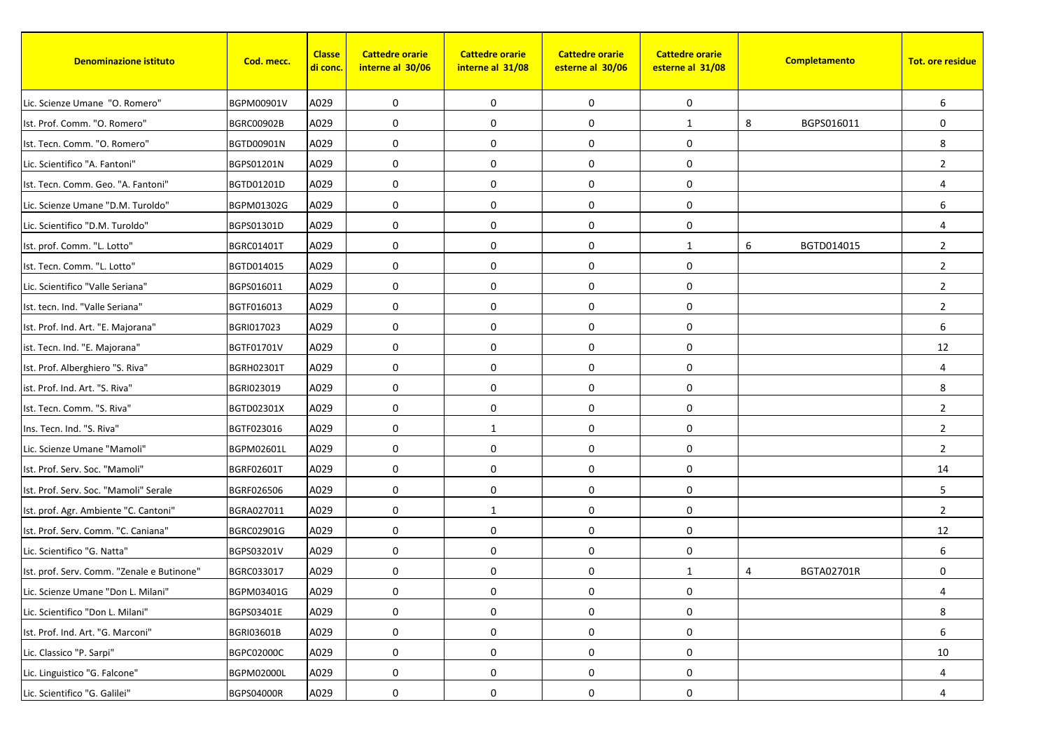| <b>Denominazione istituto</b>              | Cod. mecc.        | <b>Classe</b><br><mark>di conc.</mark> | <b>Cattedre orarie</b><br>interne al 30/06 | <b>Cattedre orarie</b><br>interne al 31/08 | <b>Cattedre orarie</b><br>esterne al 30/06 | <b>Cattedre orarie</b><br>esterne al 31/08 |   | Completamento | <b>Tot. ore residue</b> |
|--------------------------------------------|-------------------|----------------------------------------|--------------------------------------------|--------------------------------------------|--------------------------------------------|--------------------------------------------|---|---------------|-------------------------|
| Lic. Scienze Umane "O. Romero"             | BGPM00901V        | A029                                   | 0                                          | $\mathbf 0$                                | 0                                          | 0                                          |   |               | 6                       |
| Ist. Prof. Comm. "O. Romero"               | <b>BGRC00902B</b> | A029                                   | 0                                          | 0                                          | 0                                          | $\mathbf{1}$                               | 8 | BGPS016011    | $\mathbf 0$             |
| Ist. Tecn. Comm. "O. Romero"               | BGTD00901N        | A029                                   | 0                                          | 0                                          | 0                                          | 0                                          |   |               | 8                       |
| Lic. Scientifico "A. Fantoni"              | BGPS01201N        | A029                                   | $\mathbf 0$                                | 0                                          | 0                                          | 0                                          |   |               | $\overline{2}$          |
| Ist. Tecn. Comm. Geo. "A. Fantoni"         | BGTD01201D        | A029                                   | 0                                          | $\mathbf 0$                                | 0                                          | 0                                          |   |               | 4                       |
| Lic. Scienze Umane "D.M. Turoldo"          | BGPM01302G        | A029                                   | 0                                          | $\mathbf 0$                                | $\pmb{0}$                                  | 0                                          |   |               | 6                       |
| Lic. Scientifico "D.M. Turoldo"            | BGPS01301D        | A029                                   | 0                                          | 0                                          | $\mathbf 0$                                | 0                                          |   |               | 4                       |
| Ist. prof. Comm. "L. Lotto"                | <b>BGRC01401T</b> | A029                                   | $\mathbf 0$                                | $\mathbf 0$                                | 0                                          | $\mathbf{1}$                               | 6 | BGTD014015    | $\overline{2}$          |
| Ist. Tecn. Comm. "L. Lotto"                | BGTD014015        | A029                                   | 0                                          | 0                                          | 0                                          | 0                                          |   |               | $\overline{2}$          |
| Lic. Scientifico "Valle Seriana"           | BGPS016011        | A029                                   | 0                                          | 0                                          | $\pmb{0}$                                  | 0                                          |   |               | $\overline{2}$          |
| Ist. tecn. Ind. "Valle Seriana"            | BGTF016013        | A029                                   | 0                                          | $\mathbf 0$                                | 0                                          | 0                                          |   |               | $\overline{2}$          |
| Ist. Prof. Ind. Art. "E. Majorana"         | BGRI017023        | A029                                   | 0                                          | $\mathbf 0$                                | 0                                          | 0                                          |   |               | 6                       |
| ist. Tecn. Ind. "E. Majorana"              | <b>BGTF01701V</b> | A029                                   | 0                                          | 0                                          | $\pmb{0}$                                  | 0                                          |   |               | 12                      |
| Ist. Prof. Alberghiero "S. Riva"           | BGRH02301T        | A029                                   | 0                                          | $\mathbf 0$                                | $\mathbf 0$                                | 0                                          |   |               | 4                       |
| ist. Prof. Ind. Art. "S. Riva"             | BGRI023019        | A029                                   | 0                                          | 0                                          | $\mathbf 0$                                | 0                                          |   |               | 8                       |
| Ist. Tecn. Comm. "S. Riva"                 | BGTD02301X        | A029                                   | 0                                          | $\mathbf 0$                                | $\pmb{0}$                                  | 0                                          |   |               | $\overline{2}$          |
| Ins. Tecn. Ind. "S. Riva"                  | BGTF023016        | A029                                   | 0                                          | 1                                          | 0                                          | 0                                          |   |               | $\overline{2}$          |
| Lic. Scienze Umane "Mamoli"                | BGPM02601L        | A029                                   | $\mathbf 0$                                | $\mathbf 0$                                | $\mathbf 0$                                | 0                                          |   |               | $\overline{2}$          |
| Ist. Prof. Serv. Soc. "Mamoli"             | BGRF02601T        | A029                                   | 0                                          | $\mathbf 0$                                | 0                                          | 0                                          |   |               | 14                      |
| Ist. Prof. Serv. Soc. "Mamoli" Serale      | BGRF026506        | A029                                   | 0                                          | 0                                          | 0                                          | 0                                          |   |               | 5                       |
| Ist. prof. Agr. Ambiente "C. Cantoni"      | BGRA027011        | A029                                   | 0                                          | 1                                          | $\pmb{0}$                                  | 0                                          |   |               | $\overline{2}$          |
| Ist. Prof. Serv. Comm. "C. Caniana"        | BGRC02901G        | A029                                   | 0                                          | $\mathbf 0$                                | 0                                          | 0                                          |   |               | 12                      |
| Lic. Scientifico "G. Natta"                | BGPS03201V        | A029                                   | 0                                          | 0                                          | 0                                          | 0                                          |   |               | 6                       |
| Ist. prof. Serv. Comm. "Zenale e Butinone" | BGRC033017        | A029                                   | 0                                          | 0                                          | $\pmb{0}$                                  | $\mathbf{1}$                               | 4 | BGTA02701R    | $\mathbf 0$             |
| Lic. Scienze Umane "Don L. Milani"         | BGPM03401G        | A029                                   | 0                                          | 0                                          | 0                                          | $\boldsymbol{0}$                           |   |               | 4                       |
| Lic. Scientifico "Don L. Milani"           | BGPS03401E        | A029                                   | 0                                          | 0                                          | 0                                          | 0                                          |   |               | 8                       |
| Ist. Prof. Ind. Art. "G. Marconi"          | <b>BGRI03601B</b> | A029                                   | 0                                          | 0                                          | 0                                          | 0                                          |   |               | 6                       |
| Lic. Classico "P. Sarpi"                   | BGPC02000C        | A029                                   | 0                                          | 0                                          | 0                                          | 0                                          |   |               | 10                      |
| Lic. Linguistico "G. Falcone"              | <b>BGPM02000L</b> | A029                                   | $\pmb{0}$                                  | 0                                          | 0                                          | 0                                          |   |               | 4                       |
| Lic. Scientifico "G. Galilei"              | <b>BGPS04000R</b> | A029                                   | 0                                          | 0                                          | 0                                          | 0                                          |   |               | 4                       |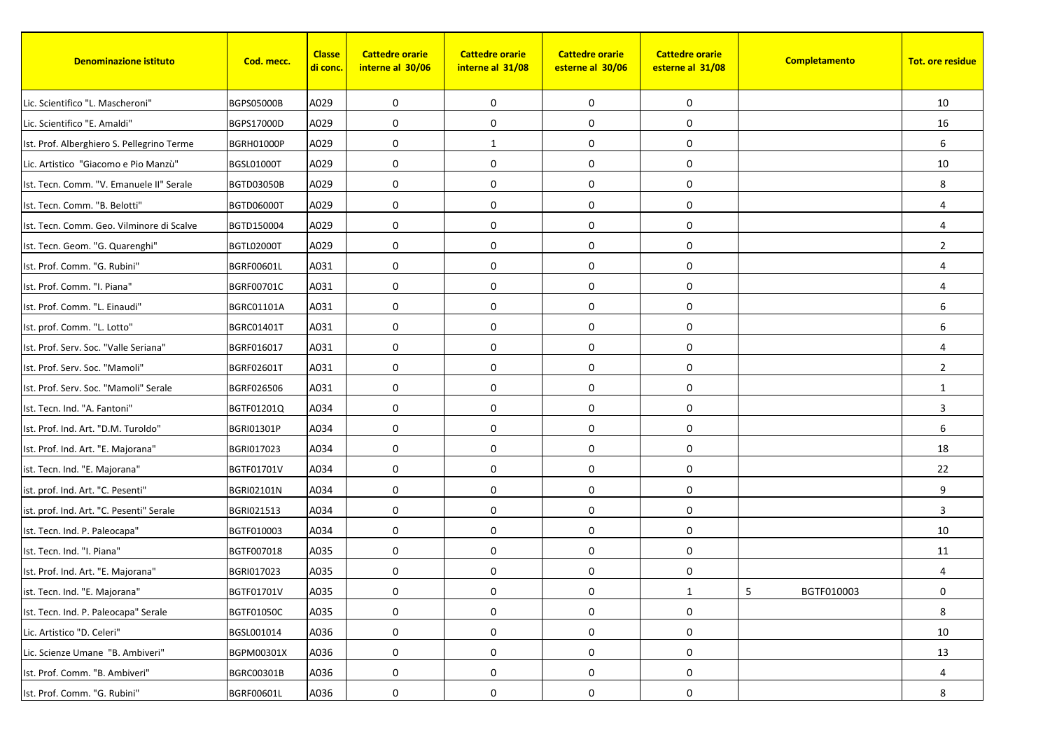| <b>Denominazione istituto</b>              | Cod. mecc.        | <b>Classe</b><br><mark>di conc.</mark> | <b>Cattedre orarie</b><br>interne al 30/06 | <b>Cattedre orarie</b><br>interne al 31/08 | <b>Cattedre orarie</b><br>esterne al 30/06 | <b>Cattedre orarie</b><br>esterne al 31/08 | Completamento   | <b>Tot. ore residue</b> |
|--------------------------------------------|-------------------|----------------------------------------|--------------------------------------------|--------------------------------------------|--------------------------------------------|--------------------------------------------|-----------------|-------------------------|
| Lic. Scientifico "L. Mascheroni"           | <b>BGPS05000B</b> | A029                                   | 0                                          | $\mathbf 0$                                | 0                                          | 0                                          |                 | 10                      |
| Lic. Scientifico "E. Amaldi"               | BGPS17000D        | A029                                   | 0                                          | $\mathbf 0$                                | 0                                          | 0                                          |                 | 16                      |
| Ist. Prof. Alberghiero S. Pellegrino Terme | <b>BGRH01000P</b> | A029                                   | 0                                          | 1                                          | 0                                          | 0                                          |                 | 6                       |
| Lic. Artistico "Giacomo e Pio Manzù"       | <b>BGSL01000T</b> | A029                                   | $\mathbf 0$                                | $\mathbf 0$                                | 0                                          | 0                                          |                 | 10                      |
| Ist. Tecn. Comm. "V. Emanuele II" Serale   | <b>BGTD03050B</b> | A029                                   | 0                                          | $\mathbf 0$                                | 0                                          | 0                                          |                 | 8                       |
| Ist. Tecn. Comm. "B. Belotti"              | <b>BGTD06000T</b> | A029                                   | 0                                          | $\mathbf 0$                                | 0                                          | 0                                          |                 | $\overline{4}$          |
| Ist. Tecn. Comm. Geo. Vilminore di Scalve  | BGTD150004        | A029                                   | 0                                          | 0                                          | $\mathbf 0$                                | 0                                          |                 | $\overline{4}$          |
| Ist. Tecn. Geom. "G. Quarenghi"            | BGTL02000T        | A029                                   | 0                                          | $\mathbf 0$                                | 0                                          | 0                                          |                 | $\overline{2}$          |
| Ist. Prof. Comm. "G. Rubini"               | <b>BGRF00601L</b> | A031                                   | 0                                          | $\mathbf 0$                                | 0                                          | 0                                          |                 | 4                       |
| Ist. Prof. Comm. "I. Piana"                | BGRF00701C        | A031                                   | 0                                          | 0                                          | $\pmb{0}$                                  | 0                                          |                 | $\overline{4}$          |
| Ist. Prof. Comm. "L. Einaudi"              | <b>BGRC01101A</b> | A031                                   | 0                                          | $\mathbf 0$                                | 0                                          | 0                                          |                 | 6                       |
| Ist. prof. Comm. "L. Lotto"                | <b>BGRC01401T</b> | A031                                   | 0                                          | $\mathbf 0$                                | 0                                          | 0                                          |                 | 6                       |
| Ist. Prof. Serv. Soc. "Valle Seriana"      | BGRF016017        | A031                                   | 0                                          | $\mathbf 0$                                | 0                                          | 0                                          |                 | 4                       |
| Ist. Prof. Serv. Soc. "Mamoli"             | BGRF02601T        | A031                                   | 0                                          | $\mathbf 0$                                | $\mathbf 0$                                | 0                                          |                 | $\overline{2}$          |
| Ist. Prof. Serv. Soc. "Mamoli" Serale      | BGRF026506        | A031                                   | $\mathbf 0$                                | 0                                          | 0                                          | 0                                          |                 | 1                       |
| Ist. Tecn. Ind. "A. Fantoni"               | BGTF01201Q        | A034                                   | 0                                          | $\mathbf 0$                                | 0                                          | 0                                          |                 | 3                       |
| Ist. Prof. Ind. Art. "D.M. Turoldo"        | <b>BGRI01301P</b> | A034                                   | 0                                          | $\mathbf 0$                                | 0                                          | 0                                          |                 | 6                       |
| Ist. Prof. Ind. Art. "E. Majorana"         | BGRI017023        | A034                                   | $\mathbf 0$                                | $\mathbf 0$                                | 0                                          | 0                                          |                 | 18                      |
| ist. Tecn. Ind. "E. Majorana"              | BGTF01701V        | A034                                   | 0                                          | $\mathbf 0$                                | 0                                          | 0                                          |                 | 22                      |
| ist. prof. Ind. Art. "C. Pesenti"          | <b>BGRI02101N</b> | A034                                   | 0                                          | $\mathbf 0$                                | 0                                          | 0                                          |                 | 9                       |
| ist. prof. Ind. Art. "C. Pesenti" Serale   | BGRI021513        | A034                                   | 0                                          | $\mathbf 0$                                | 0                                          | 0                                          |                 | $\overline{3}$          |
| Ist. Tecn. Ind. P. Paleocapa"              | BGTF010003        | A034                                   | $\mathbf 0$                                | $\mathbf 0$                                | 0                                          | 0                                          |                 | 10                      |
| Ist. Tecn. Ind. "I. Piana"                 | BGTF007018        | A035                                   | 0                                          | $\mathbf 0$                                | 0                                          | 0                                          |                 | 11                      |
| Ist. Prof. Ind. Art. "E. Majorana"         | BGRI017023        | A035                                   | 0                                          | 0                                          | 0                                          | 0                                          |                 | 4                       |
| ist. Tecn. Ind. "E. Majorana"              | BGTF01701V        | A035                                   | 0                                          | 0                                          | 0                                          | $\mathbf{1}$                               | 5<br>BGTF010003 | 0                       |
| Ist. Tecn. Ind. P. Paleocapa" Serale       | <b>BGTF01050C</b> | A035                                   | 0                                          | 0                                          | 0                                          | 0                                          |                 | 8                       |
| Lic. Artistico "D. Celeri"                 | BGSL001014        | A036                                   | 0                                          | 0                                          | 0                                          | 0                                          |                 | 10                      |
| Lic. Scienze Umane "B. Ambiveri"           | BGPM00301X        | A036                                   | 0                                          | 0                                          | 0                                          | 0                                          |                 | 13                      |
| Ist. Prof. Comm. "B. Ambiveri"             | BGRC00301B        | A036                                   | $\pmb{0}$                                  | 0                                          | 0                                          | 0                                          |                 | 4                       |
| Ist. Prof. Comm. "G. Rubini"               | BGRF00601L        | A036                                   | 0                                          | 0                                          | 0                                          | 0                                          |                 | 8                       |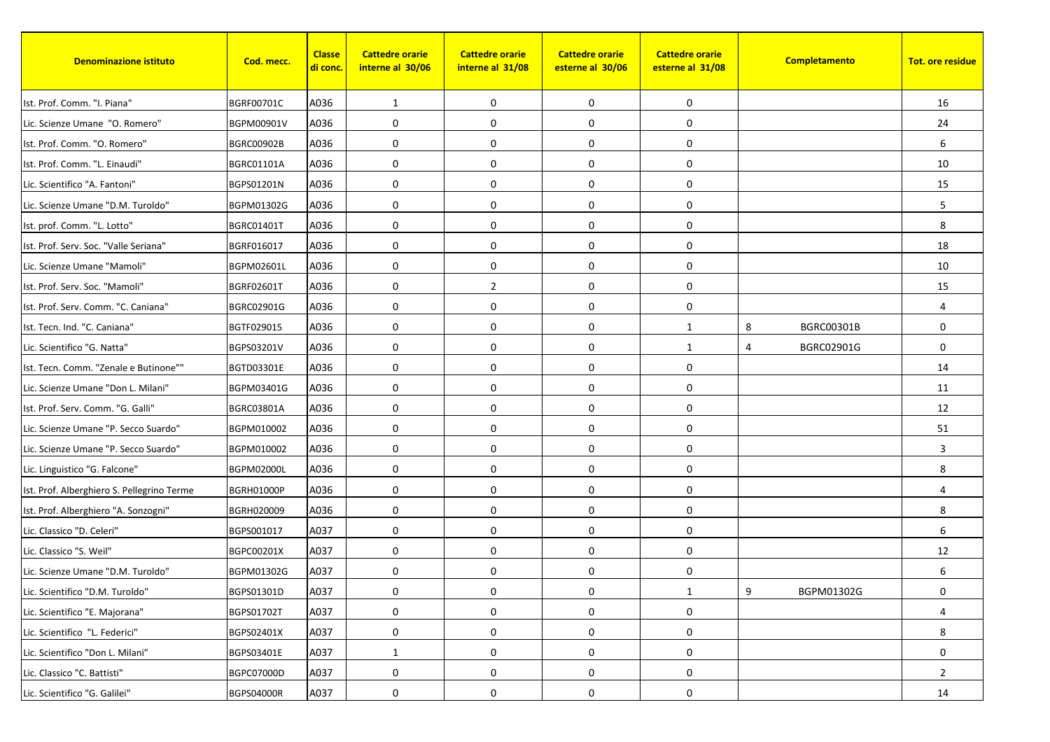| <b>Denominazione istituto</b>              | Cod. mecc.        | <b>Classe</b><br><mark>di conc.</mark> | <b>Cattedre orarie</b><br>interne al 30/06 | <b>Cattedre orarie</b><br>interne al 31/08 | <b>Cattedre orarie</b><br>esterne al 30/06 | <b>Cattedre orarie</b><br>esterne al 31/08 |   | Completamento     | <b>Tot. ore residue</b> |
|--------------------------------------------|-------------------|----------------------------------------|--------------------------------------------|--------------------------------------------|--------------------------------------------|--------------------------------------------|---|-------------------|-------------------------|
| Ist. Prof. Comm. "I. Piana"                | BGRF00701C        | A036                                   | 1                                          | $\mathbf 0$                                | 0                                          | 0                                          |   |                   | 16                      |
| Lic. Scienze Umane "O. Romero"             | BGPM00901V        | A036                                   | 0                                          | $\mathbf 0$                                | 0                                          | 0                                          |   |                   | 24                      |
| Ist. Prof. Comm. "O. Romero"               | <b>BGRC00902B</b> | A036                                   | 0                                          | 0                                          | 0                                          | 0                                          |   |                   | 6                       |
| Ist. Prof. Comm. "L. Einaudi"              | <b>BGRC01101A</b> | A036                                   | $\mathbf 0$                                | 0                                          | 0                                          | 0                                          |   |                   | 10                      |
| Lic. Scientifico "A. Fantoni"              | BGPS01201N        | A036                                   | 0                                          | $\mathbf 0$                                | 0                                          | 0                                          |   |                   | 15                      |
| Lic. Scienze Umane "D.M. Turoldo"          | BGPM01302G        | A036                                   | 0                                          | $\mathbf 0$                                | $\pmb{0}$                                  | 0                                          |   |                   | 5                       |
| Ist. prof. Comm. "L. Lotto"                | <b>BGRC01401T</b> | A036                                   | 0                                          | 0                                          | $\mathbf 0$                                | 0                                          |   |                   | 8                       |
| Ist. Prof. Serv. Soc. "Valle Seriana"      | BGRF016017        | A036                                   | $\mathbf 0$                                | $\mathbf 0$                                | 0                                          | 0                                          |   |                   | 18                      |
| Lic. Scienze Umane "Mamoli"                | BGPM02601L        | A036                                   | 0                                          | 0                                          | 0                                          | 0                                          |   |                   | 10                      |
| Ist. Prof. Serv. Soc. "Mamoli"             | BGRF02601T        | A036                                   | 0                                          | $\overline{2}$                             | $\pmb{0}$                                  | 0                                          |   |                   | 15                      |
| Ist. Prof. Serv. Comm. "C. Caniana"        | BGRC02901G        | A036                                   | 0                                          | $\mathbf 0$                                | 0                                          | 0                                          |   |                   | $\overline{4}$          |
| Ist. Tecn. Ind. "C. Caniana"               | BGTF029015        | A036                                   | 0                                          | $\mathbf 0$                                | 0                                          | $\mathbf{1}$                               | 8 | <b>BGRC00301B</b> | 0                       |
| Lic. Scientifico "G. Natta"                | BGPS03201V        | A036                                   | 0                                          | 0                                          | $\pmb{0}$                                  | $\mathbf{1}$                               | 4 | BGRC02901G        | $\mathbf 0$             |
| Ist. Tecn. Comm. "Zenale e Butinone""      | BGTD03301E        | A036                                   | 0                                          | $\mathbf 0$                                | $\mathbf 0$                                | 0                                          |   |                   | 14                      |
| Lic. Scienze Umane "Don L. Milani"         | BGPM03401G        | A036                                   | $\mathbf 0$                                | 0                                          | 0                                          | 0                                          |   |                   | 11                      |
| Ist. Prof. Serv. Comm. "G. Galli"          | <b>BGRC03801A</b> | A036                                   | 0                                          | $\mathbf 0$                                | $\mathbf 0$                                | 0                                          |   |                   | 12                      |
| Lic. Scienze Umane "P. Secco Suardo"       | BGPM010002        | A036                                   | 0                                          | $\mathbf 0$                                | 0                                          | 0                                          |   |                   | 51                      |
| Lic. Scienze Umane "P. Secco Suardo"       | BGPM010002        | A036                                   | $\mathbf 0$                                | 0                                          | $\mathbf 0$                                | 0                                          |   |                   | 3                       |
| Lic. Linguistico "G. Falcone"              | <b>BGPM02000L</b> | A036                                   | 0                                          | $\mathbf 0$                                | 0                                          | 0                                          |   |                   | 8                       |
| Ist. Prof. Alberghiero S. Pellegrino Terme | <b>BGRH01000P</b> | A036                                   | 0                                          | 0                                          | 0                                          | 0                                          |   |                   | $\overline{4}$          |
| Ist. Prof. Alberghiero "A. Sonzogni"       | BGRH020009        | A036                                   | 0                                          | 0                                          | $\pmb{0}$                                  | 0                                          |   |                   | 8                       |
| Lic. Classico "D. Celeri"                  | BGPS001017        | A037                                   | 0                                          | $\mathbf 0$                                | 0                                          | 0                                          |   |                   | 6                       |
| Lic. Classico "S. Weil"                    | BGPC00201X        | A037                                   | 0                                          | $\mathbf 0$                                | 0                                          | 0                                          |   |                   | 12                      |
| Lic. Scienze Umane "D.M. Turoldo"          | BGPM01302G        | A037                                   | 0                                          | 0                                          | 0                                          | 0                                          |   |                   | 6                       |
| Lic. Scientifico "D.M. Turoldo"            | BGPS01301D        | A037                                   | 0                                          | 0                                          | 0                                          | $\mathbf{1}$                               | 9 | BGPM01302G        | 0                       |
| Lic. Scientifico "E. Majorana"             | BGPS01702T        | A037                                   | 0                                          | 0                                          | 0                                          | 0                                          |   |                   | $\overline{4}$          |
| Lic. Scientifico "L. Federici"             | BGPS02401X        | A037                                   | 0                                          | 0                                          | 0                                          | 0                                          |   |                   | 8                       |
| Lic. Scientifico "Don L. Milani"           | BGPS03401E        | A037                                   | $\mathbf{1}$                               | 0                                          | 0                                          | 0                                          |   |                   | 0                       |
| Lic. Classico "C. Battisti"                | BGPC07000D        | A037                                   | 0                                          | 0                                          | $\pmb{0}$                                  | 0                                          |   |                   | $\overline{2}$          |
| Lic. Scientifico "G. Galilei"              | <b>BGPS04000R</b> | A037                                   | 0                                          | 0                                          | 0                                          | 0                                          |   |                   | 14                      |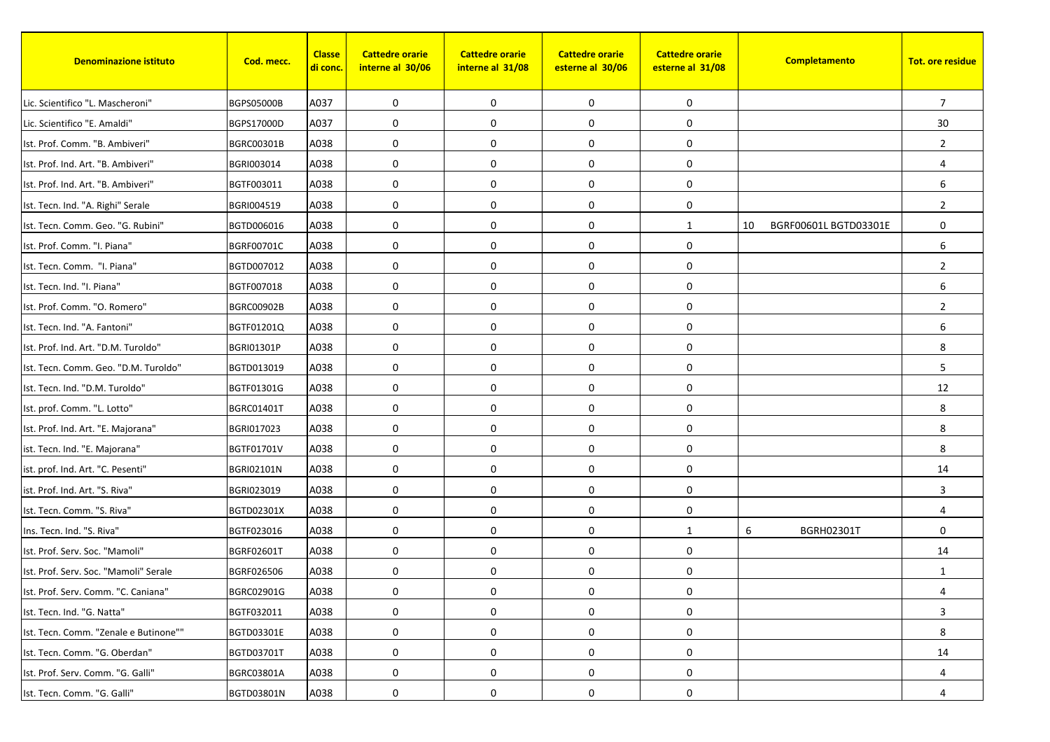| <b>Denominazione istituto</b>         | Cod. mecc.        | <b>Classe</b><br><u>di conc.</u> | <b>Cattedre orarie</b><br>interne al 30/06 | <b>Cattedre orarie</b><br>interne al 31/08 | <b>Cattedre orarie</b><br>esterne al 30/06 | <b>Cattedre orarie</b><br>esterne al 31/08 | Completamento               | <b>Tot. ore residue</b> |
|---------------------------------------|-------------------|----------------------------------|--------------------------------------------|--------------------------------------------|--------------------------------------------|--------------------------------------------|-----------------------------|-------------------------|
| Lic. Scientifico "L. Mascheroni"      | <b>BGPS05000B</b> | A037                             | 0                                          | $\mathbf 0$                                | 0                                          | 0                                          |                             | 7                       |
| Lic. Scientifico "E. Amaldi"          | BGPS17000D        | A037                             | 0                                          | 0                                          | 0                                          | 0                                          |                             | 30                      |
| Ist. Prof. Comm. "B. Ambiveri"        | BGRC00301B        | A038                             | 0                                          | $\mathbf 0$                                | 0                                          | 0                                          |                             | $\overline{2}$          |
| Ist. Prof. Ind. Art. "B. Ambiveri"    | BGRI003014        | A038                             | $\mathbf 0$                                | 0                                          | 0                                          | 0                                          |                             | $\overline{4}$          |
| Ist. Prof. Ind. Art. "B. Ambiveri"    | BGTF003011        | A038                             | 0                                          | 0                                          | $\pmb{0}$                                  | 0                                          |                             | 6                       |
| Ist. Tecn. Ind. "A. Righi" Serale     | BGRI004519        | A038                             | 0                                          | $\mathbf 0$                                | 0                                          | 0                                          |                             | $\overline{2}$          |
| Ist. Tecn. Comm. Geo. "G. Rubini"     | BGTD006016        | A038                             | $\mathbf 0$                                | $\mathbf 0$                                | 0                                          | 1                                          | 10<br>BGRF00601L BGTD03301E | $\mathbf 0$             |
| Ist. Prof. Comm. "I. Piana"           | <b>BGRF00701C</b> | A038                             | 0                                          | $\mathbf 0$                                | 0                                          | 0                                          |                             | 6                       |
| Ist. Tecn. Comm. "I. Piana"           | BGTD007012        | A038                             | 0                                          | $\mathbf 0$                                | 0                                          | 0                                          |                             | $\overline{2}$          |
| Ist. Tecn. Ind. "I. Piana"            | BGTF007018        | A038                             | 0                                          | $\mathbf 0$                                | 0                                          | 0                                          |                             | 6                       |
| Ist. Prof. Comm. "O. Romero"          | <b>BGRC00902B</b> | A038                             | $\mathbf 0$                                | $\mathbf 0$                                | 0                                          | 0                                          |                             | $\overline{2}$          |
| Ist. Tecn. Ind. "A. Fantoni"          | BGTF01201Q        | A038                             | 0                                          | 0                                          | $\pmb{0}$                                  | 0                                          |                             | 6                       |
| Ist. Prof. Ind. Art. "D.M. Turoldo"   | <b>BGRI01301P</b> | A038                             | 0                                          | $\mathbf 0$                                | $\mathbf 0$                                | 0                                          |                             | 8                       |
| Ist. Tecn. Comm. Geo. "D.M. Turoldo"  | BGTD013019        | A038                             | 0                                          | $\mathbf 0$                                | 0                                          | 0                                          |                             | 5                       |
| Ist. Tecn. Ind. "D.M. Turoldo"        | BGTF01301G        | A038                             | 0                                          | $\mathbf 0$                                | 0                                          | 0                                          |                             | 12                      |
| Ist. prof. Comm. "L. Lotto"           | BGRC01401T        | A038                             | 0                                          | 0                                          | 0                                          | 0                                          |                             | 8                       |
| Ist. Prof. Ind. Art. "E. Majorana"    | BGRI017023        | A038                             | 0                                          | 0                                          | 0                                          | 0                                          |                             | 8                       |
| ist. Tecn. Ind. "E. Majorana"         | BGTF01701V        | A038                             | 0                                          | $\mathbf 0$                                | 0                                          | 0                                          |                             | 8                       |
| ist. prof. Ind. Art. "C. Pesenti"     | <b>BGRI02101N</b> | A038                             | 0                                          | $\mathbf 0$                                | 0                                          | 0                                          |                             | 14                      |
| ist. Prof. Ind. Art. "S. Riva"        | BGRI023019        | A038                             | 0                                          | $\mathbf 0$                                | 0                                          | 0                                          |                             | 3                       |
| Ist. Tecn. Comm. "S. Riva"            | BGTD02301X        | A038                             | 0                                          | 0                                          | $\mathbf 0$                                | 0                                          |                             | 4                       |
| Ins. Tecn. Ind. "S. Riva"             | BGTF023016        | A038                             | $\mathbf 0$                                | 0                                          | $\mathbf 0$                                | $\mathbf{1}$                               | 6<br>BGRH02301T             | $\mathbf 0$             |
| Ist. Prof. Serv. Soc. "Mamoli"        | BGRF02601T        | A038                             | 0                                          | $\mathbf 0$                                | 0                                          | 0                                          |                             | 14                      |
| Ist. Prof. Serv. Soc. "Mamoli" Serale | BGRF026506        | A038                             | 0                                          | $\mathbf 0$                                | 0                                          | 0                                          |                             | 1                       |
| Ist. Prof. Serv. Comm. "C. Caniana"   | BGRC02901G        | A038                             | 0                                          | 0                                          | 0                                          | $\boldsymbol{0}$                           |                             | 4                       |
| Ist. Tecn. Ind. "G. Natta"            | BGTF032011        | A038                             | 0                                          | $\mathbf 0$                                | 0                                          | 0                                          |                             | 3                       |
| Ist. Tecn. Comm. "Zenale e Butinone"" | BGTD03301E        | A038                             | 0                                          | 0                                          | 0                                          | 0                                          |                             | 8                       |
| Ist. Tecn. Comm. "G. Oberdan"         | BGTD03701T        | A038                             | 0                                          | 0                                          | 0                                          | 0                                          |                             | 14                      |
| Ist. Prof. Serv. Comm. "G. Galli"     | BGRC03801A        | A038                             | 0                                          | 0                                          | 0                                          | 0                                          |                             | $\overline{4}$          |
| Ist. Tecn. Comm. "G. Galli"           | BGTD03801N        | A038                             | 0                                          | 0                                          | 0                                          | 0                                          |                             | 4                       |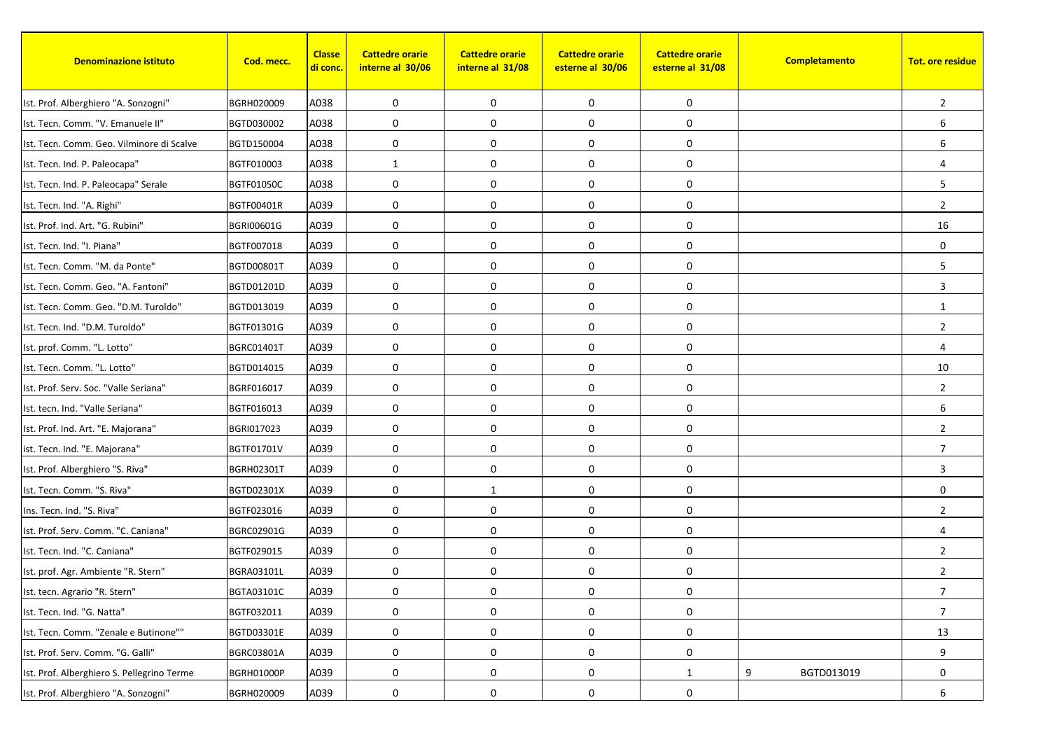| <b>Denominazione istituto</b>              | Cod. mecc.        | <b>Classe</b><br><mark>di conc.</mark> | <b>Cattedre orarie</b><br>interne al 30/06 | <b>Cattedre orarie</b><br>interne al 31/08 | <b>Cattedre orarie</b><br>esterne al 30/06 | <b>Cattedre orarie</b><br>esterne al 31/08 | Completamento   | <b>Tot. ore residue</b> |
|--------------------------------------------|-------------------|----------------------------------------|--------------------------------------------|--------------------------------------------|--------------------------------------------|--------------------------------------------|-----------------|-------------------------|
| Ist. Prof. Alberghiero "A. Sonzogni"       | BGRH020009        | A038                                   | 0                                          | $\mathbf 0$                                | 0                                          | 0                                          |                 | $\overline{2}$          |
| Ist. Tecn. Comm. "V. Emanuele II"          | BGTD030002        | A038                                   | 0                                          | 0                                          | 0                                          | 0                                          |                 | 6                       |
| Ist. Tecn. Comm. Geo. Vilminore di Scalve  | BGTD150004        | A038                                   | 0                                          | 0                                          | 0                                          | 0                                          |                 | 6                       |
| Ist. Tecn. Ind. P. Paleocapa"              | BGTF010003        | A038                                   | $\mathbf{1}$                               | $\mathbf 0$                                | 0                                          | 0                                          |                 | $\overline{4}$          |
| Ist. Tecn. Ind. P. Paleocapa" Serale       | <b>BGTF01050C</b> | A038                                   | 0                                          | $\mathbf 0$                                | 0                                          | 0                                          |                 | 5                       |
| Ist. Tecn. Ind. "A. Righi"                 | BGTF00401R        | A039                                   | 0                                          | $\mathbf 0$                                | 0                                          | 0                                          |                 | $\overline{2}$          |
| Ist. Prof. Ind. Art. "G. Rubini"           | BGRI00601G        | A039                                   | 0                                          | 0                                          | $\mathbf 0$                                | 0                                          |                 | 16                      |
| Ist. Tecn. Ind. "I. Piana"                 | BGTF007018        | A039                                   | $\mathbf 0$                                | $\mathbf 0$                                | 0                                          | 0                                          |                 | $\mathbf 0$             |
| Ist. Tecn. Comm. "M. da Ponte"             | BGTD00801T        | A039                                   | 0                                          | 0                                          | 0                                          | 0                                          |                 | 5                       |
| Ist. Tecn. Comm. Geo. "A. Fantoni"         | BGTD01201D        | A039                                   | 0                                          | 0                                          | $\pmb{0}$                                  | 0                                          |                 | 3                       |
| Ist. Tecn. Comm. Geo. "D.M. Turoldo"       | BGTD013019        | A039                                   | 0                                          | $\mathbf 0$                                | 0                                          | 0                                          |                 | 1                       |
| Ist. Tecn. Ind. "D.M. Turoldo"             | BGTF01301G        | A039                                   | 0                                          | $\mathbf 0$                                | 0                                          | 0                                          |                 | $\overline{2}$          |
| Ist. prof. Comm. "L. Lotto"                | <b>BGRC01401T</b> | A039                                   | 0                                          | 0                                          | $\pmb{0}$                                  | 0                                          |                 | $\overline{4}$          |
| Ist. Tecn. Comm. "L. Lotto"                | BGTD014015        | A039                                   | 0                                          | $\mathbf 0$                                | $\mathbf 0$                                | 0                                          |                 | 10                      |
| Ist. Prof. Serv. Soc. "Valle Seriana"      | BGRF016017        | A039                                   | 0                                          | 0                                          | 0                                          | 0                                          |                 | $\overline{2}$          |
| Ist. tecn. Ind. "Valle Seriana"            | BGTF016013        | A039                                   | 0                                          | $\mathbf 0$                                | $\pmb{0}$                                  | 0                                          |                 | 6                       |
| Ist. Prof. Ind. Art. "E. Majorana"         | BGRI017023        | A039                                   | 0                                          | $\mathbf 0$                                | 0                                          | 0                                          |                 | $\overline{2}$          |
| ist. Tecn. Ind. "E. Majorana"              | BGTF01701V        | A039                                   | $\mathbf 0$                                | $\mathbf 0$                                | 0                                          | 0                                          |                 | $\overline{7}$          |
| Ist. Prof. Alberghiero "S. Riva"           | <b>BGRH02301T</b> | A039                                   | 0                                          | $\mathbf 0$                                | 0                                          | 0                                          |                 | 3                       |
| Ist. Tecn. Comm. "S. Riva"                 | BGTD02301X        | A039                                   | 0                                          | 1                                          | 0                                          | 0                                          |                 | $\mathbf 0$             |
| Ins. Tecn. Ind. "S. Riva"                  | BGTF023016        | A039                                   | 0                                          | $\mathbf 0$                                | $\pmb{0}$                                  | 0                                          |                 | $\overline{2}$          |
| Ist. Prof. Serv. Comm. "C. Caniana"        | BGRC02901G        | A039                                   | 0                                          | $\mathbf 0$                                | 0                                          | 0                                          |                 | $\overline{4}$          |
| Ist. Tecn. Ind. "C. Caniana"               | BGTF029015        | A039                                   | 0                                          | $\mathbf 0$                                | 0                                          | 0                                          |                 | $\overline{2}$          |
| Ist. prof. Agr. Ambiente "R. Stern"        | BGRA03101L        | A039                                   | 0                                          | 0                                          | 0                                          | 0                                          |                 | $\overline{2}$          |
| Ist. tecn. Agrario "R. Stern"              | BGTA03101C        | A039                                   | 0                                          | 0                                          | 0                                          | 0                                          |                 | 7                       |
| Ist. Tecn. Ind. "G. Natta"                 | BGTF032011        | A039                                   | 0                                          | $\mathbf 0$                                | 0                                          | $\boldsymbol{0}$                           |                 | $\overline{7}$          |
| Ist. Tecn. Comm. "Zenale e Butinone""      | BGTD03301E        | A039                                   | 0                                          | $\boldsymbol{0}$                           | $\pmb{0}$                                  | $\boldsymbol{0}$                           |                 | 13                      |
| Ist. Prof. Serv. Comm. "G. Galli"          | BGRC03801A        | A039                                   | 0                                          | $\mathbf 0$                                | $\pmb{0}$                                  | $\mathbf 0$                                |                 | 9                       |
| Ist. Prof. Alberghiero S. Pellegrino Terme | BGRH01000P        | A039                                   | $\pmb{0}$                                  | $\boldsymbol{0}$                           | $\pmb{0}$                                  | $\mathbf{1}$                               | 9<br>BGTD013019 | 0                       |
| Ist. Prof. Alberghiero "A. Sonzogni"       | BGRH020009        | A039                                   | 0                                          | 0                                          | $\pmb{0}$                                  | 0                                          |                 | 6                       |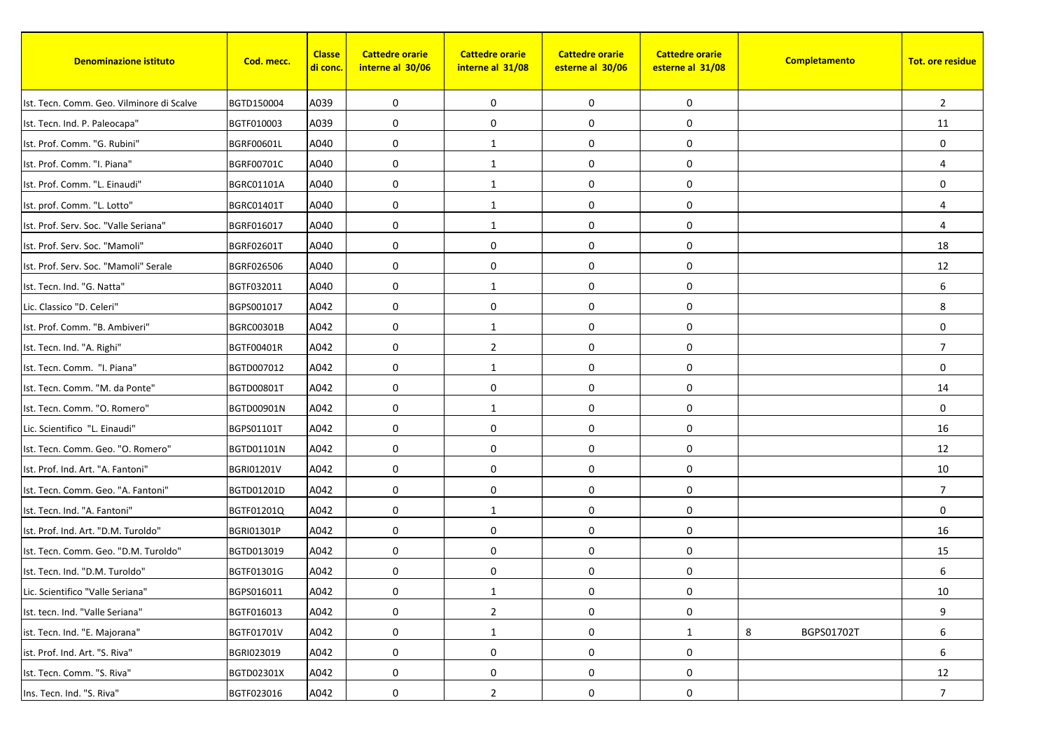| <b>Denominazione istituto</b>             | Cod. mecc.        | <b>Classe</b><br><mark>di conc.</mark> | <b>Cattedre orarie</b><br>interne al 30/06 | <b>Cattedre orarie</b><br>interne al 31/08 | <b>Cattedre orarie</b><br>esterne al 30/06 | <b>Cattedre orarie</b><br>esterne al 31/08 | Completamento   | <b>Tot. ore residue</b> |
|-------------------------------------------|-------------------|----------------------------------------|--------------------------------------------|--------------------------------------------|--------------------------------------------|--------------------------------------------|-----------------|-------------------------|
| Ist. Tecn. Comm. Geo. Vilminore di Scalve | BGTD150004        | A039                                   | 0                                          | $\mathbf 0$                                | 0                                          | 0                                          |                 | $\overline{2}$          |
| Ist. Tecn. Ind. P. Paleocapa"             | BGTF010003        | A039                                   | 0                                          | $\mathbf 0$                                | 0                                          | 0                                          |                 | 11                      |
| Ist. Prof. Comm. "G. Rubini"              | BGRF00601L        | A040                                   | 0                                          | 1                                          | 0                                          | 0                                          |                 | $\mathbf 0$             |
| Ist. Prof. Comm. "I. Piana"               | BGRF00701C        | A040                                   | $\mathbf 0$                                | 1                                          | 0                                          | 0                                          |                 | $\overline{4}$          |
| Ist. Prof. Comm. "L. Einaudi"             | <b>BGRC01101A</b> | A040                                   | 0                                          | 1                                          | 0                                          | 0                                          |                 | $\mathbf 0$             |
| Ist. prof. Comm. "L. Lotto"               | BGRC01401T        | A040                                   | 0                                          | 1                                          | 0                                          | 0                                          |                 | $\overline{4}$          |
| Ist. Prof. Serv. Soc. "Valle Seriana"     | BGRF016017        | A040                                   | 0                                          | 1                                          | $\mathbf 0$                                | 0                                          |                 | $\overline{4}$          |
| Ist. Prof. Serv. Soc. "Mamoli"            | <b>BGRF02601T</b> | A040                                   | 0                                          | $\mathbf 0$                                | 0                                          | 0                                          |                 | 18                      |
| Ist. Prof. Serv. Soc. "Mamoli" Serale     | BGRF026506        | A040                                   | 0                                          | 0                                          | 0                                          | 0                                          |                 | 12                      |
| Ist. Tecn. Ind. "G. Natta"                | BGTF032011        | A040                                   | 0                                          | 1                                          | $\pmb{0}$                                  | 0                                          |                 | 6                       |
| Lic. Classico "D. Celeri"                 | BGPS001017        | A042                                   | 0                                          | $\mathbf 0$                                | 0                                          | 0                                          |                 | 8                       |
| Ist. Prof. Comm. "B. Ambiveri"            | BGRC00301B        | A042                                   | 0                                          | 1                                          | 0                                          | 0                                          |                 | 0                       |
| Ist. Tecn. Ind. "A. Righi"                | <b>BGTF00401R</b> | A042                                   | 0                                          | $\overline{2}$                             | $\pmb{0}$                                  | 0                                          |                 | $\overline{7}$          |
| Ist. Tecn. Comm. "I. Piana"               | BGTD007012        | A042                                   | 0                                          | 1                                          | $\mathbf 0$                                | 0                                          |                 | $\Omega$                |
| Ist. Tecn. Comm. "M. da Ponte"            | BGTD00801T        | A042                                   | $\mathbf 0$                                | 0                                          | 0                                          | 0                                          |                 | 14                      |
| Ist. Tecn. Comm. "O. Romero"              | BGTD00901N        | A042                                   | 0                                          | 1                                          | 0                                          | 0                                          |                 | $\mathbf 0$             |
| Lic. Scientifico "L. Einaudi"             | BGPS01101T        | A042                                   | 0                                          | $\mathbf 0$                                | 0                                          | 0                                          |                 | 16                      |
| Ist. Tecn. Comm. Geo. "O. Romero"         | BGTD01101N        | A042                                   | 0                                          | $\mathbf 0$                                | 0                                          | 0                                          |                 | 12                      |
| Ist. Prof. Ind. Art. "A. Fantoni"         | <b>BGRI01201V</b> | A042                                   | 0                                          | $\mathbf 0$                                | 0                                          | 0                                          |                 | 10                      |
| Ist. Tecn. Comm. Geo. "A. Fantoni"        | BGTD01201D        | A042                                   | 0                                          | 0                                          | 0                                          | 0                                          |                 | $\overline{7}$          |
| Ist. Tecn. Ind. "A. Fantoni"              | BGTF01201Q        | A042                                   | 0                                          | 1                                          | 0                                          | 0                                          |                 | $\mathbf 0$             |
| Ist. Prof. Ind. Art. "D.M. Turoldo"       | BGRI01301P        | A042                                   | 0                                          | $\mathbf 0$                                | 0                                          | 0                                          |                 | 16                      |
| Ist. Tecn. Comm. Geo. "D.M. Turoldo"      | BGTD013019        | A042                                   | 0                                          | $\mathbf 0$                                | 0                                          | 0                                          |                 | 15                      |
| Ist. Tecn. Ind. "D.M. Turoldo"            | BGTF01301G        | A042                                   | 0                                          | 0                                          | 0                                          | 0                                          |                 | 6                       |
| Lic. Scientifico "Valle Seriana"          | BGPS016011        | A042                                   | 0                                          | $\mathbf{1}$                               | 0                                          | $\boldsymbol{0}$                           |                 | $10\,$                  |
| Ist. tecn. Ind. "Valle Seriana"           | BGTF016013        | A042                                   | 0                                          | $\overline{2}$                             | 0                                          | 0                                          |                 | 9                       |
| ist. Tecn. Ind. "E. Majorana"             | BGTF01701V        | A042                                   | 0                                          | $\mathbf{1}$                               | 0                                          | $\mathbf{1}$                               | 8<br>BGPS01702T | 6                       |
| ist. Prof. Ind. Art. "S. Riva"            | BGRI023019        | A042                                   | 0                                          | $\pmb{0}$                                  | $\pmb{0}$                                  | $\boldsymbol{0}$                           |                 | 6                       |
| Ist. Tecn. Comm. "S. Riva"                | BGTD02301X        | A042                                   | $\pmb{0}$                                  | 0                                          | 0                                          | 0                                          |                 | 12                      |
| Ins. Tecn. Ind. "S. Riva"                 | BGTF023016        | A042                                   | 0                                          | $\overline{2}$                             | 0                                          | 0                                          |                 | 7                       |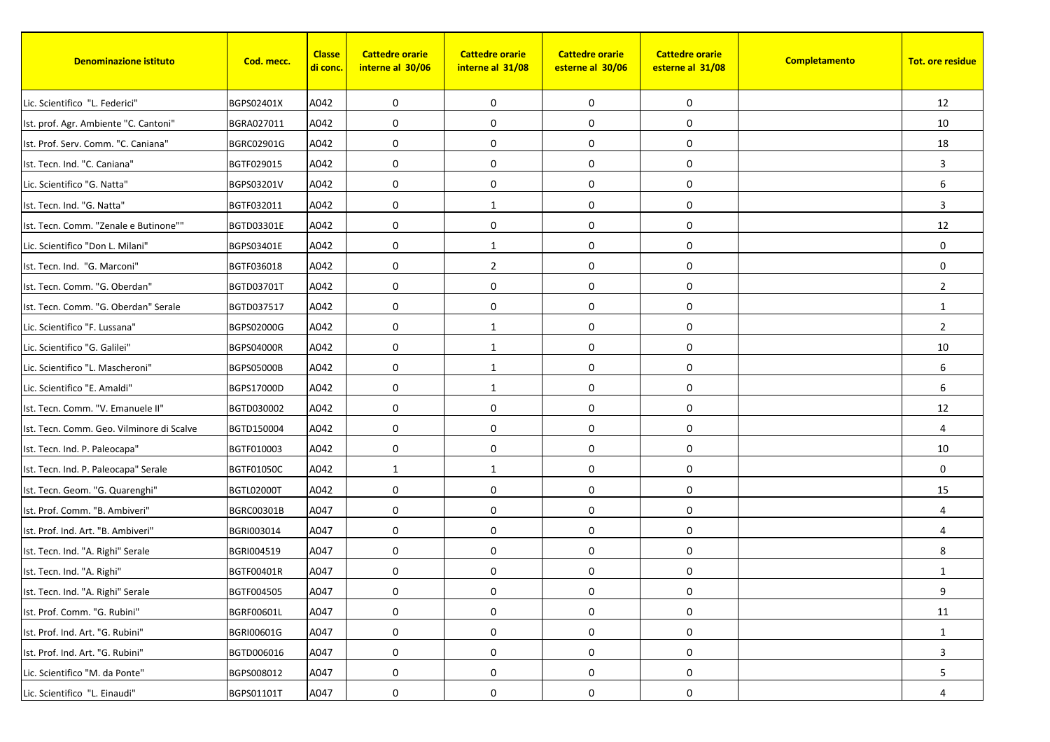| <b>Denominazione istituto</b>             | Cod. mecc.        | <b>Classe</b><br><u>di conc.</u> | <b>Cattedre orarie</b><br>interne al 30/06 | <b>Cattedre orarie</b><br>interne al 31/08 | <b>Cattedre orarie</b><br>esterne al 30/06 | <b>Cattedre orarie</b><br>esterne al 31/08 | Completamento | <b>Tot. ore residue</b> |
|-------------------------------------------|-------------------|----------------------------------|--------------------------------------------|--------------------------------------------|--------------------------------------------|--------------------------------------------|---------------|-------------------------|
| Lic. Scientifico "L. Federici"            | BGPS02401X        | A042                             | 0                                          | 0                                          | 0                                          | 0                                          |               | 12                      |
| Ist. prof. Agr. Ambiente "C. Cantoni"     | BGRA027011        | A042                             | 0                                          | $\mathbf 0$                                | 0                                          | 0                                          |               | 10                      |
| Ist. Prof. Serv. Comm. "C. Caniana"       | BGRC02901G        | A042                             | 0                                          | 0                                          | 0                                          | 0                                          |               | 18                      |
| Ist. Tecn. Ind. "C. Caniana"              | BGTF029015        | A042                             | $\mathbf 0$                                | 0                                          | 0                                          | 0                                          |               | 3                       |
| Lic. Scientifico "G. Natta"               | BGPS03201V        | A042                             | 0                                          | $\mathbf 0$                                | 0                                          | 0                                          |               | 6                       |
| Ist. Tecn. Ind. "G. Natta"                | BGTF032011        | A042                             | 0                                          | 1                                          | 0                                          | 0                                          |               | 3                       |
| Ist. Tecn. Comm. "Zenale e Butinone""     | BGTD03301E        | A042                             | $\mathbf 0$                                | $\mathbf 0$                                | $\mathbf 0$                                | 0                                          |               | 12                      |
| Lic. Scientifico "Don L. Milani"          | BGPS03401E        | A042                             | $\mathbf 0$                                | 1                                          | 0                                          | 0                                          |               | $\mathbf 0$             |
| Ist. Tecn. Ind. "G. Marconi"              | BGTF036018        | A042                             | 0                                          | $\overline{2}$                             | 0                                          | 0                                          |               | 0                       |
| Ist. Tecn. Comm. "G. Oberdan"             | BGTD03701T        | A042                             | 0                                          | $\mathbf 0$                                | 0                                          | 0                                          |               | $\overline{2}$          |
| Ist. Tecn. Comm. "G. Oberdan" Serale      | BGTD037517        | A042                             | $\mathbf 0$                                | 0                                          | 0                                          | 0                                          |               | 1                       |
| Lic. Scientifico "F. Lussana"             | BGPS02000G        | A042                             | 0                                          | 1                                          | 0                                          | 0                                          |               | $\overline{2}$          |
| Lic. Scientifico "G. Galilei"             | <b>BGPS04000R</b> | A042                             | 0                                          | $\mathbf{1}$                               | $\pmb{0}$                                  | 0                                          |               | 10                      |
| Lic. Scientifico "L. Mascheroni"          | <b>BGPS05000B</b> | A042                             | $\mathbf 0$                                | $\mathbf{1}$                               | $\mathbf 0$                                | 0                                          |               | 6                       |
| Lic. Scientifico "E. Amaldi"              | BGPS17000D        | A042                             | $\mathbf 0$                                | 1                                          | 0                                          | 0                                          |               | 6                       |
| Ist. Tecn. Comm. "V. Emanuele II"         | BGTD030002        | A042                             | 0                                          | 0                                          | 0                                          | 0                                          |               | 12                      |
| Ist. Tecn. Comm. Geo. Vilminore di Scalve | BGTD150004        | A042                             | 0                                          | 0                                          | 0                                          | 0                                          |               | $\overline{4}$          |
| Ist. Tecn. Ind. P. Paleocapa"             | BGTF010003        | A042                             | $\mathbf 0$                                | 0                                          | 0                                          | 0                                          |               | 10                      |
| Ist. Tecn. Ind. P. Paleocapa" Serale      | <b>BGTF01050C</b> | A042                             | 1                                          | 1                                          | 0                                          | 0                                          |               | $\mathbf 0$             |
| Ist. Tecn. Geom. "G. Quarenghi"           | <b>BGTL02000T</b> | A042                             | 0                                          | 0                                          | $\boldsymbol{0}$                           | 0                                          |               | 15                      |
| Ist. Prof. Comm. "B. Ambiveri"            | BGRC00301B        | A047                             | 0                                          | 0                                          | 0                                          | 0                                          |               | $\overline{4}$          |
| Ist. Prof. Ind. Art. "B. Ambiveri"        | BGRI003014        | A047                             | $\mathbf 0$                                | 0                                          | 0                                          | 0                                          |               | $\overline{4}$          |
| Ist. Tecn. Ind. "A. Righi" Serale         | BGRI004519        | A047                             | 0                                          | 0                                          | 0                                          | 0                                          |               | 8                       |
| Ist. Tecn. Ind. "A. Righi"                | BGTF00401R        | A047                             | 0                                          | 0                                          | 0                                          | 0                                          |               | 1                       |
| Ist. Tecn. Ind. "A. Righi" Serale         | BGTF004505        | A047                             | 0                                          | 0                                          | 0                                          | 0                                          |               | 9                       |
| Ist. Prof. Comm. "G. Rubini"              | <b>BGRF00601L</b> | A047                             | 0                                          | 0                                          | 0                                          | 0                                          |               | 11                      |
| Ist. Prof. Ind. Art. "G. Rubini"          | BGRI00601G        | A047                             | 0                                          | 0                                          | $\boldsymbol{0}$                           | 0                                          |               | 1                       |
| Ist. Prof. Ind. Art. "G. Rubini"          | BGTD006016        | A047                             | 0                                          | $\mathbf 0$                                | 0                                          | 0                                          |               | 3                       |
| Lic. Scientifico "M. da Ponte"            | BGPS008012        | A047                             | $\boldsymbol{0}$                           | $\mathbf 0$                                | $\boldsymbol{0}$                           | 0                                          |               | 5                       |
| Lic. Scientifico "L. Einaudi"             | BGPS01101T        | A047                             | 0                                          | 0                                          | 0                                          | 0                                          |               | 4                       |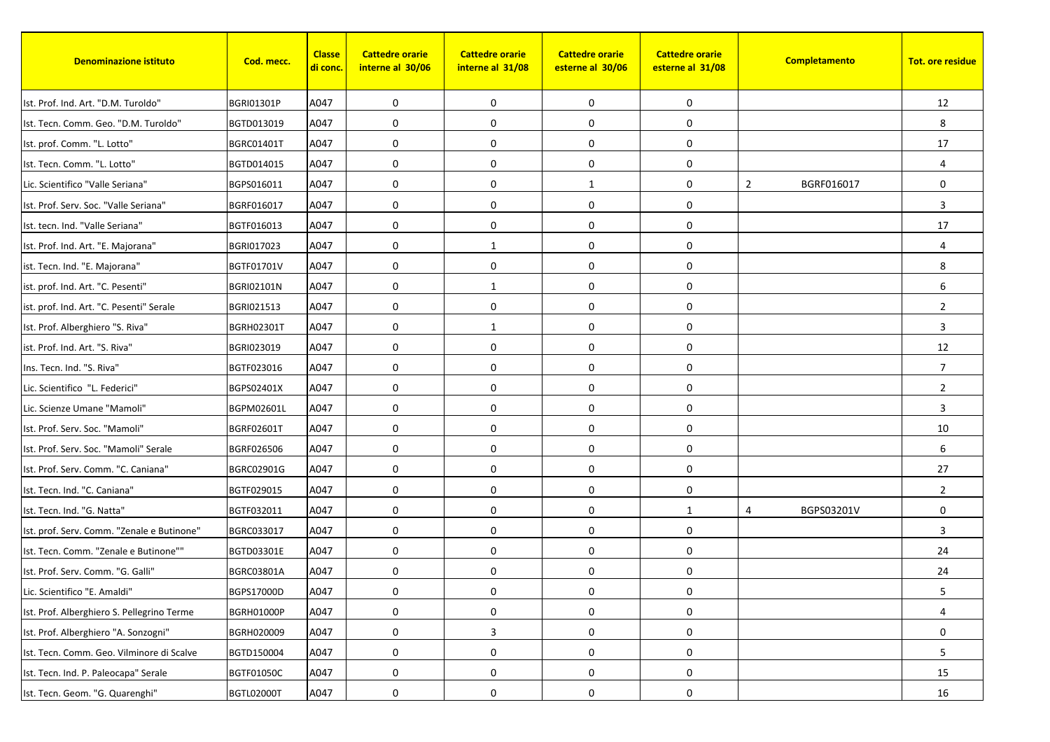| <b>Denominazione istituto</b>              | Cod. mecc.        | <b>Classe</b><br><mark>di conc.</mark> | <b>Cattedre orarie</b><br>interne al 30/06 | <b>Cattedre orarie</b><br>interne al 31/08 | <b>Cattedre orarie</b><br>esterne al 30/06 | <b>Cattedre orarie</b><br>esterne al 31/08 | Completamento                | <b>Tot. ore residue</b> |
|--------------------------------------------|-------------------|----------------------------------------|--------------------------------------------|--------------------------------------------|--------------------------------------------|--------------------------------------------|------------------------------|-------------------------|
| Ist. Prof. Ind. Art. "D.M. Turoldo"        | BGRI01301P        | A047                                   | 0                                          | $\mathbf 0$                                | 0                                          | 0                                          |                              | 12                      |
| Ist. Tecn. Comm. Geo. "D.M. Turoldo"       | BGTD013019        | A047                                   | 0                                          | 0                                          | 0                                          | 0                                          |                              | 8                       |
| Ist. prof. Comm. "L. Lotto"                | <b>BGRC01401T</b> | A047                                   | 0                                          | 0                                          | 0                                          | 0                                          |                              | 17                      |
| Ist. Tecn. Comm. "L. Lotto"                | BGTD014015        | A047                                   | 0                                          | 0                                          | 0                                          | 0                                          |                              | $\overline{4}$          |
| Lic. Scientifico "Valle Seriana"           | BGPS016011        | A047                                   | 0                                          | $\mathbf 0$                                | 1                                          | 0                                          | $\overline{2}$<br>BGRF016017 | $\mathbf 0$             |
| Ist. Prof. Serv. Soc. "Valle Seriana"      | BGRF016017        | A047                                   | 0                                          | $\mathbf 0$                                | $\pmb{0}$                                  | 0                                          |                              | 3                       |
| Ist. tecn. Ind. "Valle Seriana"            | BGTF016013        | A047                                   | 0                                          | 0                                          | $\mathbf 0$                                | 0                                          |                              | 17                      |
| Ist. Prof. Ind. Art. "E. Majorana"         | BGRI017023        | A047                                   | $\mathbf 0$                                | 1                                          | 0                                          | 0                                          |                              | $\overline{4}$          |
| ist. Tecn. Ind. "E. Majorana"              | <b>BGTF01701V</b> | A047                                   | 0                                          | 0                                          | 0                                          | 0                                          |                              | 8                       |
| ist. prof. Ind. Art. "C. Pesenti"          | <b>BGRI02101N</b> | A047                                   | 0                                          | 1                                          | $\pmb{0}$                                  | 0                                          |                              | 6                       |
| ist. prof. Ind. Art. "C. Pesenti" Serale   | BGRI021513        | A047                                   | 0                                          | $\mathbf 0$                                | 0                                          | 0                                          |                              | $\overline{2}$          |
| Ist. Prof. Alberghiero "S. Riva"           | <b>BGRH02301T</b> | A047                                   | 0                                          | 1                                          | 0                                          | 0                                          |                              | 3                       |
| ist. Prof. Ind. Art. "S. Riva"             | BGRI023019        | A047                                   | 0                                          | 0                                          | $\pmb{0}$                                  | 0                                          |                              | 12                      |
| Ins. Tecn. Ind. "S. Riva"                  | BGTF023016        | A047                                   | 0                                          | $\mathbf 0$                                | $\mathbf 0$                                | 0                                          |                              | $\overline{7}$          |
| Lic. Scientifico "L. Federici"             | BGPS02401X        | A047                                   | 0                                          | 0                                          | $\mathbf 0$                                | 0                                          |                              | $\overline{2}$          |
| Lic. Scienze Umane "Mamoli"                | BGPM02601L        | A047                                   | 0                                          | $\mathbf 0$                                | $\mathbf 0$                                | 0                                          |                              | 3                       |
| Ist. Prof. Serv. Soc. "Mamoli"             | BGRF02601T        | A047                                   | 0                                          | $\mathbf 0$                                | 0                                          | 0                                          |                              | 10                      |
| Ist. Prof. Serv. Soc. "Mamoli" Serale      | BGRF026506        | A047                                   | $\mathbf 0$                                | 0                                          | $\mathbf 0$                                | 0                                          |                              | 6                       |
| Ist. Prof. Serv. Comm. "C. Caniana"        | BGRC02901G        | A047                                   | 0                                          | $\mathbf 0$                                | 0                                          | 0                                          |                              | 27                      |
| Ist. Tecn. Ind. "C. Caniana"               | BGTF029015        | A047                                   | 0                                          | 0                                          | 0                                          | 0                                          |                              | $\overline{2}$          |
| Ist. Tecn. Ind. "G. Natta"                 | BGTF032011        | A047                                   | 0                                          | 0                                          | $\pmb{0}$                                  | $\mathbf{1}$                               | BGPS03201V<br>4              | 0                       |
| Ist. prof. Serv. Comm. "Zenale e Butinone" | BGRC033017        | A047                                   | 0                                          | $\mathbf 0$                                | 0                                          | 0                                          |                              | 3                       |
| Ist. Tecn. Comm. "Zenale e Butinone""      | BGTD03301E        | A047                                   | 0                                          | 0                                          | 0                                          | 0                                          |                              | 24                      |
| Ist. Prof. Serv. Comm. "G. Galli"          | BGRC03801A        | A047                                   | 0                                          | 0                                          | $\mathbf 0$                                | 0                                          |                              | 24                      |
| Lic. Scientifico "E. Amaldi"               | BGPS17000D        | A047                                   | 0                                          | 0                                          | 0                                          | $\boldsymbol{0}$                           |                              | 5                       |
| Ist. Prof. Alberghiero S. Pellegrino Terme | BGRH01000P        | A047                                   | 0                                          | $\mathbf 0$                                | 0                                          | $\boldsymbol{0}$                           |                              | 4                       |
| Ist. Prof. Alberghiero "A. Sonzogni"       | BGRH020009        | A047                                   | 0                                          | 3                                          | $\pmb{0}$                                  | $\boldsymbol{0}$                           |                              | $\mathbf 0$             |
| Ist. Tecn. Comm. Geo. Vilminore di Scalve  | BGTD150004        | A047                                   | 0                                          | $\boldsymbol{0}$                           | $\pmb{0}$                                  | $\boldsymbol{0}$                           |                              | 5                       |
| Ist. Tecn. Ind. P. Paleocapa" Serale       | BGTF01050C        | A047                                   | 0                                          | $\boldsymbol{0}$                           | $\pmb{0}$                                  | 0                                          |                              | 15                      |
| Ist. Tecn. Geom. "G. Quarenghi"            | <b>BGTL02000T</b> | A047                                   | 0                                          | 0                                          | 0                                          | 0                                          |                              | 16                      |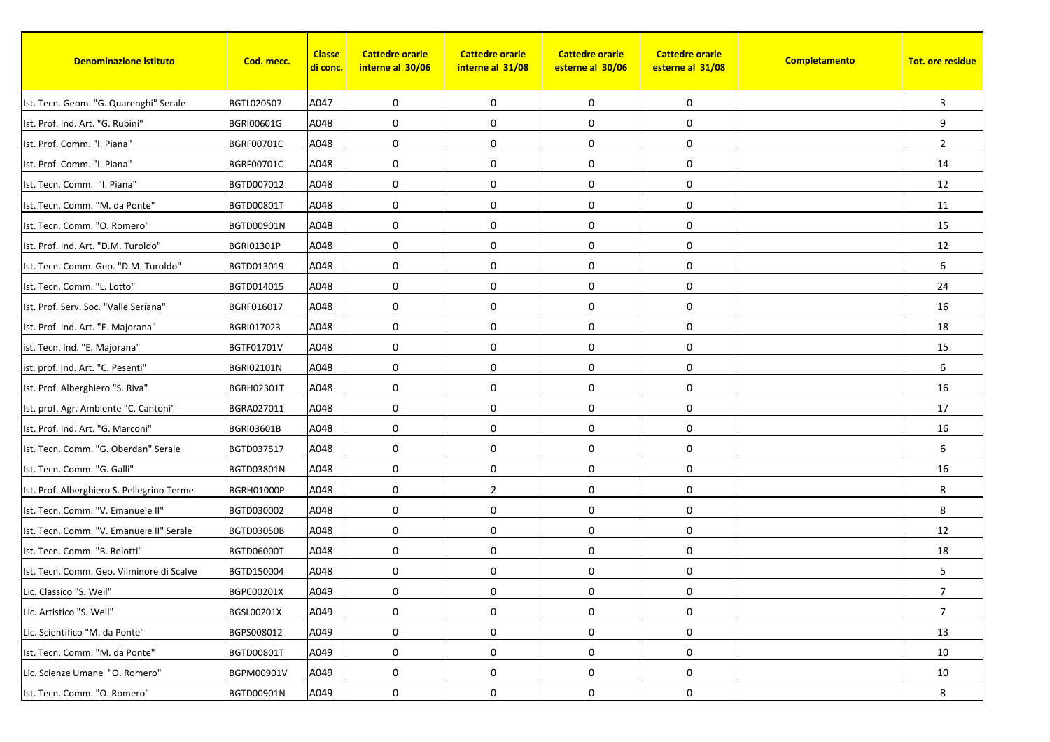| <b>Denominazione istituto</b>              | Cod. mecc.        | <b>Classe</b><br><mark>di conc.</mark> | <b>Cattedre orarie</b><br>interne al 30/06 | <b>Cattedre orarie</b><br>interne al 31/08 | <b>Cattedre orarie</b><br>esterne al 30/06 | <b>Cattedre orarie</b><br>esterne al 31/08 | Completamento | <b>Tot. ore residue</b> |
|--------------------------------------------|-------------------|----------------------------------------|--------------------------------------------|--------------------------------------------|--------------------------------------------|--------------------------------------------|---------------|-------------------------|
| Ist. Tecn. Geom. "G. Quarenghi" Serale     | BGTL020507        | A047                                   | 0                                          | $\mathbf 0$                                | 0                                          | 0                                          |               | 3                       |
| Ist. Prof. Ind. Art. "G. Rubini"           | BGRI00601G        | A048                                   | 0                                          | $\mathbf 0$                                | 0                                          | 0                                          |               | 9                       |
| Ist. Prof. Comm. "I. Piana"                | BGRF00701C        | A048                                   | 0                                          | 0                                          | 0                                          | 0                                          |               | $\overline{2}$          |
| Ist. Prof. Comm. "I. Piana"                | BGRF00701C        | A048                                   | $\mathbf 0$                                | 0                                          | 0                                          | 0                                          |               | 14                      |
| Ist. Tecn. Comm. "I. Piana"                | BGTD007012        | A048                                   | 0                                          | $\mathbf 0$                                | 0                                          | 0                                          |               | 12                      |
| Ist. Tecn. Comm. "M. da Ponte"             | BGTD00801T        | A048                                   | 0                                          | $\mathbf 0$                                | $\pmb{0}$                                  | 0                                          |               | 11                      |
| Ist. Tecn. Comm. "O. Romero"               | BGTD00901N        | A048                                   | 0                                          | 0                                          | $\mathbf 0$                                | 0                                          |               | 15                      |
| Ist. Prof. Ind. Art. "D.M. Turoldo"        | <b>BGRI01301P</b> | A048                                   | $\mathbf 0$                                | $\mathbf 0$                                | 0                                          | 0                                          |               | 12                      |
| Ist. Tecn. Comm. Geo. "D.M. Turoldo"       | BGTD013019        | A048                                   | 0                                          | 0                                          | 0                                          | 0                                          |               | 6                       |
| Ist. Tecn. Comm. "L. Lotto"                | BGTD014015        | A048                                   | 0                                          | 0                                          | $\pmb{0}$                                  | 0                                          |               | 24                      |
| Ist. Prof. Serv. Soc. "Valle Seriana"      | BGRF016017        | A048                                   | 0                                          | $\mathbf 0$                                | 0                                          | 0                                          |               | 16                      |
| Ist. Prof. Ind. Art. "E. Majorana"         | BGRI017023        | A048                                   | 0                                          | $\mathbf 0$                                | 0                                          | 0                                          |               | 18                      |
| ist. Tecn. Ind. "E. Majorana"              | BGTF01701V        | A048                                   | 0                                          | 0                                          | $\pmb{0}$                                  | 0                                          |               | 15                      |
| ist. prof. Ind. Art. "C. Pesenti"          | <b>BGRI02101N</b> | A048                                   | 0                                          | $\mathbf 0$                                | $\mathbf 0$                                | 0                                          |               | 6                       |
| Ist. Prof. Alberghiero "S. Riva"           | <b>BGRH02301T</b> | A048                                   | $\mathbf 0$                                | 0                                          | $\mathbf 0$                                | 0                                          |               | 16                      |
| Ist. prof. Agr. Ambiente "C. Cantoni"      | BGRA027011        | A048                                   | 0                                          | $\mathbf 0$                                | $\mathbf 0$                                | 0                                          |               | 17                      |
| Ist. Prof. Ind. Art. "G. Marconi"          | <b>BGRI03601B</b> | A048                                   | 0                                          | $\mathbf 0$                                | 0                                          | 0                                          |               | 16                      |
| Ist. Tecn. Comm. "G. Oberdan" Serale       | BGTD037517        | A048                                   | $\mathbf 0$                                | $\mathbf 0$                                | $\mathbf 0$                                | 0                                          |               | 6                       |
| Ist. Tecn. Comm. "G. Galli"                | BGTD03801N        | A048                                   | 0                                          | $\mathbf 0$                                | 0                                          | 0                                          |               | 16                      |
| Ist. Prof. Alberghiero S. Pellegrino Terme | BGRH01000P        | A048                                   | 0                                          | $\overline{2}$                             | 0                                          | 0                                          |               | 8                       |
| Ist. Tecn. Comm. "V. Emanuele II"          | BGTD030002        | A048                                   | 0                                          | $\mathbf 0$                                | $\pmb{0}$                                  | 0                                          |               | 8                       |
| Ist. Tecn. Comm. "V. Emanuele II" Serale   | <b>BGTD03050B</b> | A048                                   | 0                                          | $\mathbf 0$                                | 0                                          | 0                                          |               | 12                      |
| Ist. Tecn. Comm. "B. Belotti"              | <b>BGTD06000T</b> | A048                                   | 0                                          | $\mathbf 0$                                | 0                                          | 0                                          |               | 18                      |
| Ist. Tecn. Comm. Geo. Vilminore di Scalve  | BGTD150004        | A048                                   | 0                                          | 0                                          | $\mathbf 0$                                | 0                                          |               | 5                       |
| Lic. Classico "S. Weil"                    | BGPC00201X        | A049                                   | 0                                          | 0                                          | 0                                          | $\boldsymbol{0}$                           |               | $\overline{7}$          |
| Lic. Artistico "S. Weil"                   | BGSL00201X        | A049                                   | 0                                          | 0                                          | 0                                          | 0                                          |               | $\overline{7}$          |
| Lic. Scientifico "M. da Ponte"             | BGPS008012        | A049                                   | 0                                          | 0                                          | 0                                          | 0                                          |               | 13                      |
| Ist. Tecn. Comm. "M. da Ponte"             | BGTD00801T        | A049                                   | 0                                          | 0                                          | 0                                          | 0                                          |               | 10                      |
| Lic. Scienze Umane "O. Romero"             | BGPM00901V        | A049                                   | $\pmb{0}$                                  | 0                                          | $\pmb{0}$                                  | 0                                          |               | 10                      |
| Ist. Tecn. Comm. "O. Romero"               | BGTD00901N        | A049                                   | 0                                          | 0                                          | 0                                          | 0                                          |               | 8                       |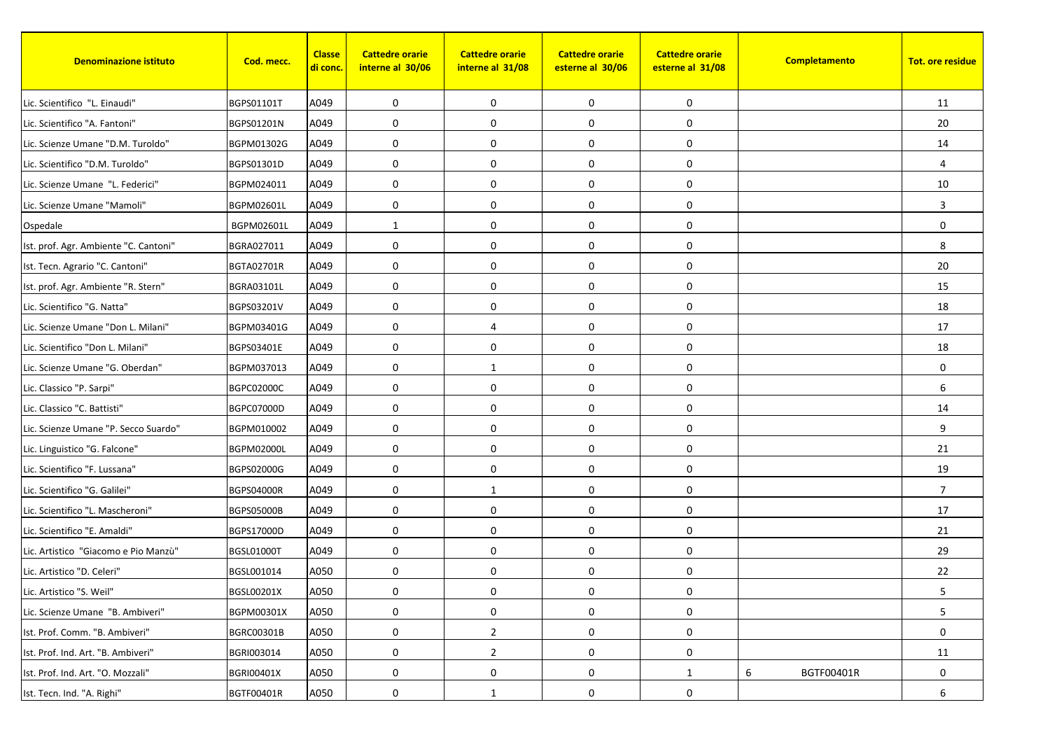| <b>Denominazione istituto</b>         | Cod. mecc.        | <b>Classe</b><br><u>di conc.</u> | <b>Cattedre orarie</b><br>interne al 30/06 | <b>Cattedre orarie</b><br>interne al 31/08 | <b>Cattedre orarie</b><br>esterne al 30/06 | <b>Cattedre orarie</b><br>esterne al 31/08 | Completamento   | <b>Tot. ore residue</b> |
|---------------------------------------|-------------------|----------------------------------|--------------------------------------------|--------------------------------------------|--------------------------------------------|--------------------------------------------|-----------------|-------------------------|
| Lic. Scientifico "L. Einaudi"         | BGPS01101T        | A049                             | 0                                          | 0                                          | 0                                          | 0                                          |                 | 11                      |
| Lic. Scientifico "A. Fantoni"         | BGPS01201N        | A049                             | 0                                          | $\mathbf 0$                                | $\boldsymbol{0}$                           | 0                                          |                 | 20                      |
| Lic. Scienze Umane "D.M. Turoldo"     | BGPM01302G        | A049                             | 0                                          | 0                                          | 0                                          | 0                                          |                 | 14                      |
| Lic. Scientifico "D.M. Turoldo"       | BGPS01301D        | A049                             | $\mathbf 0$                                | 0                                          | 0                                          | 0                                          |                 | $\overline{4}$          |
| Lic. Scienze Umane "L. Federici"      | BGPM024011        | A049                             | 0                                          | $\mathbf 0$                                | 0                                          | 0                                          |                 | 10                      |
| Lic. Scienze Umane "Mamoli"           | BGPM02601L        | A049                             | $\mathbf 0$                                | $\mathbf 0$                                | 0                                          | 0                                          |                 | 3                       |
| Ospedale                              | BGPM02601L        | A049                             | 1                                          | 0                                          | $\mathbf 0$                                | 0                                          |                 | 0                       |
| Ist. prof. Agr. Ambiente "C. Cantoni" | BGRA027011        | A049                             | $\mathbf 0$                                | $\mathbf 0$                                | 0                                          | 0                                          |                 | 8                       |
| Ist. Tecn. Agrario "C. Cantoni"       | <b>BGTA02701R</b> | A049                             | 0                                          | 0                                          | 0                                          | 0                                          |                 | 20                      |
| Ist. prof. Agr. Ambiente "R. Stern"   | BGRA03101L        | A049                             | 0                                          | $\mathbf 0$                                | 0                                          | 0                                          |                 | 15                      |
| Lic. Scientifico "G. Natta"           | BGPS03201V        | A049                             | $\mathbf 0$                                | 0                                          | 0                                          | 0                                          |                 | 18                      |
| Lic. Scienze Umane "Don L. Milani"    | BGPM03401G        | A049                             | 0                                          | 4                                          | 0                                          | 0                                          |                 | 17                      |
| Lic. Scientifico "Don L. Milani"      | BGPS03401E        | A049                             | 0                                          | $\mathbf 0$                                | $\pmb{0}$                                  | 0                                          |                 | 18                      |
| Lic. Scienze Umane "G. Oberdan"       | BGPM037013        | A049                             | $\mathbf 0$                                | $\mathbf{1}$                               | $\mathbf 0$                                | 0                                          |                 | $\mathbf 0$             |
| Lic. Classico "P. Sarpi"              | BGPC02000C        | A049                             | $\mathbf 0$                                | 0                                          | 0                                          | 0                                          |                 | 6                       |
| Lic. Classico "C. Battisti"           | BGPC07000D        | A049                             | $\mathbf 0$                                | 0                                          | 0                                          | 0                                          |                 | 14                      |
| Lic. Scienze Umane "P. Secco Suardo"  | BGPM010002        | A049                             | 0                                          | 0                                          | 0                                          | 0                                          |                 | 9                       |
| Lic. Linguistico "G. Falcone"         | <b>BGPM02000L</b> | A049                             | $\mathbf 0$                                | 0                                          | 0                                          | 0                                          |                 | 21                      |
| Lic. Scientifico "F. Lussana"         | BGPS02000G        | A049                             | 0                                          | $\mathbf 0$                                | 0                                          | 0                                          |                 | 19                      |
| Lic. Scientifico "G. Galilei"         | <b>BGPS04000R</b> | A049                             | 0                                          | $\mathbf{1}$                               | $\boldsymbol{0}$                           | 0                                          |                 | $\overline{7}$          |
| Lic. Scientifico "L. Mascheroni"      | <b>BGPS05000B</b> | A049                             | 0                                          | 0                                          | $\boldsymbol{0}$                           | 0                                          |                 | 17                      |
| Lic. Scientifico "E. Amaldi"          | <b>BGPS17000D</b> | A049                             | $\mathbf 0$                                | $\mathbf 0$                                | 0                                          | 0                                          |                 | 21                      |
| Lic. Artistico "Giacomo e Pio Manzù"  | <b>BGSL01000T</b> | A049                             | 0                                          | 0                                          | 0                                          | 0                                          |                 | 29                      |
| Lic. Artistico "D. Celeri"            | BGSL001014        | A050                             | 0                                          | 0                                          | 0                                          | 0                                          |                 | 22                      |
| Lic. Artistico "S. Weil"              | BGSL00201X        | A050                             | 0                                          | 0                                          | 0                                          | 0                                          |                 | 5                       |
| Lic. Scienze Umane "B. Ambiveri"      | <b>BGPM00301X</b> | A050                             | 0                                          | 0                                          | 0                                          | 0                                          |                 | 5                       |
| Ist. Prof. Comm. "B. Ambiveri"        | BGRC00301B        | A050                             | 0                                          | $\overline{2}$                             | $\boldsymbol{0}$                           | 0                                          |                 | 0                       |
| Ist. Prof. Ind. Art. "B. Ambiveri"    | BGRI003014        | A050                             | 0                                          | $\overline{2}$                             | 0                                          | 0                                          |                 | 11                      |
| Ist. Prof. Ind. Art. "O. Mozzali"     | <b>BGRI00401X</b> | A050                             | $\boldsymbol{0}$                           | $\mathbf 0$                                | $\boldsymbol{0}$                           | $\mathbf{1}$                               | 6<br>BGTF00401R | $\mathbf 0$             |
| Ist. Tecn. Ind. "A. Righi"            | BGTF00401R        | A050                             | 0                                          | -1                                         | 0                                          | 0                                          |                 | 6                       |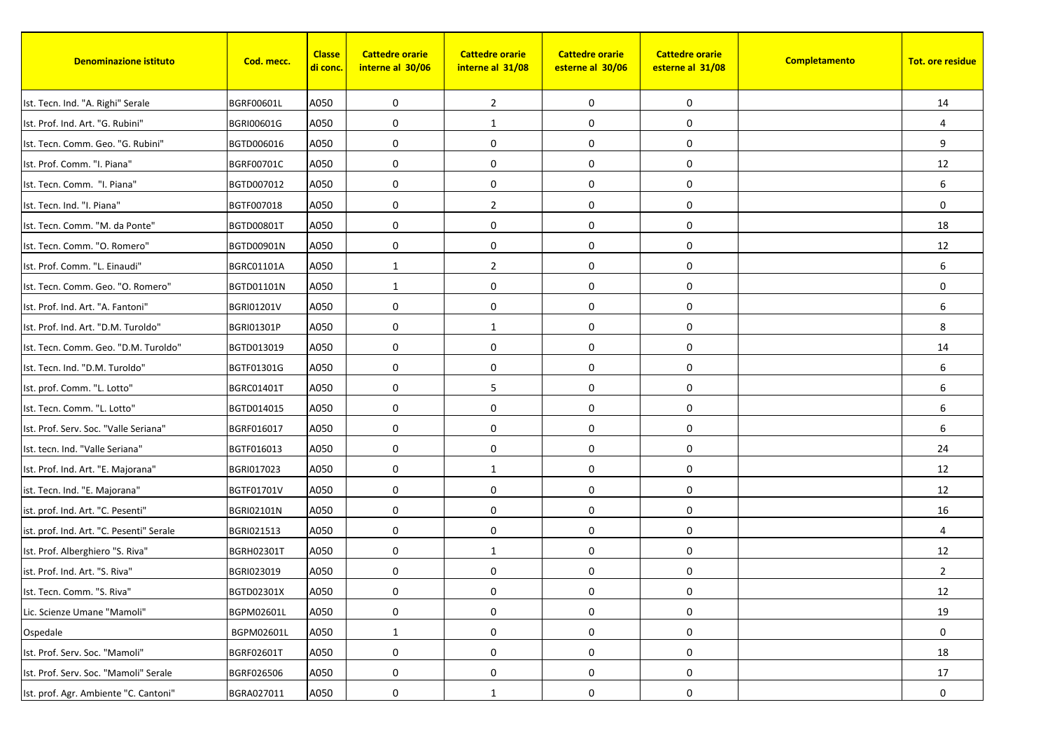| <b>Denominazione istituto</b>            | Cod. mecc.        | <b>Classe</b><br><mark>di conc.</mark> | <b>Cattedre orarie</b><br>interne al 30/06 | <b>Cattedre orarie</b><br>interne al 31/08 | <b>Cattedre orarie</b><br>esterne al 30/06 | <b>Cattedre orarie</b><br>esterne al 31/08 | Completamento | <b>Tot. ore residue</b> |
|------------------------------------------|-------------------|----------------------------------------|--------------------------------------------|--------------------------------------------|--------------------------------------------|--------------------------------------------|---------------|-------------------------|
| Ist. Tecn. Ind. "A. Righi" Serale        | BGRF00601L        | A050                                   | 0                                          | $\overline{2}$                             | 0                                          | 0                                          |               | 14                      |
| Ist. Prof. Ind. Art. "G. Rubini"         | BGRI00601G        | A050                                   | 0                                          | 1                                          | 0                                          | 0                                          |               | 4                       |
| Ist. Tecn. Comm. Geo. "G. Rubini"        | BGTD006016        | A050                                   | 0                                          | 0                                          | 0                                          | 0                                          |               | 9                       |
| Ist. Prof. Comm. "I. Piana"              | BGRF00701C        | A050                                   | $\mathbf 0$                                | 0                                          | 0                                          | 0                                          |               | 12                      |
| Ist. Tecn. Comm. "I. Piana"              | BGTD007012        | A050                                   | 0                                          | $\mathbf 0$                                | 0                                          | 0                                          |               | 6                       |
| Ist. Tecn. Ind. "I. Piana"               | BGTF007018        | A050                                   | 0                                          | $\overline{2}$                             | $\pmb{0}$                                  | 0                                          |               | $\mathbf 0$             |
| Ist. Tecn. Comm. "M. da Ponte"           | <b>BGTD00801T</b> | A050                                   | 0                                          | 0                                          | $\mathbf 0$                                | 0                                          |               | 18                      |
| Ist. Tecn. Comm. "O. Romero"             | BGTD00901N        | A050                                   | $\mathbf 0$                                | $\mathbf 0$                                | 0                                          | 0                                          |               | 12                      |
| Ist. Prof. Comm. "L. Einaudi"            | <b>BGRC01101A</b> | A050                                   | 1                                          | $\overline{2}$                             | 0                                          | 0                                          |               | 6                       |
| Ist. Tecn. Comm. Geo. "O. Romero"        | BGTD01101N        | A050                                   | $\mathbf{1}$                               | $\mathbf 0$                                | $\pmb{0}$                                  | 0                                          |               | $\mathbf 0$             |
| Ist. Prof. Ind. Art. "A. Fantoni"        | BGRI01201V        | A050                                   | $\mathbf 0$                                | $\mathbf 0$                                | 0                                          | 0                                          |               | 6                       |
| Ist. Prof. Ind. Art. "D.M. Turoldo"      | <b>BGRI01301P</b> | A050                                   | 0                                          | 1                                          | 0                                          | 0                                          |               | 8                       |
| Ist. Tecn. Comm. Geo. "D.M. Turoldo"     | BGTD013019        | A050                                   | 0                                          | 0                                          | $\pmb{0}$                                  | 0                                          |               | 14                      |
| Ist. Tecn. Ind. "D.M. Turoldo"           | BGTF01301G        | A050                                   | $\mathbf 0$                                | $\mathbf 0$                                | $\mathbf 0$                                | 0                                          |               | 6                       |
| Ist. prof. Comm. "L. Lotto"              | <b>BGRC01401T</b> | A050                                   | $\mathbf 0$                                | 5                                          | $\mathbf 0$                                | 0                                          |               | 6                       |
| Ist. Tecn. Comm. "L. Lotto"              | BGTD014015        | A050                                   | 0                                          | $\mathbf 0$                                | $\pmb{0}$                                  | 0                                          |               | 6                       |
| Ist. Prof. Serv. Soc. "Valle Seriana"    | BGRF016017        | A050                                   | 0                                          | $\mathbf 0$                                | 0                                          | 0                                          |               | 6                       |
| Ist. tecn. Ind. "Valle Seriana"          | BGTF016013        | A050                                   | $\mathbf 0$                                | $\mathbf 0$                                | $\mathbf 0$                                | 0                                          |               | 24                      |
| Ist. Prof. Ind. Art. "E. Majorana"       | BGRI017023        | A050                                   | 0                                          | 1                                          | 0                                          | 0                                          |               | 12                      |
| ist. Tecn. Ind. "E. Majorana"            | <b>BGTF01701V</b> | A050                                   | 0                                          | 0                                          | 0                                          | 0                                          |               | 12                      |
| ist. prof. Ind. Art. "C. Pesenti"        | <b>BGRI02101N</b> | A050                                   | 0                                          | 0                                          | $\pmb{0}$                                  | 0                                          |               | 16                      |
| ist. prof. Ind. Art. "C. Pesenti" Serale | BGRI021513        | A050                                   | 0                                          | $\mathbf 0$                                | 0                                          | 0                                          |               | 4                       |
| Ist. Prof. Alberghiero "S. Riva"         | <b>BGRH02301T</b> | A050                                   | 0                                          | 1                                          | 0                                          | 0                                          |               | 12                      |
| ist. Prof. Ind. Art. "S. Riva"           | BGRI023019        | A050                                   | 0                                          | $\mathbf 0$                                | $\pmb{0}$                                  | 0                                          |               | $\overline{2}$          |
| Ist. Tecn. Comm. "S. Riva"               | BGTD02301X        | A050                                   | 0                                          | 0                                          | 0                                          | $\boldsymbol{0}$                           |               | 12                      |
| Lic. Scienze Umane "Mamoli"              | BGPM02601L        | A050                                   | 0                                          | 0                                          | 0                                          | 0                                          |               | 19                      |
| Ospedale                                 | BGPM02601L        | A050                                   | $\mathbf{1}$                               | 0                                          | 0                                          | 0                                          |               | 0                       |
| Ist. Prof. Serv. Soc. "Mamoli"           | BGRF02601T        | A050                                   | 0                                          | $\boldsymbol{0}$                           | $\pmb{0}$                                  | 0                                          |               | 18                      |
| Ist. Prof. Serv. Soc. "Mamoli" Serale    | BGRF026506        | A050                                   | $\pmb{0}$                                  | 0                                          | 0                                          | 0                                          |               | 17                      |
| Ist. prof. Agr. Ambiente "C. Cantoni"    | BGRA027011        | A050                                   | 0                                          | 1                                          | 0                                          | 0                                          |               | 0                       |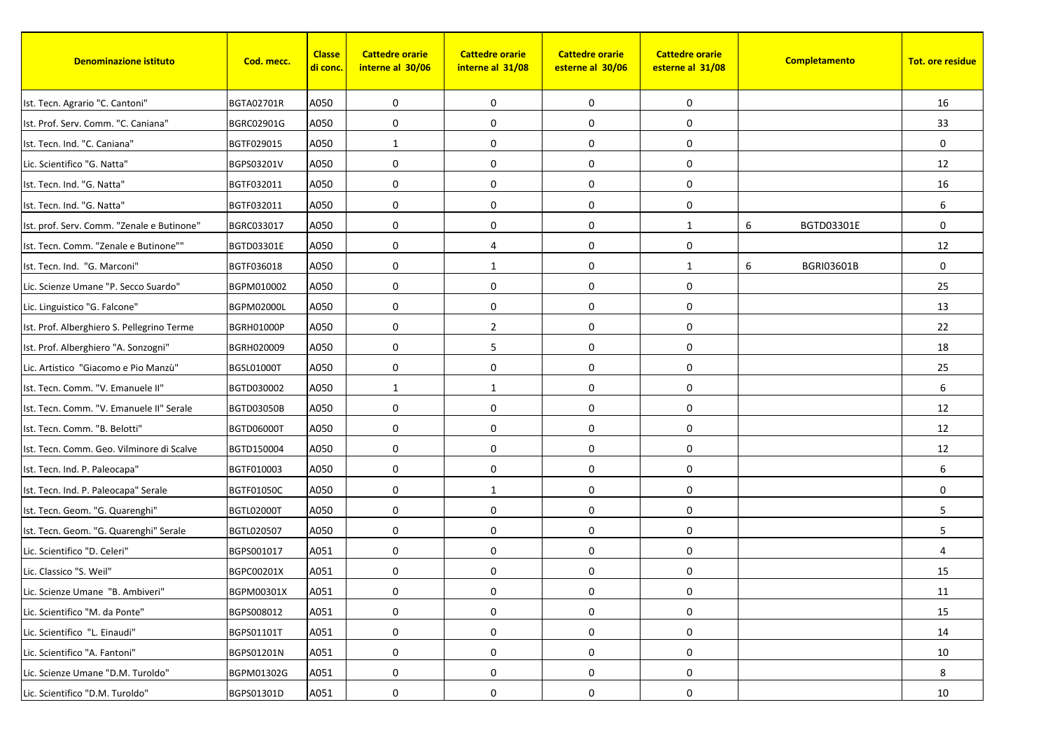| <b>Denominazione istituto</b>              | Cod. mecc.        | <b>Classe</b><br><u>di conc.</u> | <b>Cattedre orarie</b><br>interne al 30/06 | <b>Cattedre orarie</b><br>interne al 31/08 | <b>Cattedre orarie</b><br>esterne al 30/06 | <b>Cattedre orarie</b><br>esterne al 31/08 | Completamento          | <b>Tot. ore residue</b> |
|--------------------------------------------|-------------------|----------------------------------|--------------------------------------------|--------------------------------------------|--------------------------------------------|--------------------------------------------|------------------------|-------------------------|
| Ist. Tecn. Agrario "C. Cantoni"            | <b>BGTA02701R</b> | A050                             | 0                                          | 0                                          | 0                                          | 0                                          |                        | 16                      |
| Ist. Prof. Serv. Comm. "C. Caniana"        | BGRC02901G        | A050                             | 0                                          | $\mathbf 0$                                | 0                                          | 0                                          |                        | 33                      |
| Ist. Tecn. Ind. "C. Caniana"               | BGTF029015        | A050                             | 1                                          | 0                                          | 0                                          | 0                                          |                        | $\mathbf 0$             |
| Lic. Scientifico "G. Natta"                | BGPS03201V        | A050                             | $\mathbf 0$                                | 0                                          | 0                                          | 0                                          |                        | 12                      |
| Ist. Tecn. Ind. "G. Natta"                 | BGTF032011        | A050                             | 0                                          | 0                                          | 0                                          | 0                                          |                        | 16                      |
| Ist. Tecn. Ind. "G. Natta"                 | BGTF032011        | A050                             | 0                                          | $\mathbf 0$                                | $\pmb{0}$                                  | 0                                          |                        | 6                       |
| Ist. prof. Serv. Comm. "Zenale e Butinone" | BGRC033017        | A050                             | $\mathbf 0$                                | $\mathbf 0$                                | $\mathbf 0$                                | $\mathbf{1}$                               | 6<br>BGTD03301E        | $\mathbf 0$             |
| Ist. Tecn. Comm. "Zenale e Butinone""      | BGTD03301E        | A050                             | $\mathbf 0$                                | 4                                          | 0                                          | 0                                          |                        | 12                      |
| Ist. Tecn. Ind. "G. Marconi"               | BGTF036018        | A050                             | 0                                          | 1                                          | 0                                          | $\mathbf{1}$                               | 6<br><b>BGRI03601B</b> | $\mathbf 0$             |
| Lic. Scienze Umane "P. Secco Suardo"       | BGPM010002        | A050                             | 0                                          | $\mathbf 0$                                | 0                                          | 0                                          |                        | 25                      |
| Lic. Linguistico "G. Falcone"              | <b>BGPM02000L</b> | A050                             | 0                                          | 0                                          | 0                                          | 0                                          |                        | 13                      |
| Ist. Prof. Alberghiero S. Pellegrino Terme | <b>BGRH01000P</b> | A050                             | 0                                          | $\overline{2}$                             | 0                                          | 0                                          |                        | 22                      |
| Ist. Prof. Alberghiero "A. Sonzogni"       | BGRH020009        | A050                             | 0                                          | 5                                          | $\pmb{0}$                                  | 0                                          |                        | 18                      |
| Lic. Artistico "Giacomo e Pio Manzù"       | BGSL01000T        | A050                             | $\mathbf 0$                                | $\mathbf 0$                                | $\mathbf 0$                                | 0                                          |                        | 25                      |
| Ist. Tecn. Comm. "V. Emanuele II"          | BGTD030002        | A050                             | 1                                          | 1                                          | 0                                          | 0                                          |                        | 6                       |
| Ist. Tecn. Comm. "V. Emanuele II" Serale   | <b>BGTD03050B</b> | A050                             | $\mathbf 0$                                | 0                                          | 0                                          | 0                                          |                        | 12                      |
| Ist. Tecn. Comm. "B. Belotti"              | <b>BGTD06000T</b> | A050                             | 0                                          | 0                                          | 0                                          | 0                                          |                        | 12                      |
| Ist. Tecn. Comm. Geo. Vilminore di Scalve  | BGTD150004        | A050                             | $\mathbf 0$                                | 0                                          | 0                                          | 0                                          |                        | 12                      |
| Ist. Tecn. Ind. P. Paleocapa"              | BGTF010003        | A050                             | $\mathbf 0$                                | $\mathbf 0$                                | 0                                          | 0                                          |                        | 6                       |
| Ist. Tecn. Ind. P. Paleocapa" Serale       | <b>BGTF01050C</b> | A050                             | 0                                          | $\mathbf{1}$                               | $\boldsymbol{0}$                           | 0                                          |                        | 0                       |
| Ist. Tecn. Geom. "G. Quarenghi"            | <b>BGTL02000T</b> | A050                             | 0                                          | 0                                          | 0                                          | 0                                          |                        | 5                       |
| Ist. Tecn. Geom. "G. Quarenghi" Serale     | BGTL020507        | A050                             | $\mathbf 0$                                | 0                                          | 0                                          | 0                                          |                        | 5                       |
| Lic. Scientifico "D. Celeri"               | BGPS001017        | A051                             | 0                                          | $\mathbf 0$                                | 0                                          | 0                                          |                        | $\overline{4}$          |
| Lic. Classico "S. Weil"                    | BGPC00201X        | A051                             | 0                                          | 0                                          | 0                                          | 0                                          |                        | 15                      |
| Lic. Scienze Umane "B. Ambiveri"           | BGPM00301X        | A051                             | 0                                          | 0                                          | 0                                          | 0                                          |                        | 11                      |
| Lic. Scientifico "M. da Ponte"             | BGPS008012        | A051                             | 0                                          | 0                                          | 0                                          | 0                                          |                        | 15                      |
| Lic. Scientifico "L. Einaudi"              | BGPS01101T        | A051                             | 0                                          | 0                                          | $\boldsymbol{0}$                           | 0                                          |                        | 14                      |
| Lic. Scientifico "A. Fantoni"              | BGPS01201N        | A051                             | 0                                          | $\mathbf 0$                                | 0                                          | 0                                          |                        | 10                      |
| Lic. Scienze Umane "D.M. Turoldo"          | BGPM01302G        | A051                             | $\boldsymbol{0}$                           | 0                                          | $\boldsymbol{0}$                           | 0                                          |                        | 8                       |
| Lic. Scientifico "D.M. Turoldo"            | BGPS01301D        | A051                             | 0                                          | 0                                          | 0                                          | 0                                          |                        | 10                      |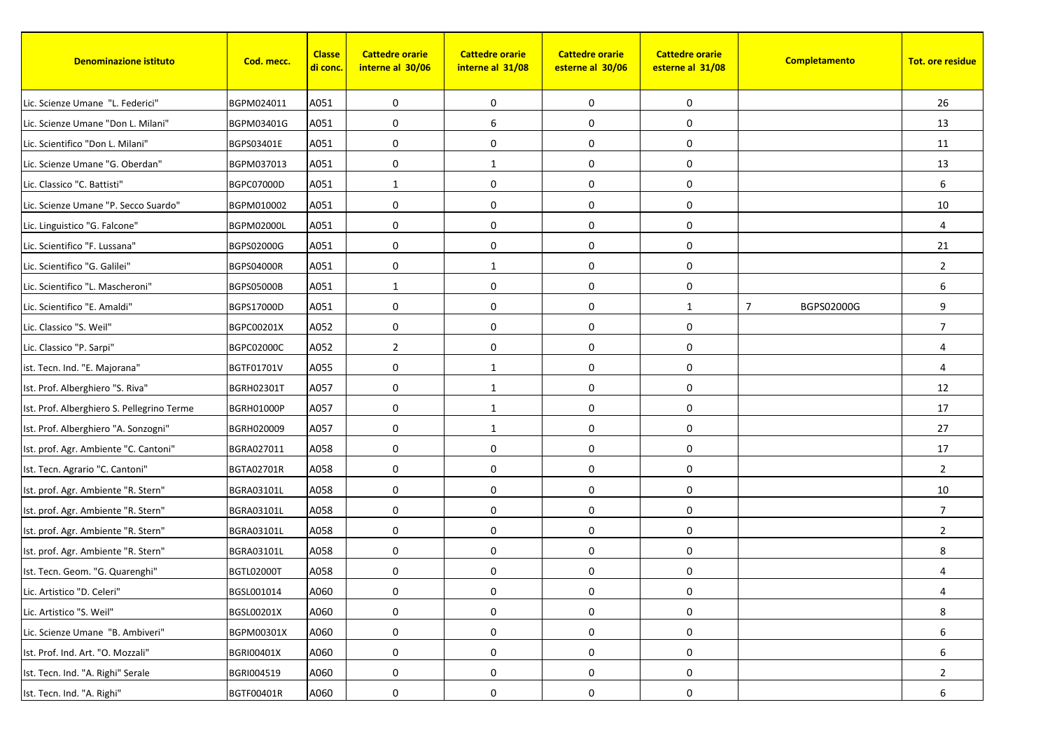| <b>Denominazione istituto</b>              | Cod. mecc.        | <b>Classe</b><br><mark>di conc.</mark> | <b>Cattedre orarie</b><br>interne al 30/06 | <b>Cattedre orarie</b><br>interne al 31/08 | <b>Cattedre orarie</b><br>esterne al 30/06 | <b>Cattedre orarie</b><br>esterne al 31/08 | Completamento                | <b>Tot. ore residue</b> |
|--------------------------------------------|-------------------|----------------------------------------|--------------------------------------------|--------------------------------------------|--------------------------------------------|--------------------------------------------|------------------------------|-------------------------|
| Lic. Scienze Umane "L. Federici"           | BGPM024011        | A051                                   | 0                                          | $\mathbf 0$                                | 0                                          | 0                                          |                              | 26                      |
| Lic. Scienze Umane "Don L. Milani"         | BGPM03401G        | A051                                   | 0                                          | 6                                          | 0                                          | 0                                          |                              | 13                      |
| Lic. Scientifico "Don L. Milani"           | BGPS03401E        | A051                                   | 0                                          | $\mathbf 0$                                | 0                                          | 0                                          |                              | 11                      |
| Lic. Scienze Umane "G. Oberdan"            | BGPM037013        | A051                                   | $\mathbf 0$                                | 1                                          | $\pmb{0}$                                  | 0                                          |                              | 13                      |
| Lic. Classico "C. Battisti"                | BGPC07000D        | A051                                   | $\mathbf{1}$                               | $\mathbf 0$                                | 0                                          | 0                                          |                              | 6                       |
| Lic. Scienze Umane "P. Secco Suardo"       | BGPM010002        | A051                                   | 0                                          | $\mathbf 0$                                | $\pmb{0}$                                  | 0                                          |                              | 10                      |
| Lic. Linguistico "G. Falcone"              | <b>BGPM02000L</b> | A051                                   | 0                                          | $\mathbf 0$                                | $\mathbf 0$                                | 0                                          |                              | $\overline{4}$          |
| Lic. Scientifico "F. Lussana"              | BGPS02000G        | A051                                   | $\mathbf 0$                                | $\mathbf 0$                                | $\pmb{0}$                                  | 0                                          |                              | 21                      |
| Lic. Scientifico "G. Galilei"              | <b>BGPS04000R</b> | A051                                   | 0                                          | 1                                          | 0                                          | 0                                          |                              | $\overline{2}$          |
| Lic. Scientifico "L. Mascheroni"           | <b>BGPS05000B</b> | A051                                   | $\mathbf{1}$                               | $\boldsymbol{0}$                           | $\pmb{0}$                                  | 0                                          |                              | 6                       |
| Lic. Scientifico "E. Amaldi"               | BGPS17000D        | A051                                   | $\mathbf 0$                                | $\mathbf 0$                                | 0                                          | $\mathbf{1}$                               | $\overline{7}$<br>BGPS02000G | 9                       |
| Lic. Classico "S. Weil"                    | BGPC00201X        | A052                                   | 0                                          | $\mathbf 0$                                | 0                                          | 0                                          |                              | $\overline{7}$          |
| Lic. Classico "P. Sarpi"                   | <b>BGPC02000C</b> | A052                                   | $\overline{2}$                             | 0                                          | $\pmb{0}$                                  | 0                                          |                              | 4                       |
| ist. Tecn. Ind. "E. Majorana"              | BGTF01701V        | A055                                   | $\mathbf 0$                                | 1                                          | $\mathbf 0$                                | 0                                          |                              | 4                       |
| Ist. Prof. Alberghiero "S. Riva"           | <b>BGRH02301T</b> | A057                                   | $\mathbf 0$                                | $\mathbf{1}$                               | $\pmb{0}$                                  | 0                                          |                              | 12                      |
| Ist. Prof. Alberghiero S. Pellegrino Terme | <b>BGRH01000P</b> | A057                                   | 0                                          | 1                                          | $\pmb{0}$                                  | 0                                          |                              | 17                      |
| Ist. Prof. Alberghiero "A. Sonzogni"       | BGRH020009        | A057                                   | 0                                          | 1                                          | 0                                          | 0                                          |                              | 27                      |
| Ist. prof. Agr. Ambiente "C. Cantoni"      | BGRA027011        | A058                                   | $\mathbf 0$                                | $\mathbf 0$                                | $\mathbf 0$                                | $\mathbf 0$                                |                              | 17                      |
| Ist. Tecn. Agrario "C. Cantoni"            | BGTA02701R        | A058                                   | 0                                          | $\mathbf 0$                                | 0                                          | 0                                          |                              | $\overline{2}$          |
| Ist. prof. Agr. Ambiente "R. Stern"        | <b>BGRA03101L</b> | A058                                   | 0                                          | 0                                          | 0                                          | 0                                          |                              | 10                      |
| Ist. prof. Agr. Ambiente "R. Stern"        | BGRA03101L        | A058                                   | 0                                          | 0                                          | $\pmb{0}$                                  | 0                                          |                              | $\overline{7}$          |
| Ist. prof. Agr. Ambiente "R. Stern"        | BGRA03101L        | A058                                   | 0                                          | $\mathbf 0$                                | 0                                          | 0                                          |                              | $\overline{2}$          |
| Ist. prof. Agr. Ambiente "R. Stern"        | <b>BGRA03101L</b> | A058                                   | 0                                          | $\mathbf 0$                                | $\pmb{0}$                                  | 0                                          |                              | 8                       |
| Ist. Tecn. Geom. "G. Quarenghi"            | <b>BGTL02000T</b> | A058                                   | 0                                          | $\mathbf 0$                                | $\pmb{0}$                                  | 0                                          |                              | 4                       |
| Lic. Artistico "D. Celeri"                 | BGSL001014        | A060                                   | 0                                          | 0                                          | 0                                          | 0                                          |                              | 4                       |
| Lic. Artistico "S. Weil"                   | BGSL00201X        | A060                                   | 0                                          | 0                                          | 0                                          | $\boldsymbol{0}$                           |                              | 8                       |
| Lic. Scienze Umane "B. Ambiveri"           | BGPM00301X        | A060                                   | 0                                          | 0                                          | 0                                          | $\boldsymbol{0}$                           |                              | 6                       |
| Ist. Prof. Ind. Art. "O. Mozzali"          | BGRI00401X        | A060                                   | 0                                          | $\boldsymbol{0}$                           | $\pmb{0}$                                  | $\boldsymbol{0}$                           |                              | 6                       |
| Ist. Tecn. Ind. "A. Righi" Serale          | BGRI004519        | A060                                   | $\pmb{0}$                                  | $\boldsymbol{0}$                           | $\pmb{0}$                                  | $\boldsymbol{0}$                           |                              | $\overline{2}$          |
| Ist. Tecn. Ind. "A. Righi"                 | BGTF00401R        | A060                                   | 0                                          | 0                                          | 0                                          | 0                                          |                              | 6                       |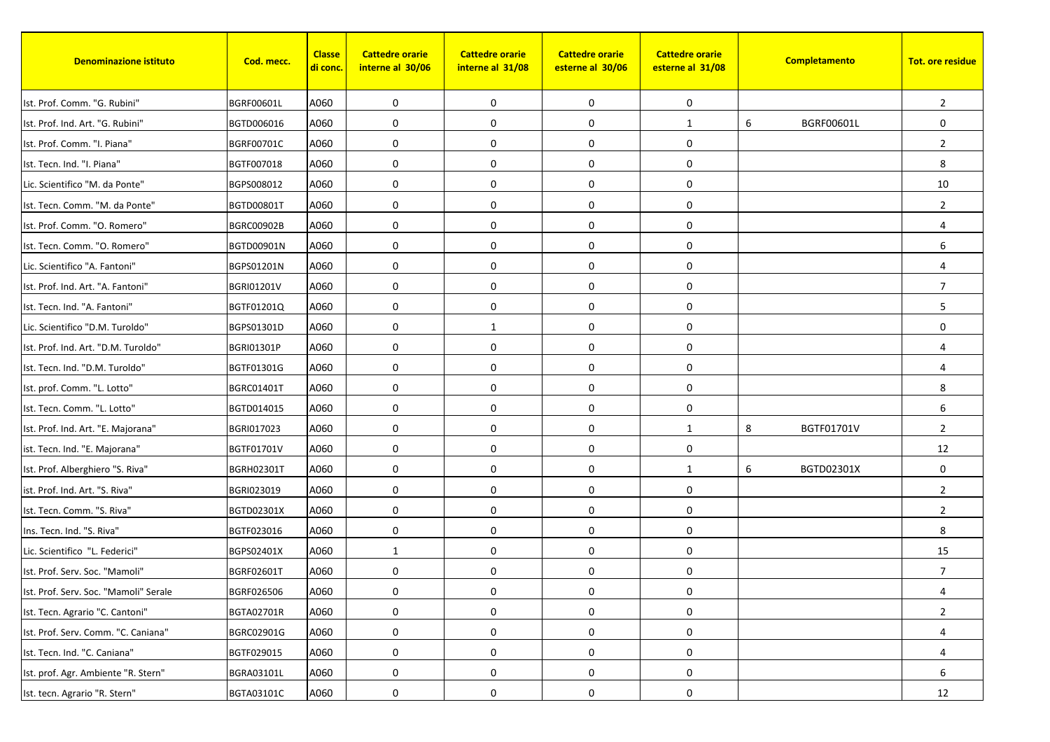| <b>Denominazione istituto</b>         | Cod. mecc.        | <b>Classe</b><br><mark>di conc.</mark> | <b>Cattedre orarie</b><br>interne al 30/06 | <b>Cattedre orarie</b><br>interne al 31/08 | <b>Cattedre orarie</b><br>esterne al 30/06 | <b>Cattedre orarie</b><br>esterne al 31/08 |   | Completamento | <b>Tot. ore residue</b> |
|---------------------------------------|-------------------|----------------------------------------|--------------------------------------------|--------------------------------------------|--------------------------------------------|--------------------------------------------|---|---------------|-------------------------|
| Ist. Prof. Comm. "G. Rubini"          | <b>BGRF00601L</b> | A060                                   | 0                                          | $\mathbf 0$                                | 0                                          | 0                                          |   |               | $\overline{2}$          |
| Ist. Prof. Ind. Art. "G. Rubini"      | BGTD006016        | A060                                   | 0                                          | 0                                          | 0                                          | $\mathbf{1}$                               | 6 | BGRF00601L    | $\mathbf 0$             |
| Ist. Prof. Comm. "I. Piana"           | BGRF00701C        | A060                                   | 0                                          | $\mathbf 0$                                | 0                                          | 0                                          |   |               | $\overline{2}$          |
| Ist. Tecn. Ind. "I. Piana"            | BGTF007018        | A060                                   | $\mathbf 0$                                | 0                                          | 0                                          | 0                                          |   |               | 8                       |
| Lic. Scientifico "M. da Ponte"        | BGPS008012        | A060                                   | 0                                          | $\mathbf 0$                                | 0                                          | 0                                          |   |               | 10                      |
| Ist. Tecn. Comm. "M. da Ponte"        | BGTD00801T        | A060                                   | 0                                          | $\mathbf 0$                                | 0                                          | 0                                          |   |               | 2                       |
| Ist. Prof. Comm. "O. Romero"          | <b>BGRC00902B</b> | A060                                   | 0                                          | $\mathbf 0$                                | $\mathbf 0$                                | 0                                          |   |               | 4                       |
| Ist. Tecn. Comm. "O. Romero"          | BGTD00901N        | A060                                   | 0                                          | $\mathbf 0$                                | 0                                          | 0                                          |   |               | 6                       |
| Lic. Scientifico "A. Fantoni"         | BGPS01201N        | A060                                   | 0                                          | $\mathbf 0$                                | 0                                          | 0                                          |   |               | 4                       |
| Ist. Prof. Ind. Art. "A. Fantoni"     | <b>BGRI01201V</b> | A060                                   | 0                                          | 0                                          | $\pmb{0}$                                  | 0                                          |   |               | $\overline{7}$          |
| Ist. Tecn. Ind. "A. Fantoni"          | BGTF01201Q        | A060                                   | 0                                          | $\mathbf 0$                                | 0                                          | 0                                          |   |               | 5                       |
| Lic. Scientifico "D.M. Turoldo"       | BGPS01301D        | A060                                   | 0                                          | 1                                          | 0                                          | 0                                          |   |               | 0                       |
| Ist. Prof. Ind. Art. "D.M. Turoldo"   | <b>BGRI01301P</b> | A060                                   | 0                                          | 0                                          | $\pmb{0}$                                  | 0                                          |   |               | 4                       |
| Ist. Tecn. Ind. "D.M. Turoldo"        | BGTF01301G        | A060                                   | 0                                          | $\mathbf 0$                                | $\mathbf 0$                                | 0                                          |   |               | 4                       |
| Ist. prof. Comm. "L. Lotto"           | <b>BGRC01401T</b> | A060                                   | $\mathbf 0$                                | 0                                          | 0                                          | 0                                          |   |               | 8                       |
| Ist. Tecn. Comm. "L. Lotto"           | BGTD014015        | A060                                   | 0                                          | $\mathbf 0$                                | 0                                          | 0                                          |   |               | 6                       |
| Ist. Prof. Ind. Art. "E. Majorana"    | BGRI017023        | A060                                   | 0                                          | $\mathbf 0$                                | 0                                          | $\mathbf{1}$                               | 8 | BGTF01701V    | $\overline{2}$          |
| ist. Tecn. Ind. "E. Majorana"         | BGTF01701V        | A060                                   | $\mathbf 0$                                | $\mathbf 0$                                | 0                                          | 0                                          |   |               | 12                      |
| Ist. Prof. Alberghiero "S. Riva"      | <b>BGRH02301T</b> | A060                                   | 0                                          | $\mathbf 0$                                | 0                                          | $\mathbf{1}$                               | 6 | BGTD02301X    | $\mathbf 0$             |
| ist. Prof. Ind. Art. "S. Riva"        | BGRI023019        | A060                                   | 0                                          | 0                                          | 0                                          | 0                                          |   |               | $\overline{2}$          |
| Ist. Tecn. Comm. "S. Riva"            | BGTD02301X        | A060                                   | 0                                          | $\mathbf 0$                                | 0                                          | 0                                          |   |               | $\overline{2}$          |
| Ins. Tecn. Ind. "S. Riva"             | BGTF023016        | A060                                   | 0                                          | $\mathbf 0$                                | 0                                          | 0                                          |   |               | 8                       |
| Lic. Scientifico "L. Federici"        | BGPS02401X        | A060                                   | 1                                          | $\mathbf 0$                                | 0                                          | 0                                          |   |               | 15                      |
| Ist. Prof. Serv. Soc. "Mamoli"        | BGRF02601T        | A060                                   | 0                                          | $\mathbf 0$                                | $\pmb{0}$                                  | 0                                          |   |               | 7                       |
| Ist. Prof. Serv. Soc. "Mamoli" Serale | BGRF026506        | A060                                   | 0                                          | 0                                          | 0                                          | $\boldsymbol{0}$                           |   |               | 4                       |
| Ist. Tecn. Agrario "C. Cantoni"       | BGTA02701R        | A060                                   | 0                                          | $\mathbf 0$                                | 0                                          | $\boldsymbol{0}$                           |   |               | $\overline{2}$          |
| Ist. Prof. Serv. Comm. "C. Caniana"   | BGRC02901G        | A060                                   | 0                                          | 0                                          | $\pmb{0}$                                  | $\boldsymbol{0}$                           |   |               | 4                       |
| Ist. Tecn. Ind. "C. Caniana"          | BGTF029015        | A060                                   | 0                                          | $\mathbf 0$                                | $\pmb{0}$                                  | $\boldsymbol{0}$                           |   |               | 4                       |
| Ist. prof. Agr. Ambiente "R. Stern"   | BGRA03101L        | A060                                   | $\pmb{0}$                                  | $\boldsymbol{0}$                           | $\pmb{0}$                                  | 0                                          |   |               | 6                       |
| Ist. tecn. Agrario "R. Stern"         | BGTA03101C        | A060                                   | 0                                          | 0                                          | 0                                          | 0                                          |   |               | 12                      |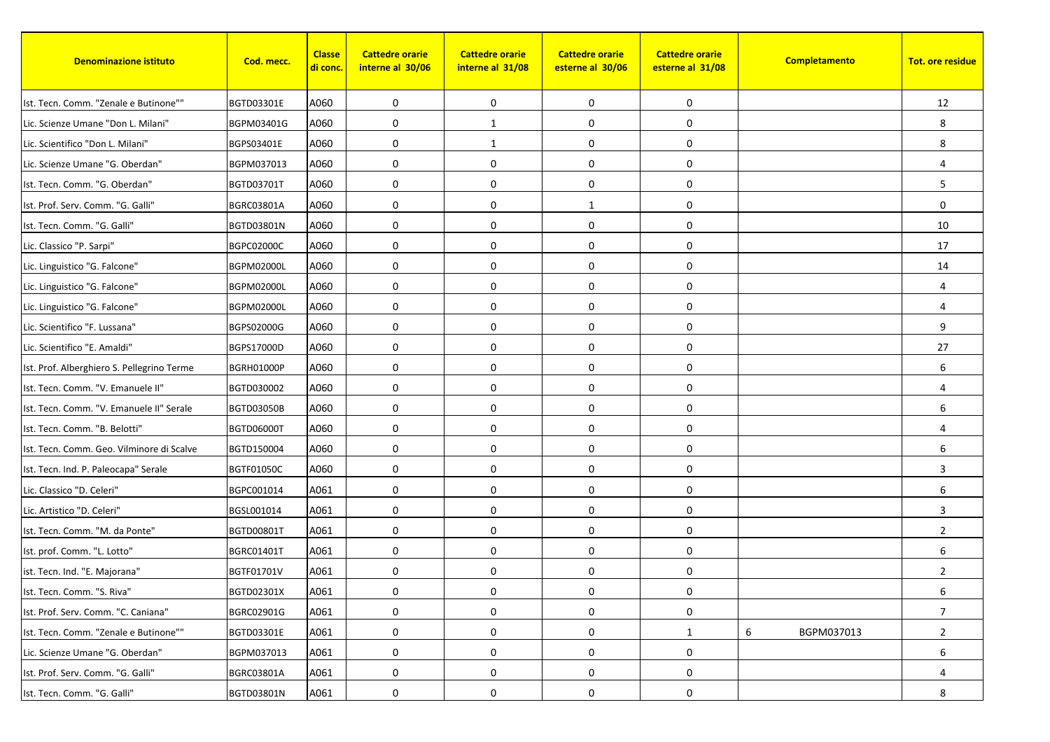| <b>Denominazione istituto</b>              | Cod. mecc.        | <b>Classe</b><br><mark>di conc.</mark> | <b>Cattedre orarie</b><br>interne al 30/06 | <b>Cattedre orarie</b><br>interne al 31/08 | <b>Cattedre orarie</b><br>esterne al 30/06 | <b>Cattedre orarie</b><br>esterne al 31/08 | Completamento   | <b>Tot. ore residue</b> |
|--------------------------------------------|-------------------|----------------------------------------|--------------------------------------------|--------------------------------------------|--------------------------------------------|--------------------------------------------|-----------------|-------------------------|
| Ist. Tecn. Comm. "Zenale e Butinone""      | BGTD03301E        | A060                                   | 0                                          | $\mathbf 0$                                | 0                                          | 0                                          |                 | 12                      |
| Lic. Scienze Umane "Don L. Milani"         | BGPM03401G        | A060                                   | 0                                          | $\mathbf{1}$                               | 0                                          | 0                                          |                 | 8                       |
| Lic. Scientifico "Don L. Milani"           | BGPS03401E        | A060                                   | 0                                          | 1                                          | 0                                          | 0                                          |                 | 8                       |
| Lic. Scienze Umane "G. Oberdan"            | BGPM037013        | A060                                   | $\mathbf 0$                                | 0                                          | $\pmb{0}$                                  | 0                                          |                 | $\overline{4}$          |
| Ist. Tecn. Comm. "G. Oberdan"              | <b>BGTD03701T</b> | A060                                   | 0                                          | $\mathbf 0$                                | 0                                          | 0                                          |                 | 5                       |
| Ist. Prof. Serv. Comm. "G. Galli"          | BGRC03801A        | A060                                   | 0                                          | $\mathbf 0$                                | $\mathbf{1}$                               | 0                                          |                 | $\mathbf 0$             |
| Ist. Tecn. Comm. "G. Galli"                | BGTD03801N        | A060                                   | 0                                          | 0                                          | $\mathbf 0$                                | 0                                          |                 | 10                      |
| Lic. Classico "P. Sarpi"                   | <b>BGPC02000C</b> | A060                                   | $\mathbf 0$                                | $\mathbf 0$                                | 0                                          | 0                                          |                 | 17                      |
| Lic. Linguistico "G. Falcone"              | <b>BGPM02000L</b> | A060                                   | 0                                          | 0                                          | 0                                          | 0                                          |                 | 14                      |
| Lic. Linguistico "G. Falcone"              | <b>BGPM02000L</b> | A060                                   | 0                                          | 0                                          | $\pmb{0}$                                  | 0                                          |                 | $\overline{4}$          |
| Lic. Linguistico "G. Falcone"              | <b>BGPM02000L</b> | A060                                   | 0                                          | $\mathbf 0$                                | 0                                          | 0                                          |                 | 4                       |
| Lic. Scientifico "F. Lussana"              | BGPS02000G        | A060                                   | 0                                          | $\mathbf 0$                                | 0                                          | 0                                          |                 | 9                       |
| Lic. Scientifico "E. Amaldi"               | <b>BGPS17000D</b> | A060                                   | 0                                          | 0                                          | $\pmb{0}$                                  | 0                                          |                 | 27                      |
| Ist. Prof. Alberghiero S. Pellegrino Terme | <b>BGRH01000P</b> | A060                                   | 0                                          | $\mathbf 0$                                | $\mathbf 0$                                | 0                                          |                 | 6                       |
| Ist. Tecn. Comm. "V. Emanuele II"          | BGTD030002        | A060                                   | $\mathbf 0$                                | 0                                          | $\mathbf 0$                                | 0                                          |                 | $\overline{4}$          |
| Ist. Tecn. Comm. "V. Emanuele II" Serale   | <b>BGTD03050B</b> | A060                                   | 0                                          | $\mathbf 0$                                | $\pmb{0}$                                  | 0                                          |                 | 6                       |
| Ist. Tecn. Comm. "B. Belotti"              | <b>BGTD06000T</b> | A060                                   | 0                                          | $\mathbf 0$                                | 0                                          | 0                                          |                 | $\overline{4}$          |
| Ist. Tecn. Comm. Geo. Vilminore di Scalve  | BGTD150004        | A060                                   | $\mathbf 0$                                | $\mathbf 0$                                | 0                                          | 0                                          |                 | 6                       |
| Ist. Tecn. Ind. P. Paleocapa" Serale       | <b>BGTF01050C</b> | A060                                   | 0                                          | $\mathbf 0$                                | 0                                          | 0                                          |                 | 3                       |
| Lic. Classico "D. Celeri"                  | BGPC001014        | A061                                   | 0                                          | 0                                          | 0                                          | 0                                          |                 | 6                       |
| Lic. Artistico "D. Celeri"                 | BGSL001014        | A061                                   | 0                                          | 0                                          | $\pmb{0}$                                  | 0                                          |                 | 3                       |
| Ist. Tecn. Comm. "M. da Ponte"             | BGTD00801T        | A061                                   | 0                                          | $\mathbf 0$                                | 0                                          | 0                                          |                 | $\overline{2}$          |
| Ist. prof. Comm. "L. Lotto"                | <b>BGRC01401T</b> | A061                                   | 0                                          | $\mathbf 0$                                | 0                                          | 0                                          |                 | 6                       |
| ist. Tecn. Ind. "E. Majorana"              | BGTF01701V        | A061                                   | 0                                          | 0                                          | 0                                          | 0                                          |                 | $\overline{2}$          |
| Ist. Tecn. Comm. "S. Riva"                 | BGTD02301X        | A061                                   | 0                                          | 0                                          | 0                                          | $\boldsymbol{0}$                           |                 | 6                       |
| Ist. Prof. Serv. Comm. "C. Caniana"        | BGRC02901G        | A061                                   | 0                                          | 0                                          | 0                                          | 0                                          |                 | $\overline{7}$          |
| Ist. Tecn. Comm. "Zenale e Butinone""      | BGTD03301E        | A061                                   | 0                                          | 0                                          | 0                                          | $\mathbf{1}$                               | 6<br>BGPM037013 | $\overline{2}$          |
| Lic. Scienze Umane "G. Oberdan"            | BGPM037013        | A061                                   | 0                                          | 0                                          | 0                                          | 0                                          |                 | 6                       |
| Ist. Prof. Serv. Comm. "G. Galli"          | BGRC03801A        | A061                                   | $\pmb{0}$                                  | 0                                          | 0                                          | 0                                          |                 | 4                       |
| Ist. Tecn. Comm. "G. Galli"                | BGTD03801N        | A061                                   | 0                                          | 0                                          | 0                                          | 0                                          |                 | 8                       |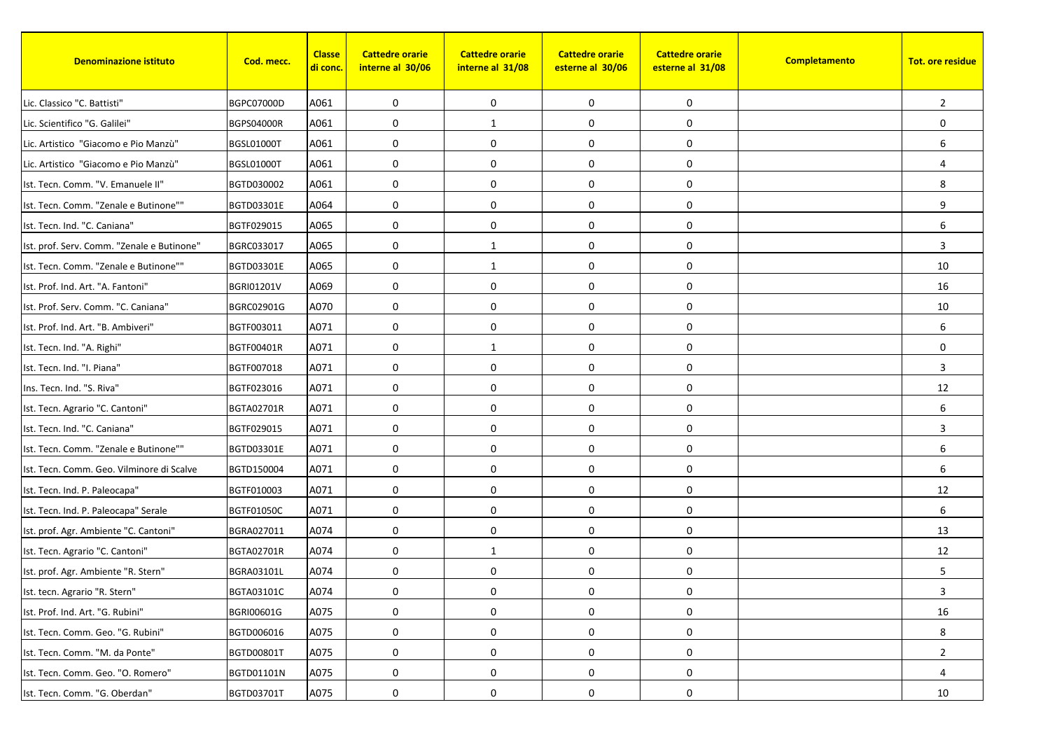| <b>Denominazione istituto</b>              | Cod. mecc.        | <b>Classe</b><br><u>di conc.</u> | <b>Cattedre orarie</b><br>interne al 30/06 | <b>Cattedre orarie</b><br>interne al 31/08 | <b>Cattedre orarie</b><br>esterne al 30/06 | <b>Cattedre orarie</b><br>esterne al 31/08 | Completamento | <b>Tot. ore residue</b> |
|--------------------------------------------|-------------------|----------------------------------|--------------------------------------------|--------------------------------------------|--------------------------------------------|--------------------------------------------|---------------|-------------------------|
| Lic. Classico "C. Battisti"                | BGPC07000D        | A061                             | 0                                          | 0                                          | 0                                          | 0                                          |               | $\overline{2}$          |
| Lic. Scientifico "G. Galilei"              | <b>BGPS04000R</b> | A061                             | 0                                          | $\mathbf{1}$                               | 0                                          | 0                                          |               | $\mathbf 0$             |
| Lic. Artistico "Giacomo e Pio Manzù"       | <b>BGSL01000T</b> | A061                             | 0                                          | 0                                          | 0                                          | 0                                          |               | 6                       |
| Lic. Artistico "Giacomo e Pio Manzù"       | <b>BGSL01000T</b> | A061                             | $\mathbf 0$                                | 0                                          | 0                                          | 0                                          |               | $\overline{4}$          |
| Ist. Tecn. Comm. "V. Emanuele II"          | BGTD030002        | A061                             | 0                                          | 0                                          | 0                                          | 0                                          |               | 8                       |
| Ist. Tecn. Comm. "Zenale e Butinone""      | BGTD03301E        | A064                             | 0                                          | $\mathbf 0$                                | 0                                          | 0                                          |               | 9                       |
| Ist. Tecn. Ind. "C. Caniana"               | BGTF029015        | A065                             | $\mathbf 0$                                | $\mathbf 0$                                | $\mathbf 0$                                | 0                                          |               | 6                       |
| Ist. prof. Serv. Comm. "Zenale e Butinone" | BGRC033017        | A065                             | $\mathbf 0$                                | 1                                          | 0                                          | 0                                          |               | 3                       |
| Ist. Tecn. Comm. "Zenale e Butinone""      | BGTD03301E        | A065                             | 0                                          | 1                                          | 0                                          | 0                                          |               | 10                      |
| Ist. Prof. Ind. Art. "A. Fantoni"          | <b>BGRI01201V</b> | A069                             | 0                                          | $\mathbf 0$                                | 0                                          | 0                                          |               | 16                      |
| Ist. Prof. Serv. Comm. "C. Caniana"        | BGRC02901G        | A070                             | 0                                          | 0                                          | 0                                          | 0                                          |               | 10                      |
| Ist. Prof. Ind. Art. "B. Ambiveri"         | BGTF003011        | A071                             | 0                                          | 0                                          | 0                                          | 0                                          |               | 6                       |
| Ist. Tecn. Ind. "A. Righi"                 | BGTF00401R        | A071                             | 0                                          | $\mathbf{1}$                               | $\pmb{0}$                                  | 0                                          |               | $\mathbf 0$             |
| Ist. Tecn. Ind. "I. Piana"                 | BGTF007018        | A071                             | $\mathbf 0$                                | $\mathbf{0}$                               | $\mathbf 0$                                | 0                                          |               | 3                       |
| Ins. Tecn. Ind. "S. Riva"                  | BGTF023016        | A071                             | $\mathbf 0$                                | 0                                          | 0                                          | 0                                          |               | 12                      |
| Ist. Tecn. Agrario "C. Cantoni"            | BGTA02701R        | A071                             | $\mathbf 0$                                | 0                                          | 0                                          | 0                                          |               | 6                       |
| Ist. Tecn. Ind. "C. Caniana"               | BGTF029015        | A071                             | 0                                          | 0                                          | 0                                          | 0                                          |               | 3                       |
| Ist. Tecn. Comm. "Zenale e Butinone""      | BGTD03301E        | A071                             | $\mathbf 0$                                | 0                                          | 0                                          | 0                                          |               | 6                       |
| Ist. Tecn. Comm. Geo. Vilminore di Scalve  | BGTD150004        | A071                             | 0                                          | $\mathbf 0$                                | 0                                          | 0                                          |               | 6                       |
| Ist. Tecn. Ind. P. Paleocapa"              | BGTF010003        | A071                             | 0                                          | 0                                          | $\boldsymbol{0}$                           | 0                                          |               | 12                      |
| Ist. Tecn. Ind. P. Paleocapa" Serale       | <b>BGTF01050C</b> | A071                             | 0                                          | 0                                          | $\boldsymbol{0}$                           | 0                                          |               | 6                       |
| Ist. prof. Agr. Ambiente "C. Cantoni"      | BGRA027011        | A074                             | $\mathbf 0$                                | 0                                          | 0                                          | 0                                          |               | 13                      |
| Ist. Tecn. Agrario "C. Cantoni"            | <b>BGTA02701R</b> | A074                             | 0                                          | 1                                          | 0                                          | 0                                          |               | 12                      |
| Ist. prof. Agr. Ambiente "R. Stern"        | BGRA03101L        | A074                             | 0                                          | 0                                          | 0                                          | 0                                          |               | 5                       |
| Ist. tecn. Agrario "R. Stern"              | BGTA03101C        | A074                             | 0                                          | 0                                          | 0                                          | 0                                          |               | 3                       |
| Ist. Prof. Ind. Art. "G. Rubini"           | BGRI00601G        | A075                             | 0                                          | 0                                          | 0                                          | 0                                          |               | 16                      |
| Ist. Tecn. Comm. Geo. "G. Rubini"          | BGTD006016        | A075                             | 0                                          | 0                                          | 0                                          | 0                                          |               | 8                       |
| Ist. Tecn. Comm. "M. da Ponte"             | BGTD00801T        | A075                             | 0                                          | $\mathbf 0$                                | 0                                          | 0                                          |               | $\overline{2}$          |
| Ist. Tecn. Comm. Geo. "O. Romero"          | BGTD01101N        | A075                             | $\boldsymbol{0}$                           | $\mathbf 0$                                | 0                                          | 0                                          |               | 4                       |
| Ist. Tecn. Comm. "G. Oberdan"              | <b>BGTD03701T</b> | A075                             | 0                                          | 0                                          | 0                                          | 0                                          |               | 10                      |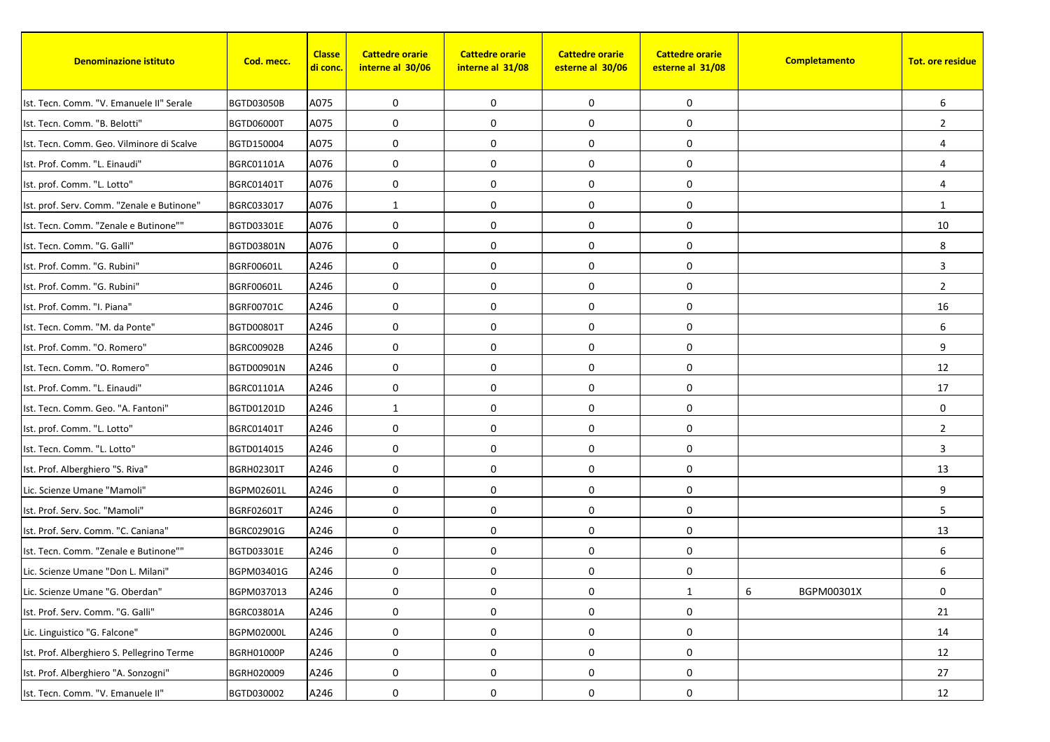| <b>Denominazione istituto</b>              | Cod. mecc.        | <b>Classe</b><br><mark>di conc.</mark> | <b>Cattedre orarie</b><br>interne al 30/06 | <b>Cattedre orarie</b><br>interne al 31/08 | <b>Cattedre orarie</b><br>esterne al 30/06 | <b>Cattedre orarie</b><br>esterne al 31/08 | Completamento   | <b>Tot. ore residue</b> |
|--------------------------------------------|-------------------|----------------------------------------|--------------------------------------------|--------------------------------------------|--------------------------------------------|--------------------------------------------|-----------------|-------------------------|
| Ist. Tecn. Comm. "V. Emanuele II" Serale   | <b>BGTD03050B</b> | A075                                   | 0                                          | $\mathbf 0$                                | 0                                          | 0                                          |                 | 6                       |
| Ist. Tecn. Comm. "B. Belotti"              | <b>BGTD06000T</b> | A075                                   | 0                                          | $\mathbf 0$                                | 0                                          | 0                                          |                 | $\overline{2}$          |
| Ist. Tecn. Comm. Geo. Vilminore di Scalve  | BGTD150004        | A075                                   | 0                                          | 0                                          | 0                                          | 0                                          |                 | $\overline{4}$          |
| Ist. Prof. Comm. "L. Einaudi"              | <b>BGRC01101A</b> | A076                                   | 0                                          | 0                                          | 0                                          | 0                                          |                 | $\overline{4}$          |
| Ist. prof. Comm. "L. Lotto"                | BGRC01401T        | A076                                   | 0                                          | $\mathbf 0$                                | 0                                          | 0                                          |                 | 4                       |
| Ist. prof. Serv. Comm. "Zenale e Butinone" | BGRC033017        | A076                                   | 1                                          | $\mathbf 0$                                | 0                                          | 0                                          |                 | 1                       |
| Ist. Tecn. Comm. "Zenale e Butinone""      | BGTD03301E        | A076                                   | 0                                          | $\mathbf 0$                                | 0                                          | 0                                          |                 | 10                      |
| Ist. Tecn. Comm. "G. Galli"                | BGTD03801N        | A076                                   | 0                                          | $\mathbf 0$                                | 0                                          | 0                                          |                 | 8                       |
| Ist. Prof. Comm. "G. Rubini"               | <b>BGRF00601L</b> | A246                                   | 0                                          | 0                                          | 0                                          | 0                                          |                 | 3                       |
| Ist. Prof. Comm. "G. Rubini"               | BGRF00601L        | A246                                   | 0                                          | 0                                          | 0                                          | 0                                          |                 | $\overline{2}$          |
| Ist. Prof. Comm. "I. Piana"                | BGRF00701C        | A246                                   | 0                                          | $\mathbf 0$                                | 0                                          | 0                                          |                 | 16                      |
| Ist. Tecn. Comm. "M. da Ponte"             | <b>BGTD00801T</b> | A246                                   | 0                                          | 0                                          | 0                                          | 0                                          |                 | 6                       |
| Ist. Prof. Comm. "O. Romero"               | <b>BGRC00902B</b> | A246                                   | 0                                          | $\mathbf 0$                                | 0                                          | 0                                          |                 | 9                       |
| Ist. Tecn. Comm. "O. Romero"               | BGTD00901N        | A246                                   | 0                                          | $\mathbf 0$                                | 0                                          | 0                                          |                 | 12                      |
| Ist. Prof. Comm. "L. Einaudi"              | <b>BGRC01101A</b> | A246                                   | 0                                          | 0                                          | 0                                          | 0                                          |                 | 17                      |
| Ist. Tecn. Comm. Geo. "A. Fantoni"         | BGTD01201D        | A246                                   | 1                                          | $\mathbf 0$                                | 0                                          | 0                                          |                 | $\mathbf 0$             |
| Ist. prof. Comm. "L. Lotto"                | BGRC01401T        | A246                                   | 0                                          | $\mathbf 0$                                | 0                                          | 0                                          |                 | $\overline{2}$          |
| Ist. Tecn. Comm. "L. Lotto"                | BGTD014015        | A246                                   | 0                                          | $\mathbf 0$                                | 0                                          | 0                                          |                 | 3                       |
| Ist. Prof. Alberghiero "S. Riva"           | BGRH02301T        | A246                                   | 0                                          | $\mathbf 0$                                | 0                                          | 0                                          |                 | 13                      |
| Lic. Scienze Umane "Mamoli"                | BGPM02601L        | A246                                   | 0                                          | $\mathbf 0$                                | 0                                          | 0                                          |                 | 9                       |
| Ist. Prof. Serv. Soc. "Mamoli"             | BGRF02601T        | A246                                   | 0                                          | $\mathbf 0$                                | 0                                          | 0                                          |                 | 5                       |
| Ist. Prof. Serv. Comm. "C. Caniana"        | BGRC02901G        | A246                                   | $\mathbf 0$                                | $\mathbf 0$                                | 0                                          | 0                                          |                 | 13                      |
| Ist. Tecn. Comm. "Zenale e Butinone""      | BGTD03301E        | A246                                   | 0                                          | $\mathbf 0$                                | 0                                          | 0                                          |                 | 6                       |
| Lic. Scienze Umane "Don L. Milani"         | BGPM03401G        | A246                                   | 0                                          | 0                                          | 0                                          | 0                                          |                 | 6                       |
| Lic. Scienze Umane "G. Oberdan"            | BGPM037013        | A246                                   | 0                                          | 0                                          | 0                                          | $\mathbf{1}$                               | 6<br>BGPM00301X | 0                       |
| Ist. Prof. Serv. Comm. "G. Galli"          | BGRC03801A        | A246                                   | 0                                          | 0                                          | 0                                          | 0                                          |                 | 21                      |
| Lic. Linguistico "G. Falcone"              | <b>BGPM02000L</b> | A246                                   | 0                                          | 0                                          | 0                                          | 0                                          |                 | 14                      |
| Ist. Prof. Alberghiero S. Pellegrino Terme | BGRH01000P        | A246                                   | 0                                          | $\mathbf 0$                                | $\pmb{0}$                                  | 0                                          |                 | 12                      |
| Ist. Prof. Alberghiero "A. Sonzogni"       | BGRH020009        | A246                                   | $\pmb{0}$                                  | $\boldsymbol{0}$                           | 0                                          | $\boldsymbol{0}$                           |                 | 27                      |
| Ist. Tecn. Comm. "V. Emanuele II"          | BGTD030002        | A246                                   | 0                                          | 0                                          | 0                                          | 0                                          |                 | 12                      |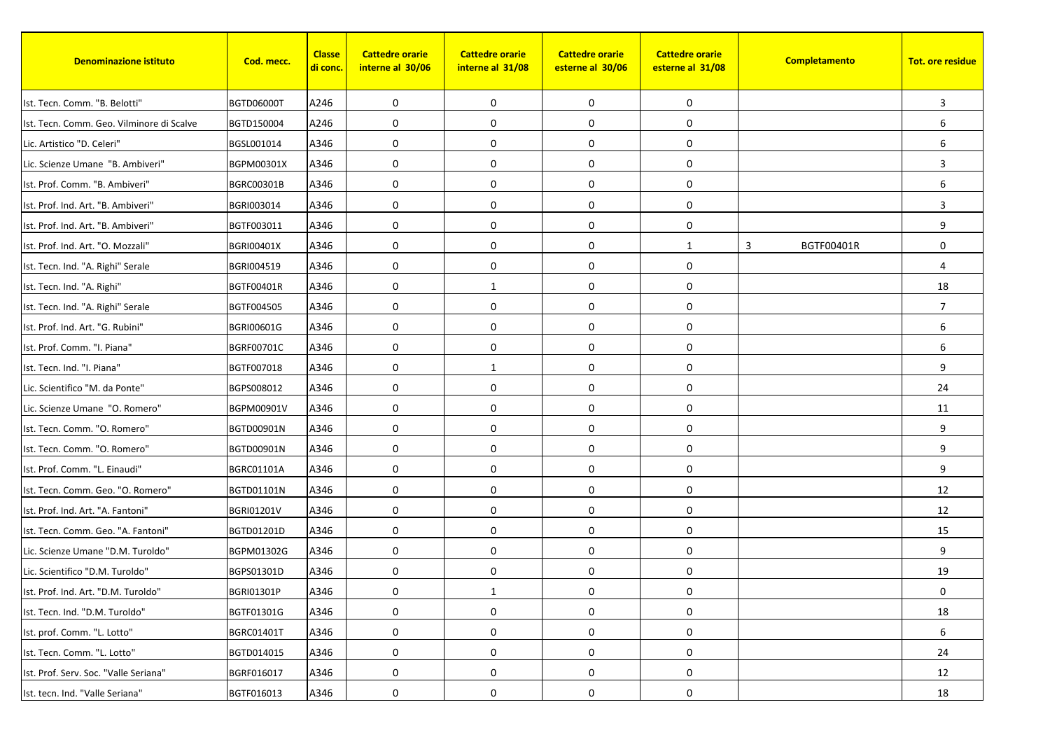| <b>Denominazione istituto</b>             | Cod. mecc.        | <b>Classe</b><br><mark>di conc.</mark> | <b>Cattedre orarie</b><br>interne al 30/06 | <b>Cattedre orarie</b><br>interne al 31/08 | <b>Cattedre orarie</b><br>esterne al 30/06 | <b>Cattedre orarie</b><br>esterne al 31/08 | Completamento   | <b>Tot. ore residue</b> |
|-------------------------------------------|-------------------|----------------------------------------|--------------------------------------------|--------------------------------------------|--------------------------------------------|--------------------------------------------|-----------------|-------------------------|
| Ist. Tecn. Comm. "B. Belotti"             | <b>BGTD06000T</b> | A246                                   | 0                                          | $\mathbf 0$                                | 0                                          | 0                                          |                 | 3                       |
| Ist. Tecn. Comm. Geo. Vilminore di Scalve | BGTD150004        | A246                                   | 0                                          | 0                                          | 0                                          | 0                                          |                 | 6                       |
| Lic. Artistico "D. Celeri"                | BGSL001014        | A346                                   | 0                                          | 0                                          | 0                                          | 0                                          |                 | 6                       |
| Lic. Scienze Umane "B. Ambiveri"          | BGPM00301X        | A346                                   | $\mathbf 0$                                | $\mathbf 0$                                | $\pmb{0}$                                  | 0                                          |                 | 3                       |
| Ist. Prof. Comm. "B. Ambiveri"            | BGRC00301B        | A346                                   | 0                                          | $\mathbf 0$                                | 0                                          | 0                                          |                 | 6                       |
| Ist. Prof. Ind. Art. "B. Ambiveri"        | BGRI003014        | A346                                   | 0                                          | $\mathbf 0$                                | $\pmb{0}$                                  | 0                                          |                 | 3                       |
| Ist. Prof. Ind. Art. "B. Ambiveri"        | BGTF003011        | A346                                   | 0                                          | 0                                          | $\mathbf 0$                                | 0                                          |                 | 9                       |
| Ist. Prof. Ind. Art. "O. Mozzali"         | <b>BGRI00401X</b> | A346                                   | $\mathbf 0$                                | $\mathbf 0$                                | 0                                          | $\mathbf{1}$                               | 3<br>BGTF00401R | $\mathbf 0$             |
| Ist. Tecn. Ind. "A. Righi" Serale         | BGRI004519        | A346                                   | 0                                          | 0                                          | 0                                          | 0                                          |                 | $\overline{4}$          |
| Ist. Tecn. Ind. "A. Righi"                | BGTF00401R        | A346                                   | 0                                          | 1                                          | $\pmb{0}$                                  | 0                                          |                 | 18                      |
| Ist. Tecn. Ind. "A. Righi" Serale         | BGTF004505        | A346                                   | 0                                          | $\mathbf 0$                                | 0                                          | 0                                          |                 | $\overline{7}$          |
| Ist. Prof. Ind. Art. "G. Rubini"          | BGRI00601G        | A346                                   | 0                                          | $\mathbf 0$                                | 0                                          | 0                                          |                 | 6                       |
| Ist. Prof. Comm. "I. Piana"               | <b>BGRF00701C</b> | A346                                   | 0                                          | $\mathbf 0$                                | $\pmb{0}$                                  | 0                                          |                 | 6                       |
| Ist. Tecn. Ind. "I. Piana"                | BGTF007018        | A346                                   | $\mathbf 0$                                | 1                                          | $\mathbf 0$                                | 0                                          |                 | 9                       |
| Lic. Scientifico "M. da Ponte"            | BGPS008012        | A346                                   | $\mathbf 0$                                | 0                                          | $\mathbf 0$                                | 0                                          |                 | 24                      |
| Lic. Scienze Umane "O. Romero"            | BGPM00901V        | A346                                   | 0                                          | $\mathbf 0$                                | $\pmb{0}$                                  | 0                                          |                 | 11                      |
| Ist. Tecn. Comm. "O. Romero"              | BGTD00901N        | A346                                   | 0                                          | $\mathbf 0$                                | 0                                          | 0                                          |                 | 9                       |
| Ist. Tecn. Comm. "O. Romero"              | BGTD00901N        | A346                                   | $\mathbf 0$                                | $\mathbf 0$                                | $\mathbf 0$                                | 0                                          |                 | 9                       |
| Ist. Prof. Comm. "L. Einaudi"             | <b>BGRC01101A</b> | A346                                   | 0                                          | $\mathbf 0$                                | 0                                          | 0                                          |                 | 9                       |
| Ist. Tecn. Comm. Geo. "O. Romero"         | BGTD01101N        | A346                                   | 0                                          | 0                                          | 0                                          | 0                                          |                 | 12                      |
| Ist. Prof. Ind. Art. "A. Fantoni"         | <b>BGRI01201V</b> | A346                                   | 0                                          | $\mathbf 0$                                | $\pmb{0}$                                  | 0                                          |                 | 12                      |
| Ist. Tecn. Comm. Geo. "A. Fantoni"        | BGTD01201D        | A346                                   | 0                                          | $\mathbf 0$                                | 0                                          | 0                                          |                 | 15                      |
| Lic. Scienze Umane "D.M. Turoldo"         | BGPM01302G        | A346                                   | 0                                          | $\mathbf 0$                                | 0                                          | 0                                          |                 | 9                       |
| Lic. Scientifico "D.M. Turoldo"           | BGPS01301D        | A346                                   | 0                                          | 0                                          | $\pmb{0}$                                  | 0                                          |                 | 19                      |
| Ist. Prof. Ind. Art. "D.M. Turoldo"       | BGRI01301P        | A346                                   | 0                                          | $\mathbf{1}$                               | 0                                          | $\boldsymbol{0}$                           |                 | 0                       |
| Ist. Tecn. Ind. "D.M. Turoldo"            | BGTF01301G        | A346                                   | 0                                          | 0                                          | 0                                          | 0                                          |                 | 18                      |
| Ist. prof. Comm. "L. Lotto"               | BGRC01401T        | A346                                   | 0                                          | 0                                          | 0                                          | 0                                          |                 | 6                       |
| Ist. Tecn. Comm. "L. Lotto"               | BGTD014015        | A346                                   | 0                                          | $\boldsymbol{0}$                           | 0                                          | 0                                          |                 | 24                      |
| Ist. Prof. Serv. Soc. "Valle Seriana"     | BGRF016017        | A346                                   | $\pmb{0}$                                  | 0                                          | 0                                          | 0                                          |                 | 12                      |
| Ist. tecn. Ind. "Valle Seriana"           | BGTF016013        | A346                                   | 0                                          | 0                                          | 0                                          | 0                                          |                 | 18                      |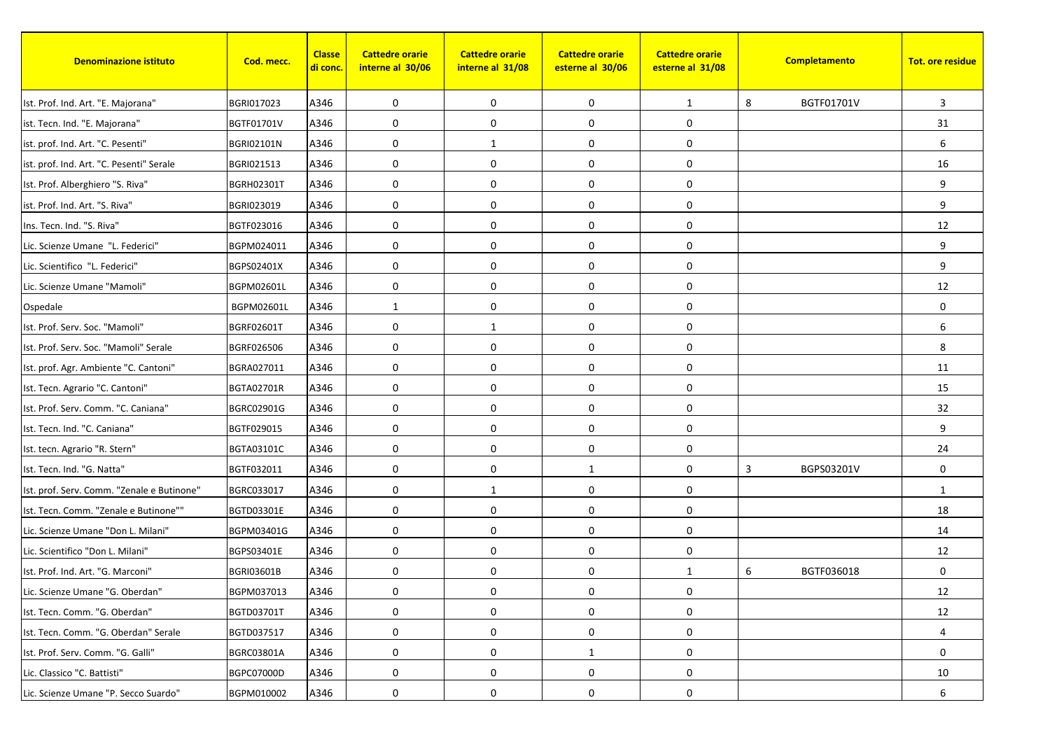| <b>Denominazione istituto</b>              | Cod. mecc.        | <b>Classe</b><br>di conc. | <b>Cattedre orarie</b><br>interne al 30/06 | <b>Cattedre orarie</b><br>interne al 31/08 | <b>Cattedre orarie</b><br>esterne al 30/06 | <b>Cattedre orarie</b><br>esterne al 31/08 |   | Completamento | <b>Tot. ore residue</b> |
|--------------------------------------------|-------------------|---------------------------|--------------------------------------------|--------------------------------------------|--------------------------------------------|--------------------------------------------|---|---------------|-------------------------|
| Ist. Prof. Ind. Art. "E. Majorana"         | BGRI017023        | A346                      | 0                                          | $\mathbf 0$                                | 0                                          | $\mathbf{1}$                               | 8 | BGTF01701V    | 3                       |
| ist. Tecn. Ind. "E. Majorana"              | BGTF01701V        | A346                      | 0                                          | $\mathbf 0$                                | 0                                          | 0                                          |   |               | 31                      |
| ist. prof. Ind. Art. "C. Pesenti"          | <b>BGRI02101N</b> | A346                      | 0                                          | $\mathbf{1}$                               | 0                                          | 0                                          |   |               | 6                       |
| ist. prof. Ind. Art. "C. Pesenti" Serale   | BGRI021513        | A346                      | 0                                          | $\mathbf 0$                                | $\mathbf 0$                                | 0                                          |   |               | 16                      |
| Ist. Prof. Alberghiero "S. Riva"           | <b>BGRH02301T</b> | A346                      | 0                                          | $\mathbf 0$                                | 0                                          | 0                                          |   |               | 9                       |
| ist. Prof. Ind. Art. "S. Riva"             | BGRI023019        | A346                      | 0                                          | $\mathbf 0$                                | $\mathbf 0$                                | 0                                          |   |               | 9                       |
| Ins. Tecn. Ind. "S. Riva"                  | BGTF023016        | A346                      | 0                                          | $\mathbf 0$                                | $\mathbf 0$                                | 0                                          |   |               | 12                      |
| Lic. Scienze Umane "L. Federici"           | BGPM024011        | A346                      | 0                                          | $\mathbf 0$                                | 0                                          | 0                                          |   |               | 9                       |
| Lic. Scientifico "L. Federici"             | BGPS02401X        | A346                      | 0                                          | $\mathbf 0$                                | 0                                          | 0                                          |   |               | 9                       |
| Lic. Scienze Umane "Mamoli"                | BGPM02601L        | A346                      | 0                                          | $\boldsymbol{0}$                           | $\pmb{0}$                                  | 0                                          |   |               | 12                      |
| Ospedale                                   | BGPM02601L        | A346                      | 1                                          | $\mathbf 0$                                | 0                                          | 0                                          |   |               | $\mathbf 0$             |
| Ist. Prof. Serv. Soc. "Mamoli"             | BGRF02601T        | A346                      | 0                                          | 1                                          | 0                                          | 0                                          |   |               | 6                       |
| Ist. Prof. Serv. Soc. "Mamoli" Serale      | BGRF026506        | A346                      | 0                                          | $\mathbf 0$                                | $\boldsymbol{0}$                           | 0                                          |   |               | 8                       |
| Ist. prof. Agr. Ambiente "C. Cantoni"      | BGRA027011        | A346                      | 0                                          | $\mathbf 0$                                | $\mathbf 0$                                | 0                                          |   |               | 11                      |
| Ist. Tecn. Agrario "C. Cantoni"            | BGTA02701R        | A346                      | 0                                          | $\mathbf 0$                                | $\pmb{0}$                                  | 0                                          |   |               | 15                      |
| Ist. Prof. Serv. Comm. "C. Caniana"        | BGRC02901G        | A346                      | 0                                          | $\mathbf 0$                                | $\boldsymbol{0}$                           | 0                                          |   |               | 32                      |
| Ist. Tecn. Ind. "C. Caniana"               | BGTF029015        | A346                      | 0                                          | 0                                          | 0                                          | 0                                          |   |               | 9                       |
| Ist. tecn. Agrario "R. Stern"              | BGTA03101C        | A346                      | 0                                          | $\mathbf 0$                                | $\mathbf 0$                                | 0                                          |   |               | 24                      |
| Ist. Tecn. Ind. "G. Natta"                 | BGTF032011        | A346                      | 0                                          | $\mathbf 0$                                | $\mathbf{1}$                               | 0                                          | 3 | BGPS03201V    | $\mathbf 0$             |
| Ist. prof. Serv. Comm. "Zenale e Butinone" | BGRC033017        | A346                      | 0                                          | $\mathbf{1}$                               | 0                                          | 0                                          |   |               | 1                       |
| Ist. Tecn. Comm. "Zenale e Butinone""      | BGTD03301E        | A346                      | 0                                          | $\mathbf 0$                                | $\boldsymbol{0}$                           | 0                                          |   |               | 18                      |
| Lic. Scienze Umane "Don L. Milani"         | BGPM03401G        | A346                      | 0                                          | $\mathbf 0$                                | 0                                          | 0                                          |   |               | 14                      |
| Lic. Scientifico "Don L. Milani"           | BGPS03401E        | A346                      | 0                                          | $\mathbf 0$                                | 0                                          | 0                                          |   |               | 12                      |
| Ist. Prof. Ind. Art. "G. Marconi"          | <b>BGRI03601B</b> | A346                      | 0                                          | $\mathbf 0$                                | $\pmb{0}$                                  | 1                                          | 6 | BGTF036018    | $\mathbf 0$             |
| Lic. Scienze Umane "G. Oberdan"            | BGPM037013        | A346                      | 0                                          | 0                                          | 0                                          | $\boldsymbol{0}$                           |   |               | 12                      |
| Ist. Tecn. Comm. "G. Oberdan"              | <b>BGTD03701T</b> | A346                      | 0                                          | 0                                          | 0                                          | 0                                          |   |               | 12                      |
| Ist. Tecn. Comm. "G. Oberdan" Serale       | BGTD037517        | A346                      | 0                                          | $\mathbf 0$                                | 0                                          | 0                                          |   |               | 4                       |
| Ist. Prof. Serv. Comm. "G. Galli"          | BGRC03801A        | A346                      | 0                                          | 0                                          | $\mathbf{1}$                               | 0                                          |   |               | 0                       |
| Lic. Classico "C. Battisti"                | BGPC07000D        | A346                      | 0                                          | $\mathbf 0$                                | 0                                          | 0                                          |   |               | 10                      |
| Lic. Scienze Umane "P. Secco Suardo"       | BGPM010002        | A346                      | 0                                          | 0                                          | 0                                          | 0                                          |   |               | 6                       |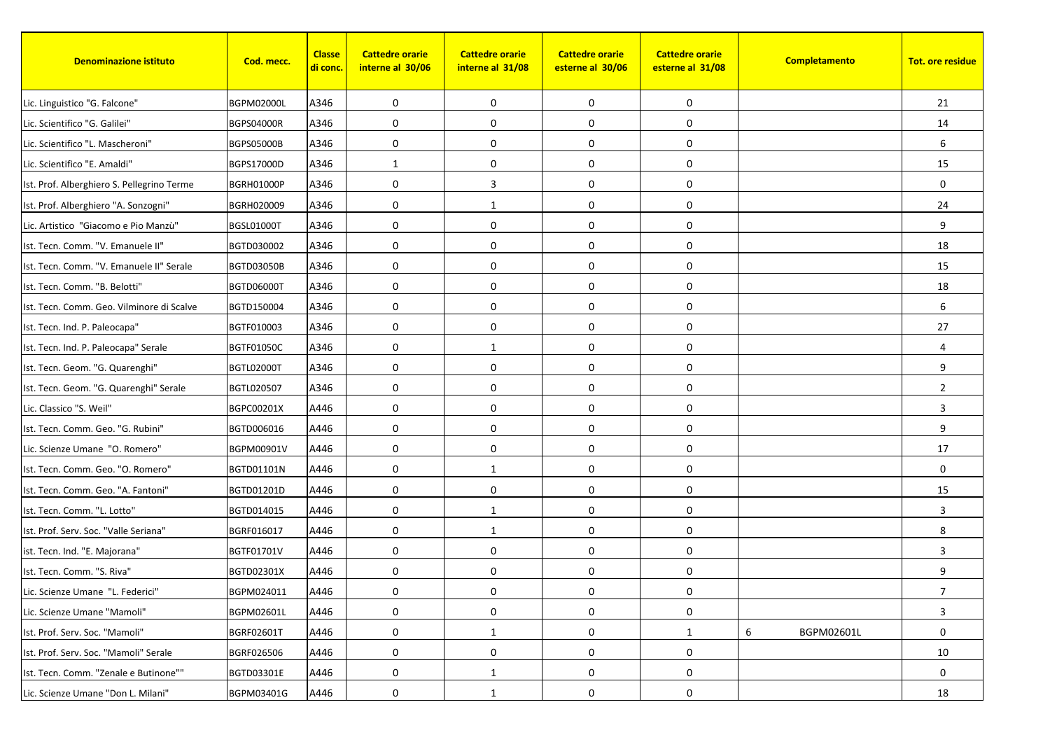| <b>Denominazione istituto</b>              | Cod. mecc.        | <b>Classe</b><br><mark>di conc.</mark> | <b>Cattedre orarie</b><br>interne al 30/06 | <b>Cattedre orarie</b><br>interne al 31/08 | <b>Cattedre orarie</b><br>esterne al 30/06 | <b>Cattedre orarie</b><br>esterne al 31/08 | Completamento   | <b>Tot. ore residue</b> |
|--------------------------------------------|-------------------|----------------------------------------|--------------------------------------------|--------------------------------------------|--------------------------------------------|--------------------------------------------|-----------------|-------------------------|
| Lic. Linguistico "G. Falcone"              | <b>BGPM02000L</b> | A346                                   | 0                                          | $\mathbf 0$                                | 0                                          | 0                                          |                 | 21                      |
| Lic. Scientifico "G. Galilei"              | <b>BGPS04000R</b> | A346                                   | 0                                          | $\mathbf 0$                                | 0                                          | 0                                          |                 | 14                      |
| Lic. Scientifico "L. Mascheroni"           | <b>BGPS05000B</b> | A346                                   | 0                                          | 0                                          | 0                                          | 0                                          |                 | 6                       |
| Lic. Scientifico "E. Amaldi"               | <b>BGPS17000D</b> | A346                                   | $\mathbf{1}$                               | 0                                          | $\pmb{0}$                                  | 0                                          |                 | 15                      |
| Ist. Prof. Alberghiero S. Pellegrino Terme | <b>BGRH01000P</b> | A346                                   | 0                                          | 3                                          | 0                                          | 0                                          |                 | $\mathbf 0$             |
| Ist. Prof. Alberghiero "A. Sonzogni"       | BGRH020009        | A346                                   | 0                                          | 1                                          | $\pmb{0}$                                  | 0                                          |                 | 24                      |
| Lic. Artistico "Giacomo e Pio Manzù"       | <b>BGSL01000T</b> | A346                                   | 0                                          | 0                                          | $\mathbf 0$                                | 0                                          |                 | 9                       |
| Ist. Tecn. Comm. "V. Emanuele II"          | BGTD030002        | A346                                   | $\mathbf 0$                                | $\mathbf 0$                                | 0                                          | 0                                          |                 | 18                      |
| Ist. Tecn. Comm. "V. Emanuele II" Serale   | <b>BGTD03050B</b> | A346                                   | 0                                          | 0                                          | 0                                          | 0                                          |                 | 15                      |
| Ist. Tecn. Comm. "B. Belotti"              | <b>BGTD06000T</b> | A346                                   | 0                                          | 0                                          | $\pmb{0}$                                  | 0                                          |                 | 18                      |
| Ist. Tecn. Comm. Geo. Vilminore di Scalve  | BGTD150004        | A346                                   | 0                                          | $\mathbf 0$                                | 0                                          | 0                                          |                 | 6                       |
| Ist. Tecn. Ind. P. Paleocapa"              | BGTF010003        | A346                                   | 0                                          | $\mathbf 0$                                | 0                                          | 0                                          |                 | 27                      |
| Ist. Tecn. Ind. P. Paleocapa" Serale       | <b>BGTF01050C</b> | A346                                   | 0                                          | 1                                          | $\pmb{0}$                                  | 0                                          |                 | 4                       |
| Ist. Tecn. Geom. "G. Quarenghi"            | <b>BGTL02000T</b> | A346                                   | 0                                          | $\mathbf 0$                                | $\mathbf 0$                                | 0                                          |                 | 9                       |
| Ist. Tecn. Geom. "G. Quarenghi" Serale     | BGTL020507        | A346                                   | 0                                          | 0                                          | 0                                          | 0                                          |                 | $\overline{2}$          |
| Lic. Classico "S. Weil"                    | BGPC00201X        | A446                                   | 0                                          | $\mathbf 0$                                | $\mathbf 0$                                | 0                                          |                 | 3                       |
| Ist. Tecn. Comm. Geo. "G. Rubini"          | BGTD006016        | A446                                   | 0                                          | $\mathbf 0$                                | 0                                          | 0                                          |                 | 9                       |
| Lic. Scienze Umane "O. Romero"             | BGPM00901V        | A446                                   | $\mathbf 0$                                | 0                                          | $\mathbf 0$                                | 0                                          |                 | 17                      |
| Ist. Tecn. Comm. Geo. "O. Romero"          | BGTD01101N        | A446                                   | 0                                          | 1                                          | 0                                          | 0                                          |                 | $\mathbf 0$             |
| Ist. Tecn. Comm. Geo. "A. Fantoni"         | BGTD01201D        | A446                                   | 0                                          | $\mathbf 0$                                | 0                                          | 0                                          |                 | 15                      |
| Ist. Tecn. Comm. "L. Lotto"                | BGTD014015        | A446                                   | 0                                          | 1                                          | $\pmb{0}$                                  | 0                                          |                 | 3                       |
| Ist. Prof. Serv. Soc. "Valle Seriana"      | BGRF016017        | A446                                   | 0                                          | 1                                          | 0                                          | 0                                          |                 | 8                       |
| ist. Tecn. Ind. "E. Majorana"              | <b>BGTF01701V</b> | A446                                   | 0                                          | $\mathbf 0$                                | $\mathbf 0$                                | 0                                          |                 | 3                       |
| Ist. Tecn. Comm. "S. Riva"                 | BGTD02301X        | A446                                   | 0                                          | 0                                          | 0                                          | 0                                          |                 | 9                       |
| Lic. Scienze Umane "L. Federici"           | BGPM024011        | A446                                   | 0                                          | 0                                          | 0                                          | $\boldsymbol{0}$                           |                 | 7                       |
| Lic. Scienze Umane "Mamoli"                | BGPM02601L        | A446                                   | 0                                          | 0                                          | 0                                          | 0                                          |                 | 3                       |
| Ist. Prof. Serv. Soc. "Mamoli"             | BGRF02601T        | A446                                   | 0                                          | 1                                          | 0                                          | $\mathbf{1}$                               | 6<br>BGPM02601L | 0                       |
| Ist. Prof. Serv. Soc. "Mamoli" Serale      | BGRF026506        | A446                                   | 0                                          | 0                                          | $\pmb{0}$                                  | 0                                          |                 | 10                      |
| Ist. Tecn. Comm. "Zenale e Butinone""      | BGTD03301E        | A446                                   | $\pmb{0}$                                  | $\mathbf{1}$                               | 0                                          | 0                                          |                 | 0                       |
| Lic. Scienze Umane "Don L. Milani"         | BGPM03401G        | A446                                   | 0                                          | 1                                          | 0                                          | 0                                          |                 | 18                      |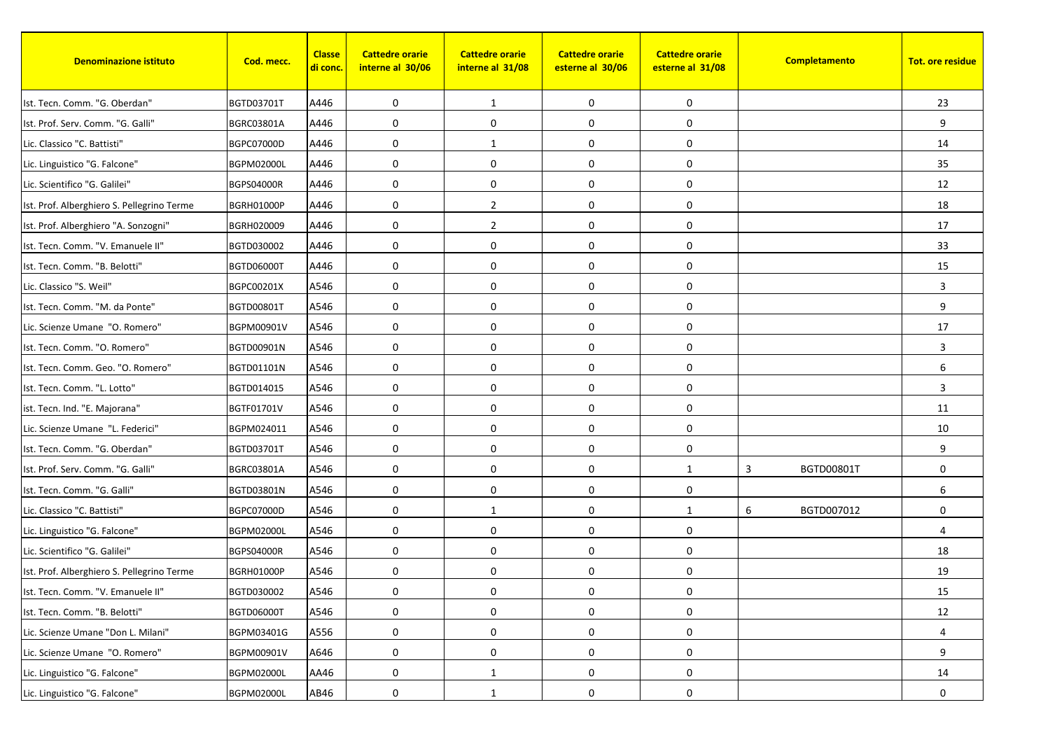| <b>Denominazione istituto</b>              | Cod. mecc.        | <b>Classe</b><br><mark>di conc.</mark> | <b>Cattedre orarie</b><br>interne al 30/06 | <b>Cattedre orarie</b><br>interne al 31/08 | <b>Cattedre orarie</b><br>esterne al 30/06 | <b>Cattedre orarie</b><br>esterne al 31/08 | Completamento   | <b>Tot. ore residue</b> |
|--------------------------------------------|-------------------|----------------------------------------|--------------------------------------------|--------------------------------------------|--------------------------------------------|--------------------------------------------|-----------------|-------------------------|
| Ist. Tecn. Comm. "G. Oberdan"              | BGTD03701T        | A446                                   | 0                                          | 1                                          | 0                                          | 0                                          |                 | 23                      |
| Ist. Prof. Serv. Comm. "G. Galli"          | BGRC03801A        | A446                                   | 0                                          | 0                                          | 0                                          | 0                                          |                 | 9                       |
| Lic. Classico "C. Battisti"                | BGPC07000D        | A446                                   | 0                                          | 1                                          | 0                                          | 0                                          |                 | 14                      |
| Lic. Linguistico "G. Falcone"              | <b>BGPM02000L</b> | A446                                   | $\mathbf 0$                                | 0                                          | $\pmb{0}$                                  | 0                                          |                 | 35                      |
| Lic. Scientifico "G. Galilei"              | <b>BGPS04000R</b> | A446                                   | 0                                          | $\mathbf 0$                                | 0                                          | 0                                          |                 | 12                      |
| Ist. Prof. Alberghiero S. Pellegrino Terme | BGRH01000P        | A446                                   | 0                                          | $\overline{2}$                             | $\pmb{0}$                                  | 0                                          |                 | 18                      |
| Ist. Prof. Alberghiero "A. Sonzogni"       | BGRH020009        | A446                                   | 0                                          | $\overline{2}$                             | $\mathbf 0$                                | 0                                          |                 | 17                      |
| Ist. Tecn. Comm. "V. Emanuele II"          | BGTD030002        | A446                                   | $\mathbf 0$                                | $\mathbf 0$                                | 0                                          | 0                                          |                 | 33                      |
| Ist. Tecn. Comm. "B. Belotti"              | <b>BGTD06000T</b> | A446                                   | 0                                          | 0                                          | 0                                          | 0                                          |                 | 15                      |
| Lic. Classico "S. Weil"                    | BGPC00201X        | A546                                   | 0                                          | 0                                          | $\pmb{0}$                                  | 0                                          |                 | 3                       |
| Ist. Tecn. Comm. "M. da Ponte"             | BGTD00801T        | A546                                   | 0                                          | $\mathbf 0$                                | 0                                          | 0                                          |                 | 9                       |
| Lic. Scienze Umane "O. Romero"             | BGPM00901V        | A546                                   | 0                                          | $\mathbf 0$                                | 0                                          | 0                                          |                 | 17                      |
| Ist. Tecn. Comm. "O. Romero"               | BGTD00901N        | A546                                   | 0                                          | 0                                          | $\pmb{0}$                                  | 0                                          |                 | 3                       |
| Ist. Tecn. Comm. Geo. "O. Romero"          | BGTD01101N        | A546                                   | 0                                          | $\mathbf 0$                                | $\mathbf 0$                                | 0                                          |                 | $6\phantom{.}6$         |
| Ist. Tecn. Comm. "L. Lotto"                | BGTD014015        | A546                                   | 0                                          | 0                                          | $\mathbf 0$                                | 0                                          |                 | 3                       |
| ist. Tecn. Ind. "E. Majorana"              | <b>BGTF01701V</b> | A546                                   | 0                                          | $\mathbf 0$                                | $\pmb{0}$                                  | 0                                          |                 | 11                      |
| Lic. Scienze Umane "L. Federici"           | BGPM024011        | A546                                   | 0                                          | $\mathbf 0$                                | 0                                          | 0                                          |                 | 10                      |
| Ist. Tecn. Comm. "G. Oberdan"              | <b>BGTD03701T</b> | A546                                   | $\mathbf 0$                                | $\mathbf 0$                                | $\mathbf 0$                                | 0                                          |                 | 9                       |
| Ist. Prof. Serv. Comm. "G. Galli"          | BGRC03801A        | A546                                   | 0                                          | $\mathbf 0$                                | 0                                          | $\mathbf{1}$                               | 3<br>BGTD00801T | $\mathbf 0$             |
| Ist. Tecn. Comm. "G. Galli"                | BGTD03801N        | A546                                   | 0                                          | 0                                          | 0                                          | 0                                          |                 | 6                       |
| Lic. Classico "C. Battisti"                | BGPC07000D        | A546                                   | 0                                          | $\mathbf{1}$                               | $\pmb{0}$                                  | $\mathbf{1}$                               | 6<br>BGTD007012 | 0                       |
| Lic. Linguistico "G. Falcone"              | <b>BGPM02000L</b> | A546                                   | 0                                          | $\mathbf 0$                                | 0                                          | 0                                          |                 | $\overline{4}$          |
| Lic. Scientifico "G. Galilei"              | <b>BGPS04000R</b> | A546                                   | 0                                          | $\mathbf 0$                                | $\mathbf 0$                                | 0                                          |                 | 18                      |
| Ist. Prof. Alberghiero S. Pellegrino Terme | <b>BGRH01000P</b> | A546                                   | 0                                          | 0                                          | $\pmb{0}$                                  | 0                                          |                 | 19                      |
| Ist. Tecn. Comm. "V. Emanuele II"          | BGTD030002        | A546                                   | 0                                          | 0                                          | 0                                          | 0                                          |                 | 15                      |
| Ist. Tecn. Comm. "B. Belotti"              | BGTD06000T        | A546                                   | 0                                          | 0                                          | 0                                          | 0                                          |                 | 12                      |
| Lic. Scienze Umane "Don L. Milani"         | BGPM03401G        | A556                                   | 0                                          | 0                                          | 0                                          | 0                                          |                 | 4                       |
| Lic. Scienze Umane "O. Romero"             | BGPM00901V        | A646                                   | 0                                          | 0                                          | $\pmb{0}$                                  | 0                                          |                 | 9                       |
| Lic. Linguistico "G. Falcone"              | <b>BGPM02000L</b> | AA46                                   | $\pmb{0}$                                  | $\mathbf{1}$                               | 0                                          | 0                                          |                 | 14                      |
| Lic. Linguistico "G. Falcone"              | <b>BGPM02000L</b> | AB46                                   | 0                                          | 1                                          | 0                                          | 0                                          |                 | 0                       |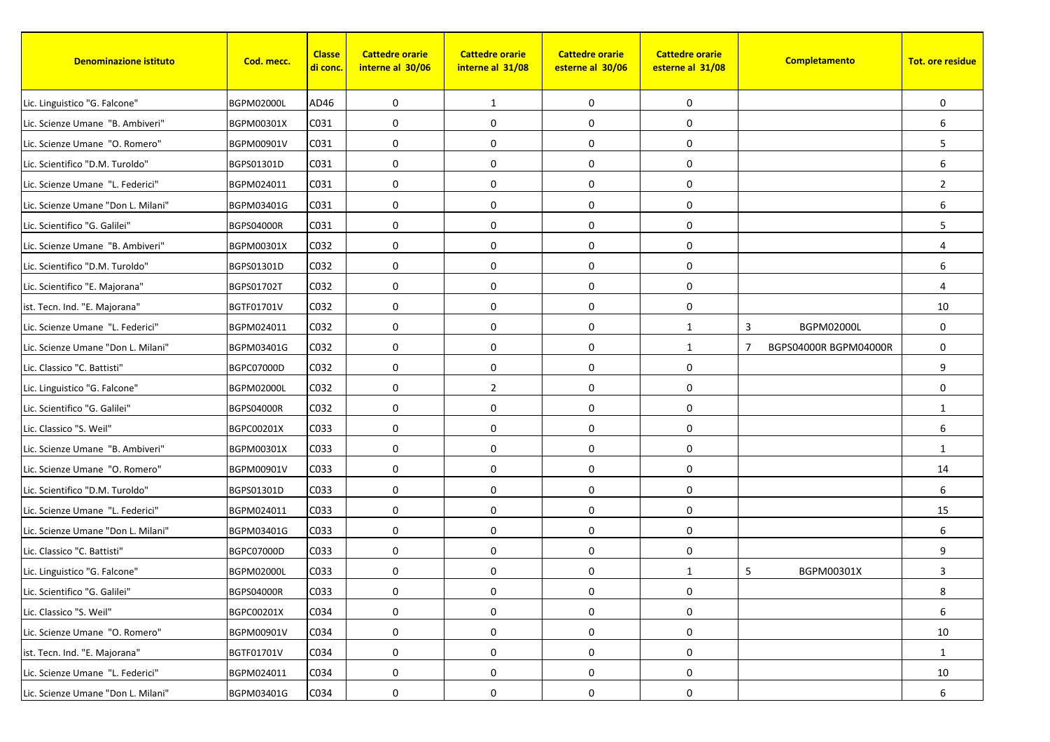| <b>Denominazione istituto</b>      | Cod. mecc.        | <b>Classe</b><br><mark>di conc.</mark> | <b>Cattedre orarie</b><br>interne al 30/06 | <b>Cattedre orarie</b><br>interne al 31/08 | <b>Cattedre orarie</b><br>esterne al 30/06 | <b>Cattedre orarie</b><br>esterne al 31/08 |   | Completamento         | <b>Tot. ore residue</b> |
|------------------------------------|-------------------|----------------------------------------|--------------------------------------------|--------------------------------------------|--------------------------------------------|--------------------------------------------|---|-----------------------|-------------------------|
| Lic. Linguistico "G. Falcone"      | <b>BGPM02000L</b> | AD46                                   | 0                                          | 1                                          | 0                                          | 0                                          |   |                       | $\mathbf 0$             |
| Lic. Scienze Umane "B. Ambiveri"   | BGPM00301X        | C031                                   | 0                                          | 0                                          | 0                                          | 0                                          |   |                       | 6                       |
| Lic. Scienze Umane "O. Romero"     | BGPM00901V        | C031                                   | 0                                          | 0                                          | 0                                          | 0                                          |   |                       | 5                       |
| Lic. Scientifico "D.M. Turoldo"    | BGPS01301D        | C031                                   | $\mathbf 0$                                | 0                                          | 0                                          | 0                                          |   |                       | 6                       |
| Lic. Scienze Umane "L. Federici"   | BGPM024011        | C031                                   | 0                                          | $\mathbf 0$                                | 0                                          | 0                                          |   |                       | $\overline{2}$          |
| Lic. Scienze Umane "Don L. Milani" | BGPM03401G        | C031                                   | 0                                          | $\mathbf 0$                                | $\pmb{0}$                                  | 0                                          |   |                       | 6                       |
| Lic. Scientifico "G. Galilei"      | <b>BGPS04000R</b> | C031                                   | 0                                          | 0                                          | $\mathbf 0$                                | 0                                          |   |                       | 5                       |
| Lic. Scienze Umane "B. Ambiveri"   | BGPM00301X        | C032                                   | 0                                          | $\mathbf 0$                                | 0                                          | 0                                          |   |                       | $\overline{4}$          |
| Lic. Scientifico "D.M. Turoldo"    | BGPS01301D        | C032                                   | 0                                          | 0                                          | 0                                          | 0                                          |   |                       | 6                       |
| Lic. Scientifico "E. Majorana"     | <b>BGPS01702T</b> | C032                                   | 0                                          | 0                                          | $\pmb{0}$                                  | 0                                          |   |                       | $\overline{4}$          |
| ist. Tecn. Ind. "E. Majorana"      | <b>BGTF01701V</b> | C032                                   | 0                                          | $\mathbf 0$                                | 0                                          | 0                                          |   |                       | 10                      |
| Lic. Scienze Umane "L. Federici"   | BGPM024011        | C032                                   | 0                                          | $\mathbf 0$                                | 0                                          | $\mathbf{1}$                               | 3 | <b>BGPM02000L</b>     | 0                       |
| Lic. Scienze Umane "Don L. Milani" | BGPM03401G        | C032                                   | 0                                          | 0                                          | $\pmb{0}$                                  | $\mathbf{1}$                               | 7 | BGPS04000R BGPM04000R | $\mathbf 0$             |
| Lic. Classico "C. Battisti"        | BGPC07000D        | C032                                   | 0                                          | $\mathbf 0$                                | $\mathbf 0$                                | 0                                          |   |                       | 9                       |
| Lic. Linguistico "G. Falcone"      | <b>BGPM02000L</b> | C032                                   | 0                                          | $\overline{2}$                             | 0                                          | 0                                          |   |                       | $\mathbf 0$             |
| Lic. Scientifico "G. Galilei"      | <b>BGPS04000R</b> | C032                                   | 0                                          | $\mathbf 0$                                | 0                                          | 0                                          |   |                       | 1                       |
| Lic. Classico "S. Weil"            | BGPC00201X        | C033                                   | 0                                          | $\mathbf 0$                                | 0                                          | 0                                          |   |                       | 6                       |
| Lic. Scienze Umane "B. Ambiveri"   | BGPM00301X        | C033                                   | $\mathbf 0$                                | 0                                          | 0                                          | 0                                          |   |                       | 1                       |
| Lic. Scienze Umane "O. Romero"     | BGPM00901V        | C033                                   | 0                                          | $\mathbf 0$                                | 0                                          | 0                                          |   |                       | 14                      |
| Lic. Scientifico "D.M. Turoldo"    | BGPS01301D        | C033                                   | 0                                          | 0                                          | 0                                          | 0                                          |   |                       | 6                       |
| Lic. Scienze Umane "L. Federici"   | BGPM024011        | C033                                   | 0                                          | 0                                          | 0                                          | 0                                          |   |                       | 15                      |
| Lic. Scienze Umane "Don L. Milani" | BGPM03401G        | C033                                   | 0                                          | $\mathbf 0$                                | 0                                          | 0                                          |   |                       | 6                       |
| Lic. Classico "C. Battisti"        | BGPC07000D        | C033                                   | 0                                          | 0                                          | 0                                          | 0                                          |   |                       | 9                       |
| Lic. Linguistico "G. Falcone"      | <b>BGPM02000L</b> | C033                                   | 0                                          | 0                                          | 0                                          | $\mathbf{1}$                               | 5 | BGPM00301X            | 3                       |
| Lic. Scientifico "G. Galilei"      | BGPS04000R        | C033                                   | 0                                          | 0                                          | 0                                          | $\boldsymbol{0}$                           |   |                       | 8                       |
| Lic. Classico "S. Weil"            | BGPC00201X        | C034                                   | 0                                          | 0                                          | 0                                          | 0                                          |   |                       | 6                       |
| Lic. Scienze Umane "O. Romero"     | BGPM00901V        | C034                                   | 0                                          | 0                                          | 0                                          | 0                                          |   |                       | 10                      |
| ist. Tecn. Ind. "E. Majorana"      | BGTF01701V        | C034                                   | 0                                          | 0                                          | 0                                          | 0                                          |   |                       | $\mathbf{1}$            |
| Lic. Scienze Umane "L. Federici"   | BGPM024011        | C034                                   | 0                                          | 0                                          | $\pmb{0}$                                  | 0                                          |   |                       | 10                      |
| Lic. Scienze Umane "Don L. Milani" | BGPM03401G        | C034                                   | 0                                          | 0                                          | 0                                          | 0                                          |   |                       | 6                       |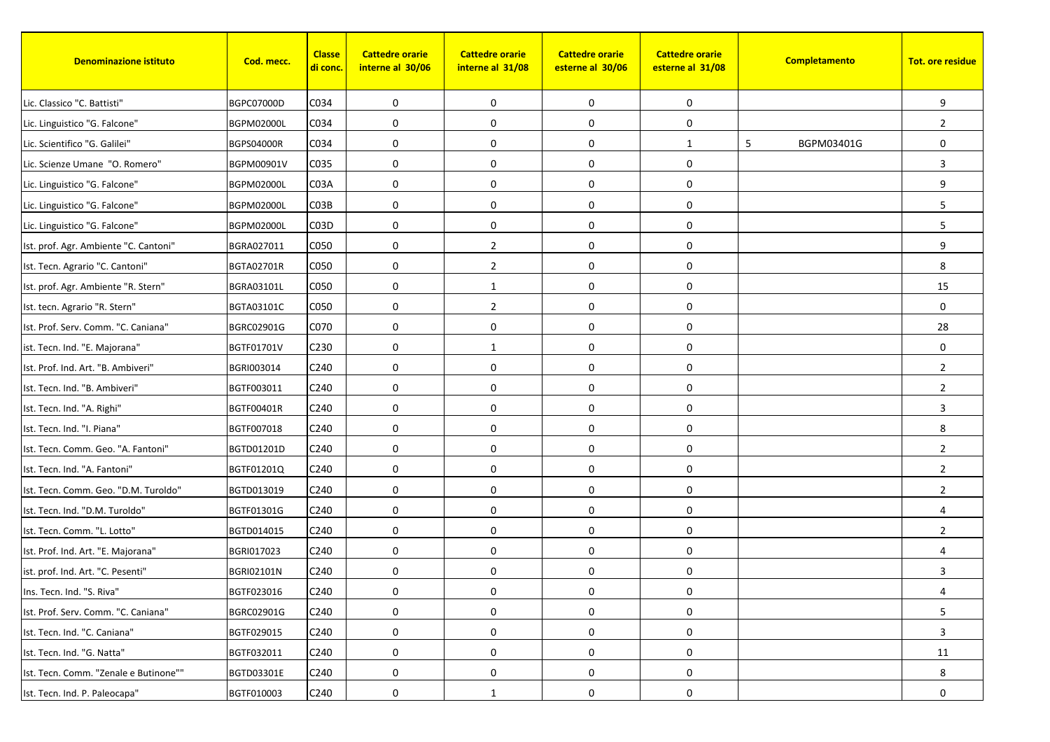| <b>Denominazione istituto</b>         | Cod. mecc.        | <b>Classe</b><br><u>di conc.</u> | <b>Cattedre orarie</b><br>interne al 30/06 | <b>Cattedre orarie</b><br>interne al 31/08 | <b>Cattedre orarie</b><br>esterne al 30/06 | <b>Cattedre orarie</b><br>esterne al 31/08 | Completamento   | <b>Tot. ore residue</b> |
|---------------------------------------|-------------------|----------------------------------|--------------------------------------------|--------------------------------------------|--------------------------------------------|--------------------------------------------|-----------------|-------------------------|
| Lic. Classico "C. Battisti"           | BGPC07000D        | C034                             | 0                                          | $\mathbf 0$                                | 0                                          | 0                                          |                 | 9                       |
| Lic. Linguistico "G. Falcone"         | <b>BGPM02000L</b> | C034                             | 0                                          | $\mathbf 0$                                | 0                                          | 0                                          |                 | $\overline{2}$          |
| Lic. Scientifico "G. Galilei"         | <b>BGPS04000R</b> | C034                             | 0                                          | $\mathbf 0$                                | 0                                          | $\mathbf{1}$                               | 5<br>BGPM03401G | $\mathbf 0$             |
| Lic. Scienze Umane "O. Romero"        | BGPM00901V        | C035                             | $\mathbf 0$                                | $\mathbf 0$                                | 0                                          | 0                                          |                 | 3                       |
| Lic. Linguistico "G. Falcone"         | <b>BGPM02000L</b> | C <sub>03</sub> A                | 0                                          | $\mathbf 0$                                | 0                                          | 0                                          |                 | 9                       |
| Lic. Linguistico "G. Falcone"         | <b>BGPM02000L</b> | C03B                             | 0                                          | $\mathbf 0$                                | $\pmb{0}$                                  | 0                                          |                 | 5                       |
| Lic. Linguistico "G. Falcone"         | <b>BGPM02000L</b> | CO3D                             | $\mathbf 0$                                | $\mathbf 0$                                | $\pmb{0}$                                  | 0                                          |                 | 5                       |
| Ist. prof. Agr. Ambiente "C. Cantoni" | BGRA027011        | C050                             | $\mathbf 0$                                | $\overline{2}$                             | 0                                          | 0                                          |                 | 9                       |
| Ist. Tecn. Agrario "C. Cantoni"       | <b>BGTA02701R</b> | C050                             | $\mathbf 0$                                | $\overline{2}$                             | 0                                          | 0                                          |                 | 8                       |
| Ist. prof. Agr. Ambiente "R. Stern"   | BGRA03101L        | C050                             | 0                                          | $\mathbf{1}$                               | 0                                          | 0                                          |                 | 15                      |
| Ist. tecn. Agrario "R. Stern"         | BGTA03101C        | C050                             | $\mathbf 0$                                | $\overline{2}$                             | $\boldsymbol{0}$                           | 0                                          |                 | $\mathbf 0$             |
| Ist. Prof. Serv. Comm. "C. Caniana"   | BGRC02901G        | C070                             | 0                                          | 0                                          | 0                                          | 0                                          |                 | 28                      |
| ist. Tecn. Ind. "E. Majorana"         | BGTF01701V        | C230                             | 0                                          | $\mathbf{1}$                               | $\pmb{0}$                                  | 0                                          |                 | $\mathbf 0$             |
| Ist. Prof. Ind. Art. "B. Ambiveri"    | BGRI003014        | C240                             | $\mathbf 0$                                | $\mathbf 0$                                | $\mathbf 0$                                | 0                                          |                 | $\overline{2}$          |
| Ist. Tecn. Ind. "B. Ambiveri"         | BGTF003011        | C240                             | $\mathbf 0$                                | 0                                          | 0                                          | 0                                          |                 | $\overline{2}$          |
| Ist. Tecn. Ind. "A. Righi"            | BGTF00401R        | C240                             | $\mathbf 0$                                | 0                                          | 0                                          | 0                                          |                 | 3                       |
| Ist. Tecn. Ind. "I. Piana"            | BGTF007018        | C240                             | 0                                          | 0                                          | 0                                          | 0                                          |                 | 8                       |
| Ist. Tecn. Comm. Geo. "A. Fantoni"    | BGTD01201D        | C240                             | $\mathbf 0$                                | 0                                          | 0                                          | 0                                          |                 | $\overline{2}$          |
| Ist. Tecn. Ind. "A. Fantoni"          | BGTF01201Q        | C240                             | 0                                          | $\mathbf 0$                                | 0                                          | 0                                          |                 | $\overline{2}$          |
| Ist. Tecn. Comm. Geo. "D.M. Turoldo"  | BGTD013019        | C240                             | 0                                          | $\mathbf 0$                                | $\boldsymbol{0}$                           | 0                                          |                 | $\overline{2}$          |
| Ist. Tecn. Ind. "D.M. Turoldo"        | BGTF01301G        | C240                             | 0                                          | 0                                          | $\boldsymbol{0}$                           | 0                                          |                 | $\overline{4}$          |
| Ist. Tecn. Comm. "L. Lotto"           | BGTD014015        | C240                             | $\mathbf 0$                                | $\mathbf 0$                                | 0                                          | 0                                          |                 | $\overline{2}$          |
| Ist. Prof. Ind. Art. "E. Majorana"    | BGRI017023        | C240                             | 0                                          | $\mathbf 0$                                | $\mathbf 0$                                | 0                                          |                 | $\overline{4}$          |
| ist. prof. Ind. Art. "C. Pesenti"     | <b>BGRI02101N</b> | C240                             | 0                                          | 0                                          | 0                                          | 0                                          |                 | 3                       |
| Ins. Tecn. Ind. "S. Riva"             | BGTF023016        | C240                             | 0                                          | 0                                          | 0                                          | 0                                          |                 | 4                       |
| Ist. Prof. Serv. Comm. "C. Caniana"   | BGRC02901G        | C240                             | 0                                          | 0                                          | 0                                          | 0                                          |                 | 5                       |
| Ist. Tecn. Ind. "C. Caniana"          | BGTF029015        | C240                             | 0                                          | 0                                          | 0                                          | 0                                          |                 | 3                       |
| Ist. Tecn. Ind. "G. Natta"            | BGTF032011        | C240                             | 0                                          | $\mathbf 0$                                | 0                                          | 0                                          |                 | 11                      |
| Ist. Tecn. Comm. "Zenale e Butinone"" | BGTD03301E        | C240                             | $\boldsymbol{0}$                           | $\mathbf 0$                                | 0                                          | 0                                          |                 | 8                       |
| Ist. Tecn. Ind. P. Paleocapa"         | BGTF010003        | C240                             | 0                                          | -1                                         | 0                                          | 0                                          |                 | 0                       |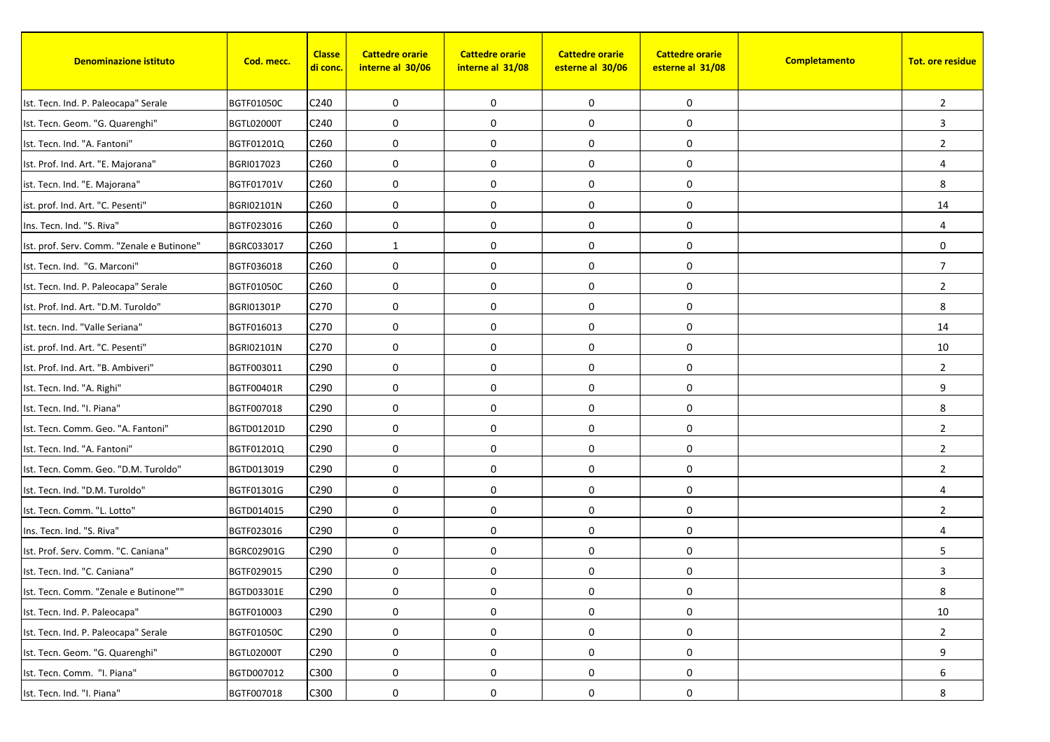| <b>Denominazione istituto</b>              | Cod. mecc.        | <b>Classe</b><br><u>di conc.</u> | <b>Cattedre orarie</b><br>interne al 30/06 | <b>Cattedre orarie</b><br>interne al 31/08 | <b>Cattedre orarie</b><br>esterne al 30/06 | <b>Cattedre orarie</b><br>esterne al 31/08 | Completamento | <b>Tot. ore residue</b> |
|--------------------------------------------|-------------------|----------------------------------|--------------------------------------------|--------------------------------------------|--------------------------------------------|--------------------------------------------|---------------|-------------------------|
| Ist. Tecn. Ind. P. Paleocapa" Serale       | <b>BGTF01050C</b> | C240                             | 0                                          | 0                                          | 0                                          | 0                                          |               | $\overline{2}$          |
| Ist. Tecn. Geom. "G. Quarenghi"            | <b>BGTL02000T</b> | C240                             | 0                                          | $\mathbf 0$                                | $\boldsymbol{0}$                           | 0                                          |               | 3                       |
| Ist. Tecn. Ind. "A. Fantoni"               | BGTF01201Q        | C <sub>260</sub>                 | 0                                          | 0                                          | 0                                          | 0                                          |               | $\overline{2}$          |
| Ist. Prof. Ind. Art. "E. Majorana"         | BGRI017023        | C260                             | $\mathbf 0$                                | 0                                          | 0                                          | 0                                          |               | $\overline{4}$          |
| ist. Tecn. Ind. "E. Majorana"              | BGTF01701V        | C <sub>260</sub>                 | 0                                          | $\mathbf 0$                                | 0                                          | 0                                          |               | 8                       |
| ist. prof. Ind. Art. "C. Pesenti"          | <b>BGRI02101N</b> | C <sub>260</sub>                 | 0                                          | $\mathbf 0$                                | 0                                          | 0                                          |               | 14                      |
| Ins. Tecn. Ind. "S. Riva"                  | BGTF023016        | C <sub>260</sub>                 | $\mathbf 0$                                | 0                                          | $\mathbf 0$                                | 0                                          |               | $\overline{4}$          |
| Ist. prof. Serv. Comm. "Zenale e Butinone" | BGRC033017        | C260                             | 1                                          | $\mathbf 0$                                | 0                                          | 0                                          |               | $\mathbf 0$             |
| Ist. Tecn. Ind. "G. Marconi"               | BGTF036018        | C260                             | 0                                          | 0                                          | 0                                          | 0                                          |               | $\overline{7}$          |
| Ist. Tecn. Ind. P. Paleocapa" Serale       | <b>BGTF01050C</b> | C260                             | 0                                          | $\mathbf 0$                                | 0                                          | 0                                          |               | $\overline{2}$          |
| Ist. Prof. Ind. Art. "D.M. Turoldo"        | <b>BGRI01301P</b> | C270                             | $\mathbf 0$                                | 0                                          | 0                                          | 0                                          |               | 8                       |
| Ist. tecn. Ind. "Valle Seriana"            | BGTF016013        | C270                             | 0                                          | 0                                          | 0                                          | 0                                          |               | 14                      |
| ist. prof. Ind. Art. "C. Pesenti"          | <b>BGRI02101N</b> | C270                             | 0                                          | $\mathbf 0$                                | 0                                          | 0                                          |               | 10                      |
| Ist. Prof. Ind. Art. "B. Ambiveri"         | BGTF003011        | C290                             | $\mathbf 0$                                | $\mathbf 0$                                | $\mathbf 0$                                | 0                                          |               | $\overline{2}$          |
| Ist. Tecn. Ind. "A. Righi"                 | BGTF00401R        | C290                             | $\mathbf 0$                                | 0                                          | 0                                          | 0                                          |               | 9                       |
| Ist. Tecn. Ind. "I. Piana"                 | BGTF007018        | C290                             | $\mathbf 0$                                | 0                                          | 0                                          | 0                                          |               | 8                       |
| Ist. Tecn. Comm. Geo. "A. Fantoni"         | BGTD01201D        | C290                             | 0                                          | 0                                          | 0                                          | 0                                          |               | $\overline{2}$          |
| Ist. Tecn. Ind. "A. Fantoni"               | BGTF01201Q        | C290                             | $\mathbf 0$                                | 0                                          | 0                                          | 0                                          |               | $\overline{2}$          |
| Ist. Tecn. Comm. Geo. "D.M. Turoldo"       | BGTD013019        | C290                             | 0                                          | $\mathbf 0$                                | 0                                          | 0                                          |               | $\overline{2}$          |
| Ist. Tecn. Ind. "D.M. Turoldo"             | BGTF01301G        | C290                             | 0                                          | 0                                          | $\boldsymbol{0}$                           | 0                                          |               | $\overline{4}$          |
| Ist. Tecn. Comm. "L. Lotto"                | BGTD014015        | C290                             | 0                                          | 0                                          | $\boldsymbol{0}$                           | 0                                          |               | $\overline{2}$          |
| Ins. Tecn. Ind. "S. Riva"                  | BGTF023016        | C <sub>290</sub>                 | $\mathbf 0$                                | $\mathbf 0$                                | 0                                          | 0                                          |               | $\overline{4}$          |
| Ist. Prof. Serv. Comm. "C. Caniana"        | BGRC02901G        | C290                             | 0                                          | 0                                          | 0                                          | 0                                          |               | 5                       |
| Ist. Tecn. Ind. "C. Caniana"               | BGTF029015        | C290                             | 0                                          | 0                                          | 0                                          | 0                                          |               | 3                       |
| Ist. Tecn. Comm. "Zenale e Butinone""      | BGTD03301E        | C290                             | 0                                          | 0                                          | 0                                          | 0                                          |               | 8                       |
| Ist. Tecn. Ind. P. Paleocapa"              | BGTF010003        | C290                             | 0                                          | 0                                          | 0                                          | 0                                          |               | 10                      |
| Ist. Tecn. Ind. P. Paleocapa" Serale       | BGTF01050C        | C290                             | 0                                          | 0                                          | $\boldsymbol{0}$                           | 0                                          |               | $\overline{2}$          |
| Ist. Tecn. Geom. "G. Quarenghi"            | <b>BGTL02000T</b> | C290                             | 0                                          | $\mathbf 0$                                | 0                                          | 0                                          |               | 9                       |
| Ist. Tecn. Comm. "I. Piana"                | BGTD007012        | C300                             | $\boldsymbol{0}$                           | $\mathbf 0$                                | $\boldsymbol{0}$                           | 0                                          |               | 6                       |
| Ist. Tecn. Ind. "I. Piana"                 | BGTF007018        | C300                             | 0                                          | 0                                          | 0                                          | 0                                          |               | 8                       |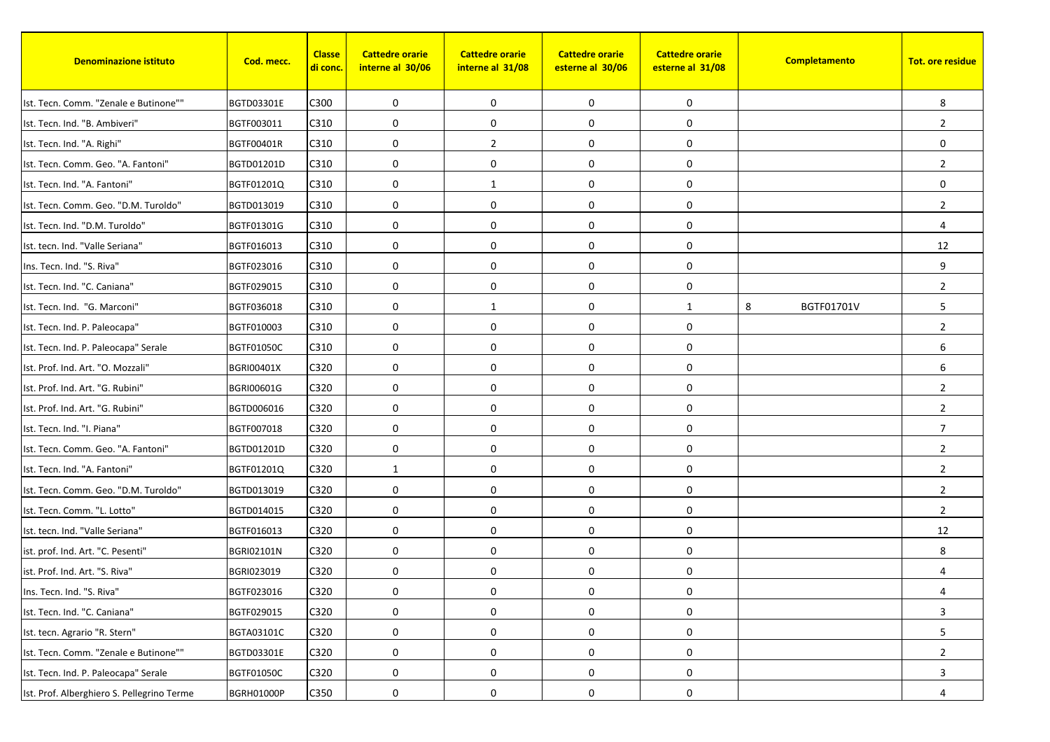| <b>Denominazione istituto</b>              | Cod. mecc.        | <b>Classe</b><br><mark>di conc.</mark> | <b>Cattedre orarie</b><br>interne al 30/06 | <b>Cattedre orarie</b><br>interne al 31/08 | <b>Cattedre orarie</b><br>esterne al 30/06 | <b>Cattedre orarie</b><br>esterne al 31/08 | Completamento   | <b>Tot. ore residue</b> |
|--------------------------------------------|-------------------|----------------------------------------|--------------------------------------------|--------------------------------------------|--------------------------------------------|--------------------------------------------|-----------------|-------------------------|
| Ist. Tecn. Comm. "Zenale e Butinone""      | BGTD03301E        | C300                                   | 0                                          | $\mathbf 0$                                | 0                                          | 0                                          |                 | 8                       |
| Ist. Tecn. Ind. "B. Ambiveri"              | BGTF003011        | C310                                   | 0                                          | $\mathbf 0$                                | 0                                          | 0                                          |                 | $\overline{2}$          |
| Ist. Tecn. Ind. "A. Righi"                 | BGTF00401R        | C310                                   | 0                                          | $\overline{2}$                             | 0                                          | 0                                          |                 | $\mathbf 0$             |
| Ist. Tecn. Comm. Geo. "A. Fantoni"         | BGTD01201D        | C310                                   | $\mathbf 0$                                | 0                                          | 0                                          | 0                                          |                 | $\overline{2}$          |
| Ist. Tecn. Ind. "A. Fantoni"               | BGTF01201Q        | C310                                   | 0                                          | 1                                          | 0                                          | 0                                          |                 | $\mathbf 0$             |
| Ist. Tecn. Comm. Geo. "D.M. Turoldo"       | BGTD013019        | C310                                   | 0                                          | $\mathbf 0$                                | $\pmb{0}$                                  | 0                                          |                 | $\overline{2}$          |
| Ist. Tecn. Ind. "D.M. Turoldo"             | BGTF01301G        | C310                                   | 0                                          | 0                                          | $\mathbf 0$                                | 0                                          |                 | $\overline{4}$          |
| Ist. tecn. Ind. "Valle Seriana"            | BGTF016013        | C310                                   | 0                                          | $\mathbf 0$                                | 0                                          | 0                                          |                 | 12                      |
| Ins. Tecn. Ind. "S. Riva"                  | BGTF023016        | C310                                   | 0                                          | $\mathbf 0$                                | 0                                          | 0                                          |                 | 9                       |
| Ist. Tecn. Ind. "C. Caniana"               | BGTF029015        | C310                                   | 0                                          | 0                                          | $\pmb{0}$                                  | 0                                          |                 | $\overline{2}$          |
| Ist. Tecn. Ind. "G. Marconi"               | BGTF036018        | C310                                   | 0                                          | 1                                          | 0                                          | $\mathbf{1}$                               | 8<br>BGTF01701V | 5                       |
| Ist. Tecn. Ind. P. Paleocapa"              | BGTF010003        | C310                                   | 0                                          | $\mathbf 0$                                | 0                                          | 0                                          |                 | $\overline{2}$          |
| Ist. Tecn. Ind. P. Paleocapa" Serale       | <b>BGTF01050C</b> | C310                                   | 0                                          | 0                                          | $\pmb{0}$                                  | 0                                          |                 | 6                       |
| Ist. Prof. Ind. Art. "O. Mozzali"          | <b>BGRI00401X</b> | C320                                   | $\mathbf 0$                                | $\mathbf 0$                                | $\mathbf 0$                                | 0                                          |                 | 6                       |
| Ist. Prof. Ind. Art. "G. Rubini"           | BGRI00601G        | C320                                   | $\mathbf 0$                                | 0                                          | $\mathbf 0$                                | 0                                          |                 | $\overline{2}$          |
| Ist. Prof. Ind. Art. "G. Rubini"           | BGTD006016        | C320                                   | 0                                          | $\mathbf 0$                                | $\pmb{0}$                                  | 0                                          |                 | $\overline{2}$          |
| Ist. Tecn. Ind. "I. Piana"                 | BGTF007018        | C320                                   | 0                                          | $\mathbf 0$                                | 0                                          | 0                                          |                 | $\overline{7}$          |
| Ist. Tecn. Comm. Geo. "A. Fantoni"         | BGTD01201D        | C320                                   | $\mathbf 0$                                | $\mathbf 0$                                | 0                                          | 0                                          |                 | $\overline{2}$          |
| Ist. Tecn. Ind. "A. Fantoni"               | BGTF01201Q        | C320                                   | $\mathbf{1}$                               | $\mathbf 0$                                | 0                                          | 0                                          |                 | $\overline{2}$          |
| Ist. Tecn. Comm. Geo. "D.M. Turoldo"       | BGTD013019        | C320                                   | 0                                          | 0                                          | 0                                          | 0                                          |                 | $\overline{2}$          |
| Ist. Tecn. Comm. "L. Lotto"                | BGTD014015        | C320                                   | 0                                          | $\mathbf 0$                                | $\pmb{0}$                                  | 0                                          |                 | $\overline{2}$          |
| Ist. tecn. Ind. "Valle Seriana"            | BGTF016013        | C320                                   | 0                                          | $\mathbf 0$                                | 0                                          | 0                                          |                 | 12                      |
| ist. prof. Ind. Art. "C. Pesenti"          | <b>BGRI02101N</b> | C320                                   | 0                                          | $\mathbf 0$                                | 0                                          | 0                                          |                 | 8                       |
| ist. Prof. Ind. Art. "S. Riva"             | BGRI023019        | C320                                   | 0                                          | 0                                          | $\mathbf 0$                                | 0                                          |                 | 4                       |
| Ins. Tecn. Ind. "S. Riva"                  | BGTF023016        | C320                                   | 0                                          | 0                                          | 0                                          | 0                                          |                 | 4                       |
| Ist. Tecn. Ind. "C. Caniana"               | BGTF029015        | C320                                   | 0                                          | $\mathbf 0$                                | 0                                          | $\boldsymbol{0}$                           |                 | 3                       |
| Ist. tecn. Agrario "R. Stern"              | BGTA03101C        | C320                                   | 0                                          | 0                                          | $\pmb{0}$                                  | $\boldsymbol{0}$                           |                 | $5\phantom{.0}$         |
| Ist. Tecn. Comm. "Zenale e Butinone""      | BGTD03301E        | C320                                   | 0                                          | $\mathbf 0$                                | $\pmb{0}$                                  | $\boldsymbol{0}$                           |                 | $\overline{2}$          |
| Ist. Tecn. Ind. P. Paleocapa" Serale       | BGTF01050C        | C320                                   | $\pmb{0}$                                  | $\boldsymbol{0}$                           | $\pmb{0}$                                  | 0                                          |                 | 3                       |
| Ist. Prof. Alberghiero S. Pellegrino Terme | <b>BGRH01000P</b> | C350                                   | 0                                          | 0                                          | 0                                          | 0                                          |                 | 4                       |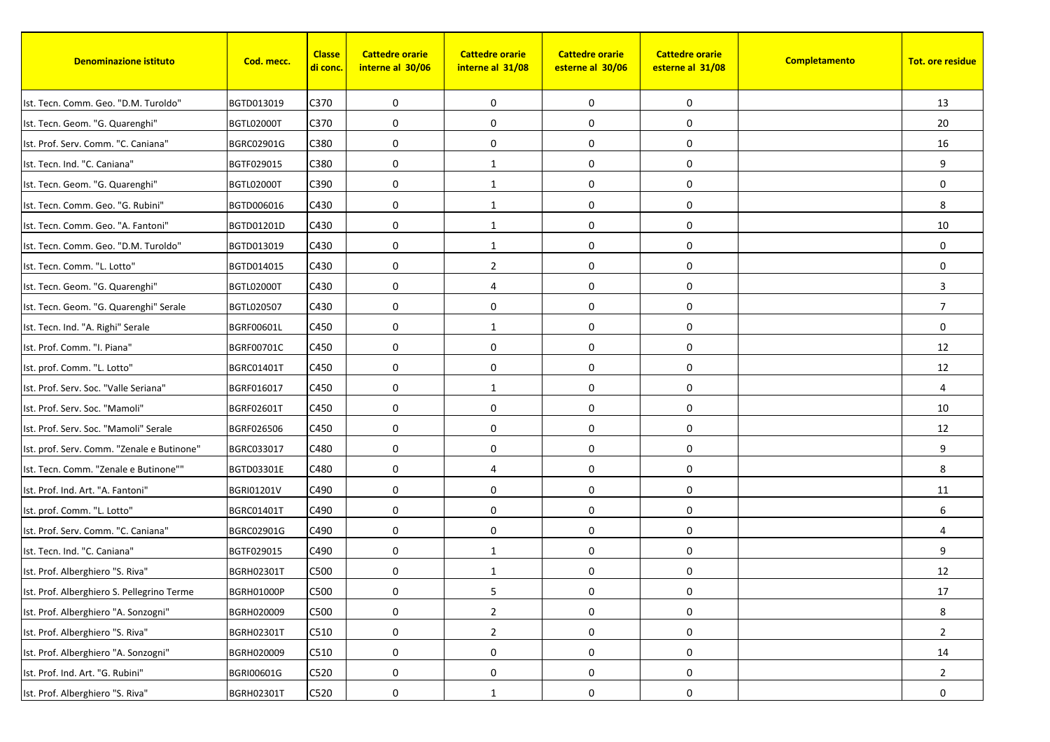| <b>Denominazione istituto</b>              | Cod. mecc.        | <b>Classe</b><br><u>di conc.</u> | <b>Cattedre orarie</b><br>interne al 30/06 | <b>Cattedre orarie</b><br>interne al 31/08 | <b>Cattedre orarie</b><br>esterne al 30/06 | <b>Cattedre orarie</b><br>esterne al 31/08 | Completamento | <b>Tot. ore residue</b> |
|--------------------------------------------|-------------------|----------------------------------|--------------------------------------------|--------------------------------------------|--------------------------------------------|--------------------------------------------|---------------|-------------------------|
| Ist. Tecn. Comm. Geo. "D.M. Turoldo"       | BGTD013019        | C370                             | 0                                          | 0                                          | 0                                          | 0                                          |               | 13                      |
| Ist. Tecn. Geom. "G. Quarenghi"            | <b>BGTL02000T</b> | C370                             | 0                                          | 0                                          | $\boldsymbol{0}$                           | 0                                          |               | 20                      |
| Ist. Prof. Serv. Comm. "C. Caniana"        | BGRC02901G        | C380                             | 0                                          | 0                                          | 0                                          | 0                                          |               | 16                      |
| Ist. Tecn. Ind. "C. Caniana"               | BGTF029015        | C380                             | $\mathbf 0$                                | 1                                          | 0                                          | 0                                          |               | 9                       |
| Ist. Tecn. Geom. "G. Quarenghi"            | <b>BGTL02000T</b> | C390                             | 0                                          | 1                                          | 0                                          | 0                                          |               | $\mathbf 0$             |
| Ist. Tecn. Comm. Geo. "G. Rubini"          | BGTD006016        | C430                             | 0                                          | 1                                          | $\pmb{0}$                                  | 0                                          |               | 8                       |
| Ist. Tecn. Comm. Geo. "A. Fantoni"         | BGTD01201D        | C430                             | $\mathbf 0$                                | $\mathbf{1}$                               | $\mathbf 0$                                | 0                                          |               | 10                      |
| Ist. Tecn. Comm. Geo. "D.M. Turoldo"       | BGTD013019        | C430                             | 0                                          | 1                                          | 0                                          | 0                                          |               | $\mathbf 0$             |
| Ist. Tecn. Comm. "L. Lotto"                | BGTD014015        | C430                             | 0                                          | $\overline{2}$                             | 0                                          | 0                                          |               | $\mathbf 0$             |
| Ist. Tecn. Geom. "G. Quarenghi"            | <b>BGTL02000T</b> | C430                             | 0                                          | 4                                          | 0                                          | 0                                          |               | 3                       |
| Ist. Tecn. Geom. "G. Quarenghi" Serale     | BGTL020507        | C430                             | 0                                          | 0                                          | 0                                          | 0                                          |               | $\overline{7}$          |
| Ist. Tecn. Ind. "A. Righi" Serale          | BGRF00601L        | C450                             | 0                                          | 1                                          | 0                                          | 0                                          |               | $\mathbf 0$             |
| Ist. Prof. Comm. "I. Piana"                | BGRF00701C        | C450                             | 0                                          | $\mathbf 0$                                | $\pmb{0}$                                  | 0                                          |               | 12                      |
| Ist. prof. Comm. "L. Lotto"                | BGRC01401T        | C450                             | $\mathbf 0$                                | $\mathbf 0$                                | $\mathbf 0$                                | 0                                          |               | 12                      |
| Ist. Prof. Serv. Soc. "Valle Seriana"      | BGRF016017        | C450                             | $\mathbf 0$                                | 1                                          | 0                                          | 0                                          |               | $\overline{4}$          |
| Ist. Prof. Serv. Soc. "Mamoli"             | <b>BGRF02601T</b> | C450                             | 0                                          | 0                                          | 0                                          | 0                                          |               | 10                      |
| Ist. Prof. Serv. Soc. "Mamoli" Serale      | BGRF026506        | C450                             | 0                                          | 0                                          | 0                                          | 0                                          |               | 12                      |
| Ist. prof. Serv. Comm. "Zenale e Butinone" | BGRC033017        | C480                             | $\mathbf 0$                                | 0                                          | 0                                          | 0                                          |               | 9                       |
| Ist. Tecn. Comm. "Zenale e Butinone""      | BGTD03301E        | C480                             | 0                                          | 4                                          | 0                                          | 0                                          |               | 8                       |
| Ist. Prof. Ind. Art. "A. Fantoni"          | <b>BGRI01201V</b> | C490                             | 0                                          | 0                                          | $\boldsymbol{0}$                           | 0                                          |               | 11                      |
| Ist. prof. Comm. "L. Lotto"                | <b>BGRC01401T</b> | C490                             | 0                                          | 0                                          | $\boldsymbol{0}$                           | 0                                          |               | 6                       |
| Ist. Prof. Serv. Comm. "C. Caniana"        | BGRC02901G        | C490                             | $\mathbf 0$                                | $\mathbf 0$                                | 0                                          | 0                                          |               | $\overline{4}$          |
| Ist. Tecn. Ind. "C. Caniana"               | BGTF029015        | C490                             | 0                                          | 1                                          | 0                                          | 0                                          |               | 9                       |
| Ist. Prof. Alberghiero "S. Riva"           | <b>BGRH02301T</b> | C500                             | 0                                          | 1                                          | 0                                          | 0                                          |               | 12                      |
| Ist. Prof. Alberghiero S. Pellegrino Terme | <b>BGRH01000P</b> | C500                             | 0                                          | 5                                          | 0                                          | 0                                          |               | $17\,$                  |
| Ist. Prof. Alberghiero "A. Sonzogni"       | BGRH020009        | C500                             | 0                                          | $\overline{2}$                             | 0                                          | 0                                          |               | 8                       |
| Ist. Prof. Alberghiero "S. Riva"           | BGRH02301T        | C510                             | 0                                          | $\overline{2}$                             | 0                                          | 0                                          |               | $\overline{2}$          |
| Ist. Prof. Alberghiero "A. Sonzogni"       | BGRH020009        | C510                             | 0                                          | $\mathbf 0$                                | 0                                          | 0                                          |               | 14                      |
| Ist. Prof. Ind. Art. "G. Rubini"           | BGRI00601G        | C520                             | $\boldsymbol{0}$                           | $\mathbf 0$                                | 0                                          | 0                                          |               | $\overline{2}$          |
| Ist. Prof. Alberghiero "S. Riva"           | BGRH02301T        | C520                             | 0                                          | 1                                          | 0                                          | 0                                          |               | 0                       |